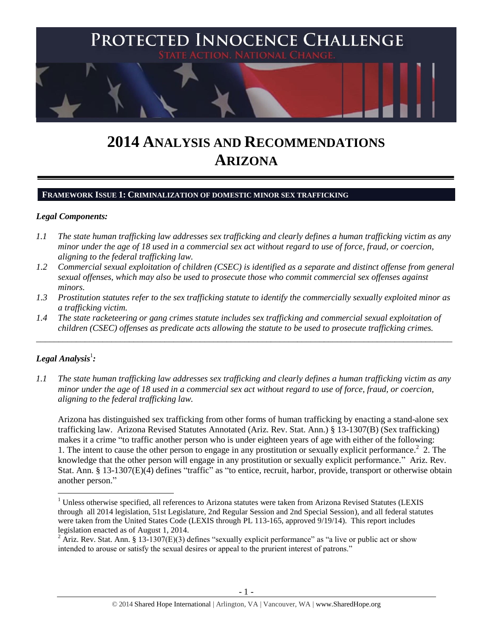

# **2014 ANALYSIS AND RECOMMENDATIONS ARIZONA**

# **FRAMEWORK ISSUE 1: CRIMINALIZATION OF DOMESTIC MINOR SEX TRAFFICKING**

## *Legal Components:*

- *1.1 The state human trafficking law addresses sex trafficking and clearly defines a human trafficking victim as any minor under the age of 18 used in a commercial sex act without regard to use of force, fraud, or coercion, aligning to the federal trafficking law.*
- *1.2 Commercial sexual exploitation of children (CSEC) is identified as a separate and distinct offense from general sexual offenses, which may also be used to prosecute those who commit commercial sex offenses against minors.*
- *1.3 Prostitution statutes refer to the sex trafficking statute to identify the commercially sexually exploited minor as a trafficking victim.*

\_\_\_\_\_\_\_\_\_\_\_\_\_\_\_\_\_\_\_\_\_\_\_\_\_\_\_\_\_\_\_\_\_\_\_\_\_\_\_\_\_\_\_\_\_\_\_\_\_\_\_\_\_\_\_\_\_\_\_\_\_\_\_\_\_\_\_\_\_\_\_\_\_\_\_\_\_\_\_\_\_\_\_\_\_\_\_\_\_\_\_\_\_\_

*1.4 The state racketeering or gang crimes statute includes sex trafficking and commercial sexual exploitation of children (CSEC) offenses as predicate acts allowing the statute to be used to prosecute trafficking crimes.* 

# $\bm{L}$ egal Analysis $^1$ :

 $\overline{a}$ 

*1.1 The state human trafficking law addresses sex trafficking and clearly defines a human trafficking victim as any minor under the age of 18 used in a commercial sex act without regard to use of force, fraud, or coercion, aligning to the federal trafficking law.*

<span id="page-0-0"></span>Arizona has distinguished sex trafficking from other forms of human trafficking by enacting a stand-alone sex trafficking law. Arizona Revised Statutes Annotated (Ariz. Rev. Stat. Ann.) § 13-1307(B) (Sex trafficking) makes it a crime "to traffic another person who is under eighteen years of age with either of the following: 1. The intent to cause the other person to engage in any prostitution or sexually explicit performance.<sup>2</sup> 2. The knowledge that the other person will engage in any prostitution or sexually explicit performance." Ariz. Rev. Stat. Ann. § 13-1307(E)(4) defines "traffic" as "to entice, recruit, harbor, provide, transport or otherwise obtain another person."

 $<sup>1</sup>$  Unless otherwise specified, all references to Arizona statutes were taken from Arizona Revised Statutes (LEXIS</sup> through all 2014 legislation, 51st Legislature, 2nd Regular Session and 2nd Special Session), and all federal statutes were taken from the United States Code (LEXIS through PL 113-165, approved 9/19/14). This report includes legislation enacted as of August 1, 2014.

<sup>&</sup>lt;sup>2</sup> Ariz. Rev. Stat. Ann. § 13-1307(E)(3) defines "sexually explicit performance" as "a live or public act or show intended to arouse or satisfy the sexual desires or appeal to the prurient interest of patrons."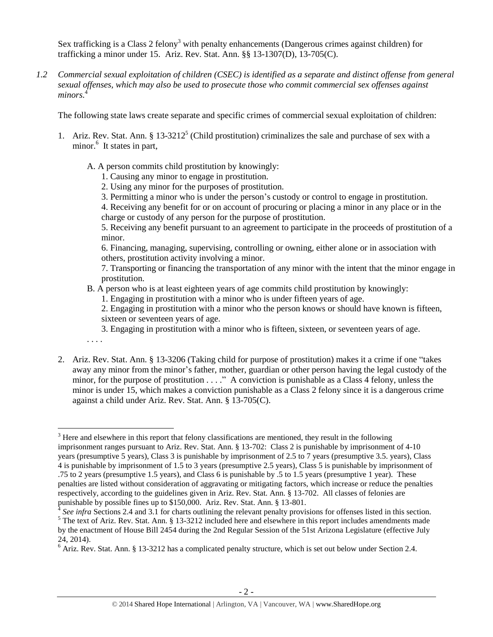<span id="page-1-1"></span>Sex trafficking is a Class 2 felony<sup>3</sup> with penalty enhancements (Dangerous crimes against children) for trafficking a minor under 15. Ariz. Rev. Stat. Ann. §§ 13-1307(D), 13-705(C).

*1.2 Commercial sexual exploitation of children (CSEC) is identified as a separate and distinct offense from general sexual offenses, which may also be used to prosecute those who commit commercial sex offenses against*  minors.

The following state laws create separate and specific crimes of commercial sexual exploitation of children:

- 1. Ariz. Rev. Stat. Ann.  $\S 13-3212^5$  (Child prostitution) criminalizes the sale and purchase of sex with a minor.<sup>6</sup> It states in part,
	- A. A person commits child prostitution by knowingly:
		- 1. Causing any minor to engage in prostitution.
		- 2. Using any minor for the purposes of prostitution.
		- 3. Permitting a minor who is under the person's custody or control to engage in prostitution.

<span id="page-1-0"></span>4. Receiving any benefit for or on account of procuring or placing a minor in any place or in the charge or custody of any person for the purpose of prostitution.

5. Receiving any benefit pursuant to an agreement to participate in the proceeds of prostitution of a minor.

6. Financing, managing, supervising, controlling or owning, either alone or in association with others, prostitution activity involving a minor.

7. Transporting or financing the transportation of any minor with the intent that the minor engage in prostitution.

## B. A person who is at least eighteen years of age commits child prostitution by knowingly:

1. Engaging in prostitution with a minor who is under fifteen years of age.

2. Engaging in prostitution with a minor who the person knows or should have known is fifteen, sixteen or seventeen years of age.

3. Engaging in prostitution with a minor who is fifteen, sixteen, or seventeen years of age.

. . . .

 $\overline{a}$ 

2. Ariz. Rev. Stat. Ann. § 13-3206 (Taking child for purpose of prostitution) makes it a crime if one "takes away any minor from the minor's father, mother, guardian or other person having the legal custody of the minor, for the purpose of prostitution . . . ." A conviction is punishable as a Class 4 felony, unless the minor is under 15, which makes a conviction punishable as a Class 2 felony since it is a dangerous crime against a child under Ariz. Rev. Stat. Ann. § 13-705(C).

<sup>&</sup>lt;sup>3</sup> Here and elsewhere in this report that felony classifications are mentioned, they result in the following imprisonment ranges pursuant to Ariz. Rev. Stat. Ann. § 13-702: Class 2 is punishable by imprisonment of 4-10 years (presumptive 5 years), Class 3 is punishable by imprisonment of 2.5 to 7 years (presumptive 3.5. years), Class 4 is punishable by imprisonment of 1.5 to 3 years (presumptive 2.5 years), Class 5 is punishable by imprisonment of .75 to 2 years (presumptive 1.5 years), and Class 6 is punishable by .5 to 1.5 years (presumptive 1 year). These penalties are listed without consideration of aggravating or mitigating factors, which increase or reduce the penalties respectively, according to the guidelines given in Ariz. Rev. Stat. Ann. § 13-702. All classes of felonies are punishable by possible fines up to \$150,000. Ariz. Rev. Stat. Ann. § 13-801.

<sup>&</sup>lt;sup>4</sup> See infra Sections 2.4 and 3.1 for charts outlining the relevant penalty provisions for offenses listed in this section.  $<sup>5</sup>$  The text of Ariz. Rev. Stat. Ann. § 13-3212 included here and elsewhere in this report includes amendments made</sup> by the enactment of House Bill 2454 during the 2nd Regular Session of the 51st Arizona Legislature (effective July 24, 2014).

 $6$  Ariz. Rev. Stat. Ann. § 13-3212 has a complicated penalty structure, which is set out below under Section 2.4.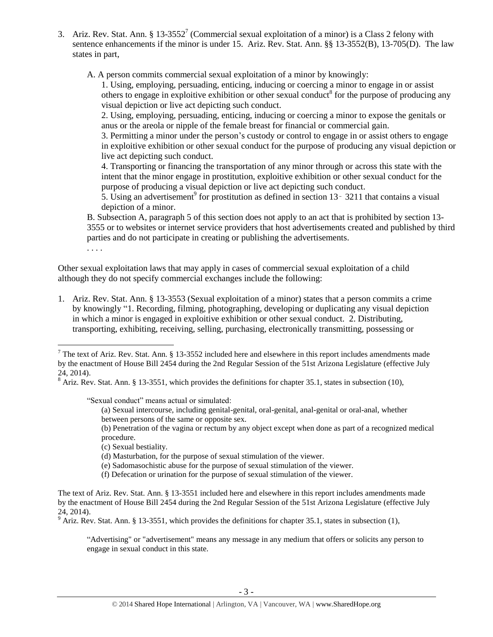3. Ariz. Rev. Stat. Ann. § 13-3552<sup>7</sup> (Commercial sexual exploitation of a minor) is a Class 2 felony with sentence enhancements if the minor is under 15. Ariz. Rev. Stat. Ann. §§ 13-3552(B), 13-705(D). The law states in part,

A. A person commits commercial sexual exploitation of a minor by knowingly:

<span id="page-2-0"></span>1. Using, employing, persuading, enticing, inducing or coercing a minor to engage in or assist others to engage in exploitive exhibition or other sexual conduct<sup>8</sup> for the purpose of producing any visual depiction or live act depicting such conduct.

2. Using, employing, persuading, enticing, inducing or coercing a minor to expose the genitals or anus or the areola or nipple of the female breast for financial or commercial gain.

3. Permitting a minor under the person's custody or control to engage in or assist others to engage in exploitive exhibition or other sexual conduct for the purpose of producing any visual depiction or live act depicting such conduct.

4. Transporting or financing the transportation of any minor through or across this state with the intent that the minor engage in prostitution, exploitive exhibition or other sexual conduct for the purpose of producing a visual depiction or live act depicting such conduct.

 $\overline{5}$ . Using an advertisement<sup>9</sup> for prostitution as defined in section 13  $\overline{3}$  3211 that contains a visual depiction of a minor.

B. Subsection A, paragraph 5 of this section does not apply to an act that is prohibited by section 13- 3555 or to websites or internet service providers that host advertisements created and published by third parties and do not participate in creating or publishing the advertisements.

. . . .

 $\overline{a}$ 

Other sexual exploitation laws that may apply in cases of commercial sexual exploitation of a child although they do not specify commercial exchanges include the following:

1. Ariz. Rev. Stat. Ann. § 13-3553 (Sexual exploitation of a minor) states that a person commits a crime by knowingly "1. Recording, filming, photographing, developing or duplicating any visual depiction in which a minor is engaged in exploitive exhibition or other sexual conduct. 2. Distributing, transporting, exhibiting, receiving, selling, purchasing, electronically transmitting, possessing or

"Sexual conduct" means actual or simulated:

- (a) Sexual intercourse, including genital-genital, oral-genital, anal-genital or oral-anal, whether between persons of the same or opposite sex.
- (b) Penetration of the vagina or rectum by any object except when done as part of a recognized medical procedure.
- (c) Sexual bestiality.
- (d) Masturbation, for the purpose of sexual stimulation of the viewer.
- (e) Sadomasochistic abuse for the purpose of sexual stimulation of the viewer.
- (f) Defecation or urination for the purpose of sexual stimulation of the viewer.

 $\frac{9}{9}$ Ariz. Rev. Stat. Ann. § 13-3551, which provides the definitions for chapter 35.1, states in subsection (1),

"Advertising" or "advertisement" means any message in any medium that offers or solicits any person to engage in sexual conduct in this state.

 $<sup>7</sup>$  The text of Ariz. Rev. Stat. Ann. § 13-3552 included here and elsewhere in this report includes amendments made</sup> by the enactment of House Bill 2454 during the 2nd Regular Session of the 51st Arizona Legislature (effective July 24, 2014).

<sup>&</sup>lt;sup>8</sup> Ariz. Rev. Stat. Ann. § 13-3551, which provides the definitions for chapter 35.1, states in subsection (10),

The text of Ariz. Rev. Stat. Ann. § 13-3551 included here and elsewhere in this report includes amendments made by the enactment of House Bill 2454 during the 2nd Regular Session of the 51st Arizona Legislature (effective July 24, 2014).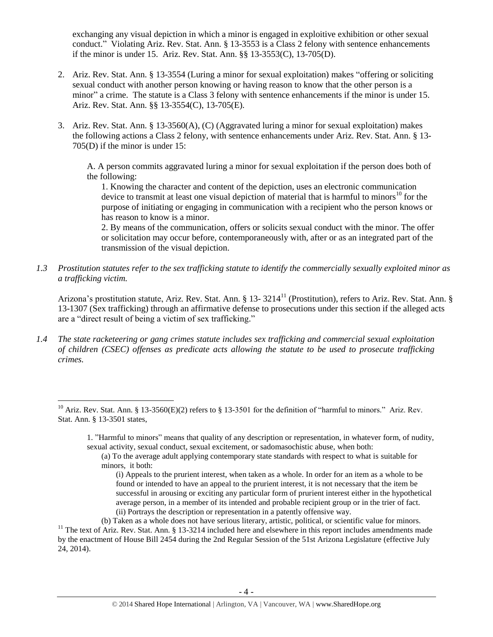exchanging any visual depiction in which a minor is engaged in exploitive exhibition or other sexual conduct." Violating Ariz. Rev. Stat. Ann. § 13-3553 is a Class 2 felony with sentence enhancements if the minor is under 15. Ariz. Rev. Stat. Ann. §§ 13-3553(C), 13-705(D).

- 2. Ariz. Rev. Stat. Ann. § 13-3554 (Luring a minor for sexual exploitation) makes "offering or soliciting sexual conduct with another person knowing or having reason to know that the other person is a minor" a crime. The statute is a Class 3 felony with sentence enhancements if the minor is under 15. Ariz. Rev. Stat. Ann. §§ 13-3554(C), 13-705(E).
- 3. Ariz. Rev. Stat. Ann. § 13-3560(A), (C) (Aggravated luring a minor for sexual exploitation) makes the following actions a Class 2 felony, with sentence enhancements under Ariz. Rev. Stat. Ann. § 13- 705(D) if the minor is under 15:

A. A person commits aggravated luring a minor for sexual exploitation if the person does both of the following:

1. Knowing the character and content of the depiction, uses an electronic communication device to transmit at least one visual depiction of material that is harmful to minors<sup>10</sup> for the purpose of initiating or engaging in communication with a recipient who the person knows or has reason to know is a minor.

2. By means of the communication, offers or solicits sexual conduct with the minor. The offer or solicitation may occur before, contemporaneously with, after or as an integrated part of the transmission of the visual depiction.

*1.3 Prostitution statutes refer to the sex trafficking statute to identify the commercially sexually exploited minor as a trafficking victim.* 

Arizona's prostitution statute, Ariz. Rev. Stat. Ann. § 13-3214<sup>11</sup> (Prostitution), refers to Ariz. Rev. Stat. Ann. § 13-1307 (Sex trafficking) through an affirmative defense to prosecutions under this section if the alleged acts are a "direct result of being a victim of sex trafficking."

*1.4 The state racketeering or gang crimes statute includes sex trafficking and commercial sexual exploitation of children (CSEC) offenses as predicate acts allowing the statute to be used to prosecute trafficking crimes.* 

<sup>&</sup>lt;sup>10</sup> Ariz. Rev. Stat. Ann. § 13-3560(E)(2) refers to § 13-3501 for the definition of "harmful to minors." Ariz. Rev. Stat. Ann. § 13-3501 states,

<sup>1.</sup> "Harmful to minors" means that quality of any description or representation, in whatever form, of nudity, sexual activity, sexual conduct, sexual excitement, or sadomasochistic abuse, when both:

<sup>(</sup>a) To the average adult applying contemporary state standards with respect to what is suitable for minors, it both:

<sup>(</sup>i) Appeals to the prurient interest, when taken as a whole. In order for an item as a whole to be found or intended to have an appeal to the prurient interest, it is not necessary that the item be successful in arousing or exciting any particular form of prurient interest either in the hypothetical average person, in a member of its intended and probable recipient group or in the trier of fact. (ii) Portrays the description or representation in a patently offensive way.

<sup>(</sup>b) Taken as a whole does not have serious literary, artistic, political, or scientific value for minors.  $11$  The text of Ariz. Rev. Stat. Ann. § 13-3214 included here and elsewhere in this report includes amendments made by the enactment of House Bill 2454 during the 2nd Regular Session of the 51st Arizona Legislature (effective July 24, 2014).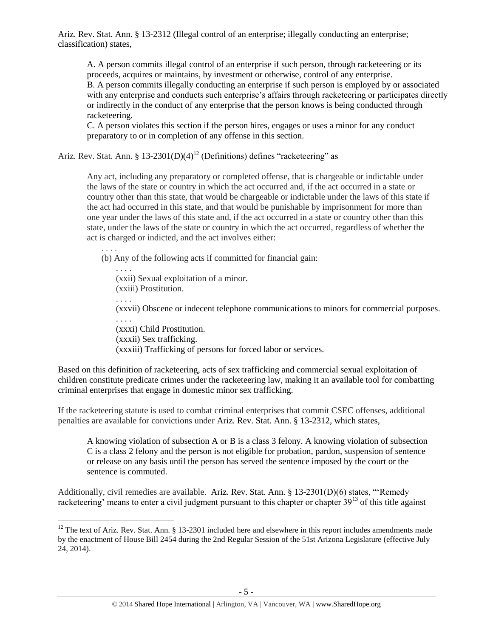Ariz. Rev. Stat. Ann. § 13-2312 (Illegal control of an enterprise; illegally conducting an enterprise; classification) states,

A. A person commits illegal control of an enterprise if such person, through racketeering or its proceeds, acquires or maintains, by investment or otherwise, control of any enterprise. B. A person commits illegally conducting an enterprise if such person is employed by or associated with any enterprise and conducts such enterprise's affairs through racketeering or participates directly or indirectly in the conduct of any enterprise that the person knows is being conducted through racketeering.

C. A person violates this section if the person hires, engages or uses a minor for any conduct preparatory to or in completion of any offense in this section.

Ariz. Rev. Stat. Ann. § 13-2301(D)(4)<sup>12</sup> (Definitions) defines "racketeering" as

Any act, including any preparatory or completed offense, that is chargeable or indictable under the laws of the state or country in which the act occurred and, if the act occurred in a state or country other than this state, that would be chargeable or indictable under the laws of this state if the act had occurred in this state, and that would be punishable by imprisonment for more than one year under the laws of this state and, if the act occurred in a state or country other than this state, under the laws of the state or country in which the act occurred, regardless of whether the act is charged or indicted, and the act involves either:

. . . . (b) Any of the following acts if committed for financial gain:

. . . . (xxii) Sexual exploitation of a minor. (xxiii) Prostitution. . . . . (xxvii) Obscene or indecent telephone communications to minors for commercial purposes. . . . . (xxxi) Child Prostitution. (xxxii) Sex trafficking. (xxxiii) Trafficking of persons for forced labor or services.

Based on this definition of racketeering, acts of sex trafficking and commercial sexual exploitation of children constitute predicate crimes under the racketeering law, making it an available tool for combatting criminal enterprises that engage in domestic minor sex trafficking.

If the racketeering statute is used to combat criminal enterprises that commit CSEC offenses, additional penalties are available for convictions under Ariz. Rev. Stat. Ann. § 13-2312, which states,

A knowing violation of subsection A or B is a class 3 felony. A knowing violation of subsection C is a class 2 felony and the person is not eligible for probation, pardon, suspension of sentence or release on any basis until the person has served the sentence imposed by the court or the sentence is commuted.

Additionally, civil remedies are available. Ariz. Rev. Stat. Ann. § 13-2301(D)(6) states, "'Remedy racketeering' means to enter a civil judgment pursuant to this chapter or chapter 39<sup>13</sup> of this title against

 $12$  The text of Ariz. Rev. Stat. Ann. § 13-2301 included here and elsewhere in this report includes amendments made by the enactment of House Bill 2454 during the 2nd Regular Session of the 51st Arizona Legislature (effective July 24, 2014).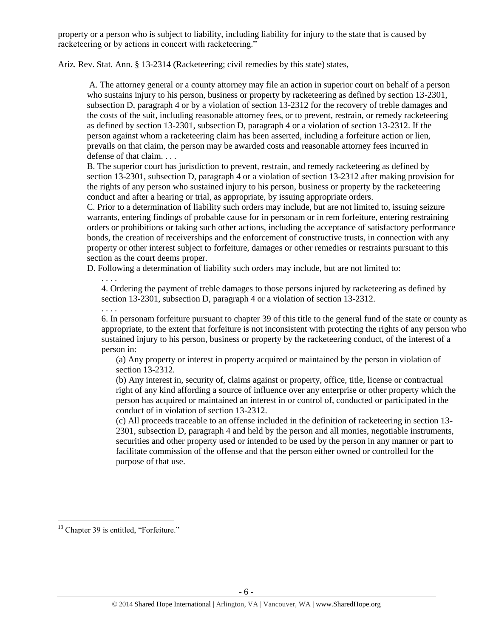property or a person who is subject to liability, including liability for injury to the state that is caused by racketeering or by actions in concert with racketeering."

Ariz. Rev. Stat. Ann. § 13-2314 (Racketeering; civil remedies by this state) states,

A. The attorney general or a county attorney may file an action in superior court on behalf of a person who sustains injury to his person, business or property by racketeering as defined by section 13-2301, subsection D, paragraph 4 or by a violation of section 13-2312 for the recovery of treble damages and the costs of the suit, including reasonable attorney fees, or to prevent, restrain, or remedy racketeering as defined by section 13-2301, subsection D, paragraph 4 or a violation of section 13-2312. If the person against whom a racketeering claim has been asserted, including a forfeiture action or lien, prevails on that claim, the person may be awarded costs and reasonable attorney fees incurred in defense of that claim. . . .

B. The superior court has jurisdiction to prevent, restrain, and remedy racketeering as defined by section 13-2301, subsection D, paragraph 4 or a violation of section 13-2312 after making provision for the rights of any person who sustained injury to his person, business or property by the racketeering conduct and after a hearing or trial, as appropriate, by issuing appropriate orders.

C. Prior to a determination of liability such orders may include, but are not limited to, issuing seizure warrants, entering findings of probable cause for in personam or in rem forfeiture, entering restraining orders or prohibitions or taking such other actions, including the acceptance of satisfactory performance bonds, the creation of receiverships and the enforcement of constructive trusts, in connection with any property or other interest subject to forfeiture, damages or other remedies or restraints pursuant to this section as the court deems proper.

D. Following a determination of liability such orders may include, but are not limited to:

4. Ordering the payment of treble damages to those persons injured by racketeering as defined by section 13-2301, subsection D, paragraph 4 or a violation of section 13-2312.

. . . . 6. In personam forfeiture pursuant to chapter 39 of this title to the general fund of the state or county as appropriate, to the extent that forfeiture is not inconsistent with protecting the rights of any person who sustained injury to his person, business or property by the racketeering conduct, of the interest of a person in:

(a) Any property or interest in property acquired or maintained by the person in violation of section 13-2312.

(b) Any interest in, security of, claims against or property, office, title, license or contractual right of any kind affording a source of influence over any enterprise or other property which the person has acquired or maintained an interest in or control of, conducted or participated in the conduct of in violation of section 13-2312.

(c) All proceeds traceable to an offense included in the definition of racketeering in section 13- 2301, subsection D, paragraph 4 and held by the person and all monies, negotiable instruments, securities and other property used or intended to be used by the person in any manner or part to facilitate commission of the offense and that the person either owned or controlled for the purpose of that use.

 $\overline{a}$ 

. . . .

<sup>&</sup>lt;sup>13</sup> Chapter 39 is entitled, "Forfeiture."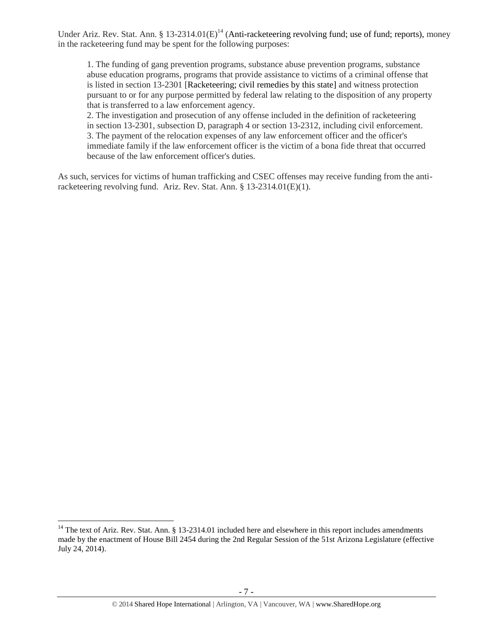Under Ariz. Rev. Stat. Ann. § 13-2314.01 $(E)^{14}$  (Anti-racketeering revolving fund; use of fund; reports), money in the racketeering fund may be spent for the following purposes:

1. The funding of gang prevention programs, substance abuse prevention programs, substance abuse education programs, programs that provide assistance to victims of a criminal offense that is listed in section 13-2301 [Racketeering; civil remedies by this state] and witness protection pursuant to or for any purpose permitted by federal law relating to the disposition of any property that is transferred to a law enforcement agency.

2. The investigation and prosecution of any offense included in the definition of racketeering in section 13-2301, subsection D, paragraph 4 or section 13-2312, including civil enforcement. 3. The payment of the relocation expenses of any law enforcement officer and the officer's immediate family if the law enforcement officer is the victim of a bona fide threat that occurred because of the law enforcement officer's duties.

As such, services for victims of human trafficking and CSEC offenses may receive funding from the antiracketeering revolving fund. Ariz. Rev. Stat. Ann. § 13-2314.01(E)(1).

<sup>&</sup>lt;sup>14</sup> The text of Ariz. Rev. Stat. Ann. § 13-2314.01 included here and elsewhere in this report includes amendments made by the enactment of House Bill 2454 during the 2nd Regular Session of the 51st Arizona Legislature (effective July 24, 2014).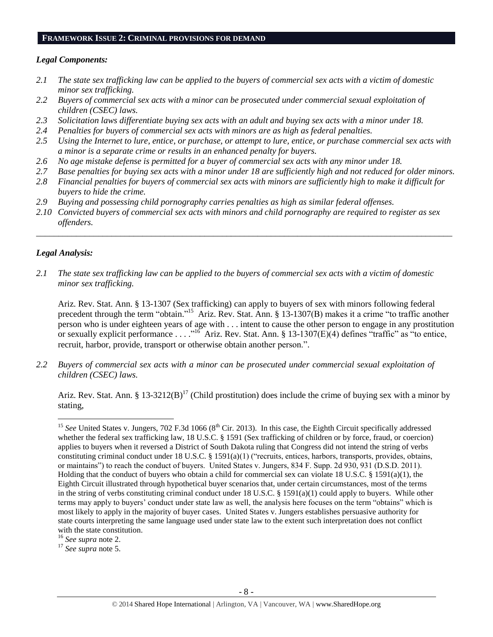#### **FRAMEWORK ISSUE 2: CRIMINAL PROVISIONS FOR DEMAND**

## *Legal Components:*

- *2.1 The state sex trafficking law can be applied to the buyers of commercial sex acts with a victim of domestic minor sex trafficking.*
- *2.2 Buyers of commercial sex acts with a minor can be prosecuted under commercial sexual exploitation of children (CSEC) laws.*
- *2.3 Solicitation laws differentiate buying sex acts with an adult and buying sex acts with a minor under 18.*
- *2.4 Penalties for buyers of commercial sex acts with minors are as high as federal penalties.*
- *2.5 Using the Internet to lure, entice, or purchase, or attempt to lure, entice, or purchase commercial sex acts with a minor is a separate crime or results in an enhanced penalty for buyers.*
- *2.6 No age mistake defense is permitted for a buyer of commercial sex acts with any minor under 18.*
- *2.7 Base penalties for buying sex acts with a minor under 18 are sufficiently high and not reduced for older minors.*
- *2.8 Financial penalties for buyers of commercial sex acts with minors are sufficiently high to make it difficult for buyers to hide the crime.*
- *2.9 Buying and possessing child pornography carries penalties as high as similar federal offenses.*
- *2.10 Convicted buyers of commercial sex acts with minors and child pornography are required to register as sex offenders.*

\_\_\_\_\_\_\_\_\_\_\_\_\_\_\_\_\_\_\_\_\_\_\_\_\_\_\_\_\_\_\_\_\_\_\_\_\_\_\_\_\_\_\_\_\_\_\_\_\_\_\_\_\_\_\_\_\_\_\_\_\_\_\_\_\_\_\_\_\_\_\_\_\_\_\_\_\_\_\_\_\_\_\_\_\_\_\_\_\_\_\_\_\_\_

## *Legal Analysis:*

 $\overline{a}$ 

*2.1 The state sex trafficking law can be applied to the buyers of commercial sex acts with a victim of domestic minor sex trafficking.*

Ariz. Rev. Stat. Ann. § 13-1307 (Sex trafficking) can apply to buyers of sex with minors following federal precedent through the term "obtain."<sup>15</sup> Ariz. Rev. Stat. Ann. § 13-1307(B) makes it a crime "to traffic another person who is under eighteen years of age with . . . intent to cause the other person to engage in any prostitution or sexually explicit performance . . . .<sup>"16</sup> Ariz. Rev. Stat. Ann. § 13-1307(E)(4) defines "traffic" as "to entice, recruit, harbor, provide, transport or otherwise obtain another person.".

*2.2 Buyers of commercial sex acts with a minor can be prosecuted under commercial sexual exploitation of children (CSEC) laws.*

Ariz. Rev. Stat. Ann. § 13-3212(B)<sup>17</sup> (Child prostitution) does include the crime of buying sex with a minor by stating,

<sup>16</sup> *See supra* note [2.](#page-0-0)

<sup>&</sup>lt;sup>15</sup> *See* United States v. Jungers, 702 F.3d 1066 ( $8<sup>th</sup>$  Cir. 2013). In this case, the Eighth Circuit specifically addressed whether the federal sex trafficking law, 18 U.S.C. § 1591 (Sex trafficking of children or by force, fraud, or coercion) applies to buyers when it reversed a District of South Dakota ruling that Congress did not intend the string of verbs constituting criminal conduct under 18 U.S.C. § 1591(a)(1) ("recruits, entices, harbors, transports, provides, obtains, or maintains") to reach the conduct of buyers. United States v. Jungers, 834 F. Supp. 2d 930, 931 (D.S.D. 2011). Holding that the conduct of buyers who obtain a child for commercial sex can violate 18 U.S.C. § 1591(a)(1), the Eighth Circuit illustrated through hypothetical buyer scenarios that, under certain circumstances, most of the terms in the string of verbs constituting criminal conduct under 18 U.S.C. § 1591(a)(1) could apply to buyers. While other terms may apply to buyers' conduct under state law as well, the analysis here focuses on the term "obtains" which is most likely to apply in the majority of buyer cases. United States v. Jungers establishes persuasive authority for state courts interpreting the same language used under state law to the extent such interpretation does not conflict with the state constitution.

<sup>17</sup> *See supra* note [5.](#page-1-0)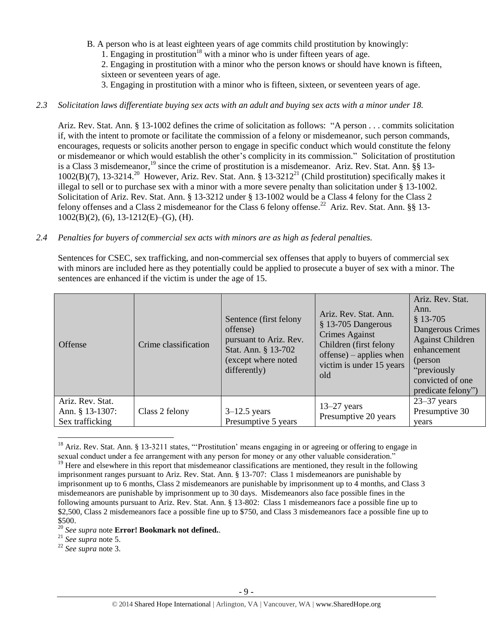- B. A person who is at least eighteen years of age commits child prostitution by knowingly:
	- 1. Engaging in prostitution<sup>18</sup> with a minor who is under fifteen years of age.

2. Engaging in prostitution with a minor who the person knows or should have known is fifteen, sixteen or seventeen years of age.

3. Engaging in prostitution with a minor who is fifteen, sixteen, or seventeen years of age.

#### *2.3 Solicitation laws differentiate buying sex acts with an adult and buying sex acts with a minor under 18.*

Ariz. Rev. Stat. Ann. § 13-1002 defines the crime of solicitation as follows: "A person . . . commits solicitation if, with the intent to promote or facilitate the commission of a felony or misdemeanor, such person commands, encourages, requests or solicits another person to engage in specific conduct which would constitute the felony or misdemeanor or which would establish the other's complicity in its commission." Solicitation of prostitution is a Class 3 misdemeanor,<sup>19</sup> since the crime of prostitution is a misdemeanor. Ariz. Rev. Stat. Ann. §§ 13- $1002(B)(7)$ , 13-3214.<sup>20</sup> However, Ariz. Rev. Stat. Ann. § 13-3212<sup>21</sup> (Child prostitution) specifically makes it illegal to sell or to purchase sex with a minor with a more severe penalty than solicitation under § 13-1002. Solicitation of Ariz. Rev. Stat. Ann. § 13-3212 under § 13-1002 would be a Class 4 felony for the Class 2 felony offenses and a Class 2 misdemeanor for the Class 6 felony offense.<sup>22</sup> Ariz. Rev. Stat. Ann. §§ 13-1002(B)(2), (6), 13-1212(E)–(G), (H).

#### *2.4 Penalties for buyers of commercial sex acts with minors are as high as federal penalties.*

Sentences for CSEC, sex trafficking, and non-commercial sex offenses that apply to buyers of commercial sex with minors are included here as they potentially could be applied to prosecute a buyer of sex with a minor. The sentences are enhanced if the victim is under the age of 15.

| Offense                                                | Crime classification | Sentence (first felony<br>offense)<br>pursuant to Ariz. Rev.<br>Stat. Ann. § 13-702<br>(except where noted<br>differently) | Ariz. Rev. Stat. Ann.<br>§ 13-705 Dangerous<br><b>Crimes Against</b><br>Children (first felony<br>$offense$ ) – applies when<br>victim is under 15 years<br>old | Ariz. Rev. Stat.<br>Ann.<br>$$13-705$<br>Dangerous Crimes<br><b>Against Children</b><br>enhancement<br>(person<br>"previously<br>convicted of one<br>predicate felony") |
|--------------------------------------------------------|----------------------|----------------------------------------------------------------------------------------------------------------------------|-----------------------------------------------------------------------------------------------------------------------------------------------------------------|-------------------------------------------------------------------------------------------------------------------------------------------------------------------------|
| Ariz. Rev. Stat.<br>Ann. § 13-1307:<br>Sex trafficking | Class 2 felony       | $3-12.5$ years<br>Presumptive 5 years                                                                                      | $13-27$ years<br>Presumptive 20 years                                                                                                                           | $23 - 37$ years<br>Presumptive 30<br>years                                                                                                                              |

<sup>&</sup>lt;sup>18</sup> Ariz. Rev. Stat. Ann. § 13-3211 states, "Prostitution' means engaging in or agreeing or offering to engage in sexual conduct under a fee arrangement with any person for money or any other valuable consideration."

<sup>&</sup>lt;sup>19</sup> Here and elsewhere in this report that misdemeanor classifications are mentioned, they result in the following imprisonment ranges pursuant to Ariz. Rev. Stat. Ann. § 13-707: Class 1 misdemeanors are punishable by imprisonment up to 6 months, Class 2 misdemeanors are punishable by imprisonment up to 4 months, and Class 3 misdemeanors are punishable by imprisonment up to 30 days. Misdemeanors also face possible fines in the following amounts pursuant to Ariz. Rev. Stat. Ann. § 13-802: Class 1 misdemeanors face a possible fine up to \$2,500, Class 2 misdemeanors face a possible fine up to \$750, and Class 3 misdemeanors face a possible fine up to \$500.

<sup>20</sup> *See supra* note **Error! Bookmark not defined.**.

<sup>21</sup> *See supra* note [5.](#page-1-0)

<sup>22</sup> *See supra* note [3.](#page-1-1)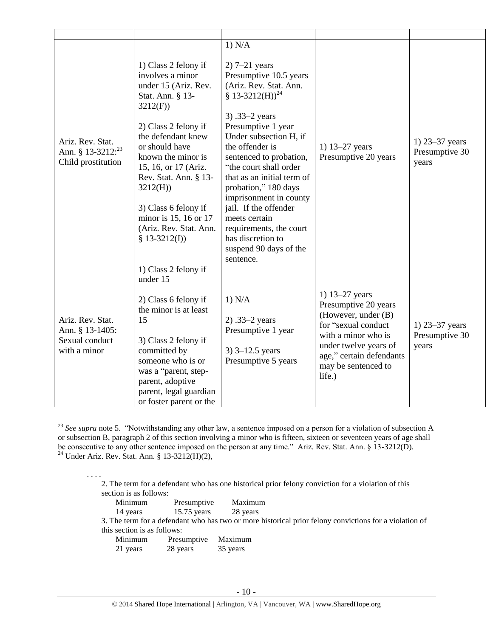<span id="page-9-0"></span>

| Ariz. Rev. Stat.<br>Ann. § 13-3212: <sup>23</sup><br>Child prostitution | 1) Class 2 felony if<br>involves a minor<br>under 15 (Ariz. Rev.<br>Stat. Ann. § 13-<br>3212(F)<br>2) Class 2 felony if<br>the defendant knew<br>or should have<br>known the minor is<br>15, 16, or 17 (Ariz.<br>Rev. Stat. Ann. § 13-<br>3212(H)<br>3) Class 6 felony if<br>minor is 15, 16 or 17<br>(Ariz. Rev. Stat. Ann.<br>$$13-3212(I))$ | 1) N/A<br>$2)$ 7-21 years<br>Presumptive 10.5 years<br>(Ariz. Rev. Stat. Ann.<br>§ 13-3212(H)) <sup>24</sup><br>3) .33–2 years<br>Presumptive 1 year<br>Under subsection H, if<br>the offender is<br>sentenced to probation,<br>"the court shall order<br>that as an initial term of<br>probation," 180 days<br>imprisonment in county<br>jail. If the offender<br>meets certain<br>requirements, the court<br>has discretion to<br>suspend 90 days of the<br>sentence. | 1) $13 - 27$ years<br>Presumptive 20 years                                                                                                                                                            | 1) $23 - 37$ years<br>Presumptive 30<br>years |
|-------------------------------------------------------------------------|------------------------------------------------------------------------------------------------------------------------------------------------------------------------------------------------------------------------------------------------------------------------------------------------------------------------------------------------|-------------------------------------------------------------------------------------------------------------------------------------------------------------------------------------------------------------------------------------------------------------------------------------------------------------------------------------------------------------------------------------------------------------------------------------------------------------------------|-------------------------------------------------------------------------------------------------------------------------------------------------------------------------------------------------------|-----------------------------------------------|
| Ariz. Rev. Stat.<br>Ann. § 13-1405:<br>Sexual conduct<br>with a minor   | 1) Class 2 felony if<br>under 15<br>2) Class 6 felony if<br>the minor is at least<br>15<br>3) Class 2 felony if<br>committed by<br>someone who is or<br>was a "parent, step-<br>parent, adoptive<br>parent, legal guardian<br>or foster parent or the                                                                                          | 1) N/A<br>2) .33–2 years<br>Presumptive 1 year<br>$3)$ 3–12.5 years<br>Presumptive 5 years                                                                                                                                                                                                                                                                                                                                                                              | 1) $13 - 27$ years<br>Presumptive 20 years<br>(However, under (B)<br>for "sexual conduct<br>with a minor who is<br>under twelve years of<br>age," certain defendants<br>may be sentenced to<br>life.) | 1) $23 - 37$ years<br>Presumptive 30<br>years |

<sup>&</sup>lt;sup>23</sup> See supra note [5.](#page-1-0) "Notwithstanding any other law, a sentence imposed on a person for a violation of subsection A or subsection B, paragraph 2 of this section involving a minor who is fifteen, sixteen or seventeen years of age shall be consecutive to any other sentence imposed on the person at any time." Ariz. Rev. Stat. Ann. § 13-3212(D). <sup>24</sup> Under Ariz. Rev. Stat. Ann. § 13-3212(H)(2),

 $\overline{a}$ 

. . . . 2. The term for a defendant who has one historical prior felony conviction for a violation of this section is as follows:

| Minimum                     | Presumptive          | Maximum                                                                                                |
|-----------------------------|----------------------|--------------------------------------------------------------------------------------------------------|
| 14 years                    | 15.75 years 28 years |                                                                                                        |
|                             |                      | 3. The term for a defendant who has two or more historical prior felony convictions for a violation of |
| this section is as follows: |                      |                                                                                                        |
| Minimum                     | Presumptive          | Maximum                                                                                                |
| 21 years                    | 28 years             | 35 years                                                                                               |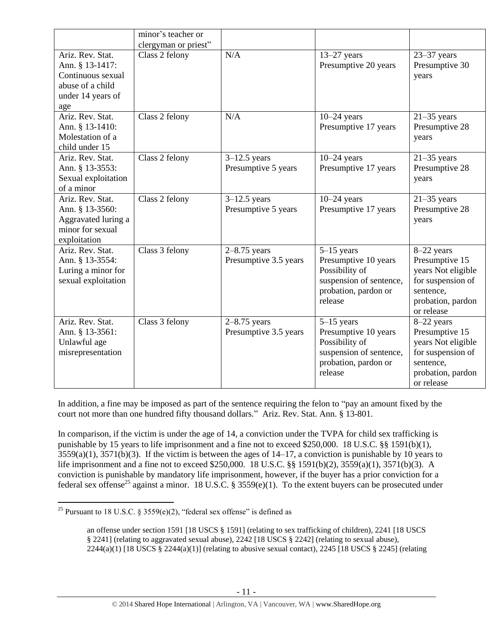|                                                                                                   | minor's teacher or                     |                                           |                                                                                                                      |                                                                                                                         |
|---------------------------------------------------------------------------------------------------|----------------------------------------|-------------------------------------------|----------------------------------------------------------------------------------------------------------------------|-------------------------------------------------------------------------------------------------------------------------|
| Ariz. Rev. Stat.<br>Ann. § 13-1417:<br>Continuous sexual<br>abuse of a child<br>under 14 years of | clergyman or priest"<br>Class 2 felony | N/A                                       | $13-27$ years<br>Presumptive 20 years                                                                                | $23 - 37$ years<br>Presumptive 30<br>years                                                                              |
| age<br>Ariz. Rev. Stat.<br>Ann. § 13-1410:<br>Molestation of a<br>child under 15                  | Class 2 felony                         | N/A                                       | $10-24$ years<br>Presumptive 17 years                                                                                | $21-35$ years<br>Presumptive 28<br>years                                                                                |
| Ariz. Rev. Stat.<br>Ann. § 13-3553:<br>Sexual exploitation<br>of a minor                          | Class 2 felony                         | $3-12.5$ years<br>Presumptive 5 years     | $10-24$ years<br>Presumptive 17 years                                                                                | $21-35$ years<br>Presumptive 28<br>years                                                                                |
| Ariz. Rev. Stat.<br>Ann. § 13-3560:<br>Aggravated luring a<br>minor for sexual<br>exploitation    | Class 2 felony                         | $3-12.5$ years<br>Presumptive 5 years     | $10-24$ years<br>Presumptive 17 years                                                                                | $21 - 35$ years<br>Presumptive 28<br>years                                                                              |
| Ariz. Rev. Stat.<br>Ann. § 13-3554:<br>Luring a minor for<br>sexual exploitation                  | Class 3 felony                         | $2 - 8.75$ years<br>Presumptive 3.5 years | $5-15$ years<br>Presumptive 10 years<br>Possibility of<br>suspension of sentence,<br>probation, pardon or<br>release | 8-22 years<br>Presumptive 15<br>years Not eligible<br>for suspension of<br>sentence,<br>probation, pardon<br>or release |
| Ariz. Rev. Stat.<br>Ann. § 13-3561:<br>Unlawful age<br>misrepresentation                          | Class 3 felony                         | $2 - 8.75$ years<br>Presumptive 3.5 years | $5-15$ years<br>Presumptive 10 years<br>Possibility of<br>suspension of sentence,<br>probation, pardon or<br>release | 8-22 years<br>Presumptive 15<br>years Not eligible<br>for suspension of<br>sentence,<br>probation, pardon<br>or release |

In addition, a fine may be imposed as part of the sentence requiring the felon to "pay an amount fixed by the court not more than one hundred fifty thousand dollars." Ariz. Rev. Stat. Ann. § 13-801.

In comparison, if the victim is under the age of 14, a conviction under the TVPA for child sex trafficking is punishable by 15 years to life imprisonment and a fine not to exceed \$250,000. 18 U.S.C. §§ 1591(b)(1),  $3559(a)(1)$ ,  $3571(b)(3)$ . If the victim is between the ages of  $14-17$ , a conviction is punishable by 10 years to life imprisonment and a fine not to exceed \$250,000. 18 U.S.C. §§ 1591(b)(2), 3559(a)(1), 3571(b)(3). A conviction is punishable by mandatory life imprisonment, however, if the buyer has a prior conviction for a federal sex offense<sup>25</sup> against a minor. 18 U.S.C.  $\S 3559(e)(1)$ . To the extent buyers can be prosecuted under

<sup>&</sup>lt;sup>25</sup> Pursuant to 18 U.S.C. § 3559 $(e)(2)$ , "federal sex offense" is defined as

<span id="page-10-0"></span>an offense under section 1591 [18 USCS § 1591] (relating to sex trafficking of children), 2241 [18 USCS § 2241] (relating to aggravated sexual abuse), 2242 [18 USCS § 2242] (relating to sexual abuse), 2244(a)(1) [18 USCS § 2244(a)(1)] (relating to abusive sexual contact), 2245 [18 USCS § 2245] (relating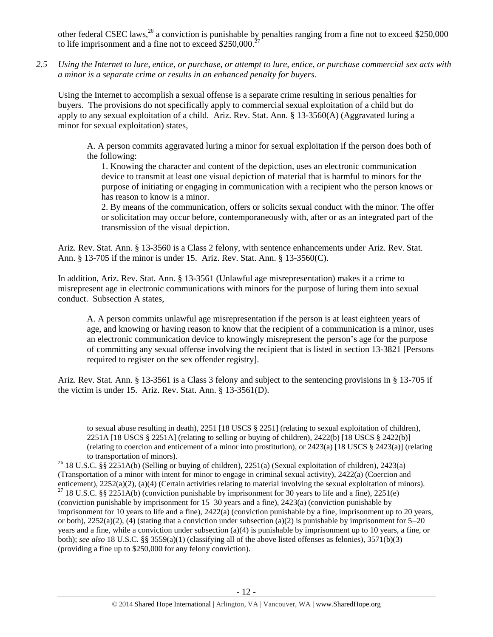other federal CSEC laws,  $^{26}$  a conviction is punishable by penalties ranging from a fine not to exceed \$250,000 to life imprisonment and a fine not to exceed  $$250,000$ .<sup>2</sup>

*2.5 Using the Internet to lure, entice, or purchase, or attempt to lure, entice, or purchase commercial sex acts with a minor is a separate crime or results in an enhanced penalty for buyers.*

Using the Internet to accomplish a sexual offense is a separate crime resulting in serious penalties for buyers. The provisions do not specifically apply to commercial sexual exploitation of a child but do apply to any sexual exploitation of a child. Ariz. Rev. Stat. Ann. § 13-3560(A) (Aggravated luring a minor for sexual exploitation) states,

A. A person commits aggravated luring a minor for sexual exploitation if the person does both of the following:

1. Knowing the character and content of the depiction, uses an electronic communication device to transmit at least one visual depiction of material that is harmful to minors for the purpose of initiating or engaging in communication with a recipient who the person knows or has reason to know is a minor.

2. By means of the communication, offers or solicits sexual conduct with the minor. The offer or solicitation may occur before, contemporaneously with, after or as an integrated part of the transmission of the visual depiction.

Ariz. Rev. Stat. Ann. § 13-3560 is a Class 2 felony, with sentence enhancements under Ariz. Rev. Stat. Ann. § 13-705 if the minor is under 15. Ariz. Rev. Stat. Ann. § 13-3560(C).

In addition, Ariz. Rev. Stat. Ann. § 13-3561 (Unlawful age misrepresentation) makes it a crime to misrepresent age in electronic communications with minors for the purpose of luring them into sexual conduct. Subsection A states,

A. A person commits unlawful age misrepresentation if the person is at least eighteen years of age, and knowing or having reason to know that the recipient of a communication is a minor, uses an electronic communication device to knowingly misrepresent the person's age for the purpose of committing any sexual offense involving the recipient that is listed in [section 13-3821](https://www.lexis.com/research/buttonTFLink?_m=090cb2535ee035315844633f6dc755af&_xfercite=%3ccite%20cc%3d%22USA%22%3e%3c%21%5bCDATA%5bA.R.S.%20%a7%2013-3561%5d%5d%3e%3c%2fcite%3e&_butType=4&_butStat=0&_butNum=2&_butInline=1&_butinfo=AZCODE%2013-3821&_fmtstr=FULL&docnum=1&_startdoc=1&wchp=dGLzVlz-zSkAz&_md5=79822e9548f774d4abd7be509d74901f) [Persons required to register on the sex offender registry].

Ariz. Rev. Stat. Ann. § 13-3561 is a Class 3 felony and subject to the sentencing provisions in § 13-705 if the victim is under 15. Ariz. Rev. Stat. Ann. § 13-3561(D).

to sexual abuse resulting in death), 2251 [18 USCS § 2251] (relating to sexual exploitation of children), 2251A [18 USCS § 2251A] (relating to selling or buying of children), 2422(b) [18 USCS § 2422(b)] (relating to coercion and enticement of a minor into prostitution), or 2423(a) [18 USCS § 2423(a)] (relating to transportation of minors).

<sup>&</sup>lt;sup>26</sup> 18 U.S.C. §§ 2251A(b) (Selling or buying of children), 2251(a) (Sexual exploitation of children), 2423(a) (Transportation of a minor with intent for minor to engage in criminal sexual activity), 2422(a) (Coercion and enticement), 2252(a)(2), (a)(4) (Certain activities relating to material involving the sexual exploitation of minors). <sup>27</sup> 18 U.S.C. §§ 2251A(b) (conviction punishable by imprisonment for 30 years to life and a fine), 2251(e) (conviction punishable by imprisonment for 15–30 years and a fine), 2423(a) (conviction punishable by imprisonment for 10 years to life and a fine), 2422(a) (conviction punishable by a fine, imprisonment up to 20 years, or both),  $2252(a)(2)$ , (4) (stating that a conviction under subsection (a)(2) is punishable by imprisonment for  $5-20$ years and a fine, while a conviction under subsection (a)(4) is punishable by imprisonment up to 10 years, a fine, or both); *see also* 18 U.S.C. §§ 3559(a)(1) (classifying all of the above listed offenses as felonies), 3571(b)(3) (providing a fine up to \$250,000 for any felony conviction).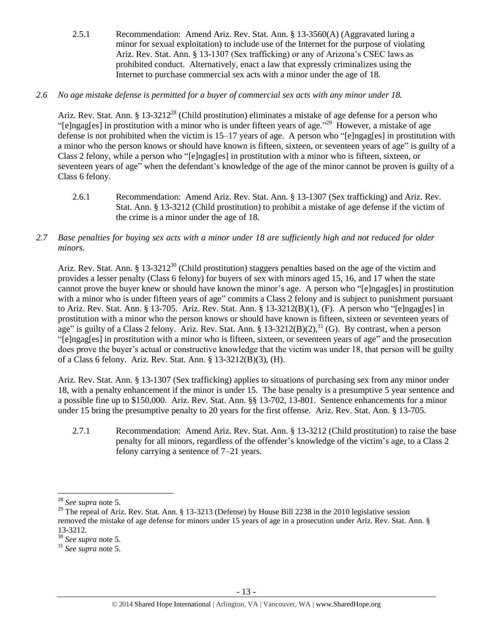2.5.1 Recommendation: Amend Ariz. Rev. Stat. Ann. § 13-3560(A) (Aggravated luring a minor for sexual exploitation) to include use of the Internet for the purpose of violating Ariz. Rev. Stat. Ann. § 13-1307 (Sex trafficking) or any of Arizona's CSEC laws as prohibited conduct. Alternatively, enact a law that expressly criminalizes using the Internet to purchase commercial sex acts with a minor under the age of 18.

# *2.6 No age mistake defense is permitted for a buyer of commercial sex acts with any minor under 18.*

Ariz. Rev. Stat. Ann. § 13-3212<sup>28</sup> (Child prostitution) eliminates a mistake of age defense for a person who "[e]ngag[es] in prostitution with a minor who is under fifteen years of age."<sup>29</sup> However, a mistake of age defense is not prohibited when the victim is 15–17 years of age. A person who "[e]ngag[es] in prostitution with a minor who the person knows or should have known is fifteen, sixteen, or seventeen years of age" is guilty of a Class 2 felony, while a person who "[e]ngag[es] in prostitution with a minor who is fifteen, sixteen, or seventeen years of age" when the defendant's knowledge of the age of the minor cannot be proven is guilty of a Class 6 felony.

- 2.6.1 Recommendation: Amend Ariz. Rev. Stat. Ann. § 13-1307 (Sex trafficking) and Ariz. Rev. Stat. Ann. § 13-3212 (Child prostitution) to prohibit a mistake of age defense if the victim of the crime is a minor under the age of 18.
- *2.7 Base penalties for buying sex acts with a minor under 18 are sufficiently high and not reduced for older minors.*

Ariz. Rev. Stat. Ann. § 13-3212<sup>30</sup> (Child prostitution) staggers penalties based on the age of the victim and provides a lesser penalty (Class 6 felony) for buyers of sex with minors aged 15, 16, and 17 when the state cannot prove the buyer knew or should have known the minor's age. A person who "[e]ngag[es] in prostitution with a minor who is under fifteen years of age" commits a Class 2 felony and is subject to punishment pursuant to Ariz. Rev. Stat. Ann. § 13-705. Ariz. Rev. Stat. Ann. § 13-3212(B)(1), (F). A person who "[e]ngag[es] in prostitution with a minor who the person knows or should have known is fifteen, sixteen or seventeen years of age" is guilty of a Class 2 felony. Ariz. Rev. Stat. Ann. § 13-3212(B)(2),  $31$  (G). By contrast, when a person "[e]ngag[es] in prostitution with a minor who is fifteen, sixteen, or seventeen years of age" and the prosecution does prove the buyer's actual or constructive knowledge that the victim was under 18, that person will be guilty of a Class 6 felony. Ariz. Rev. Stat. Ann. § 13-3212(B)(3), (H).

Ariz. Rev. Stat. Ann. § 13-1307 (Sex trafficking) applies to situations of purchasing sex from any minor under 18, with a penalty enhancement if the minor is under 15. The base penalty is a presumptive 5 year sentence and a possible fine up to \$150,000. Ariz. Rev. Stat. Ann. §§ 13-702, 13-801. Sentence enhancements for a minor under 15 bring the presumptive penalty to 20 years for the first offense. Ariz. Rev. Stat. Ann. § 13-705.

2.7.1 Recommendation: Amend Ariz. Rev. Stat. Ann. § 13-3212 (Child prostitution) to raise the base penalty for all minors, regardless of the offender's knowledge of the victim's age, to a Class 2 felony carrying a sentence of 7–21 years.

<sup>28</sup> *See supra* note [5.](#page-1-0)

<sup>&</sup>lt;sup>29</sup> The repeal of Ariz. Rev. Stat. Ann. § 13-3213 (Defense) by House Bill 2238 in the 2010 legislative session removed the mistake of age defense for minors under 15 years of age in a prosecution under Ariz. Rev. Stat. Ann. § 13-3212.

<sup>30</sup> *See supra* note [5.](#page-1-0)

<sup>31</sup> *See supra* note [5.](#page-1-0)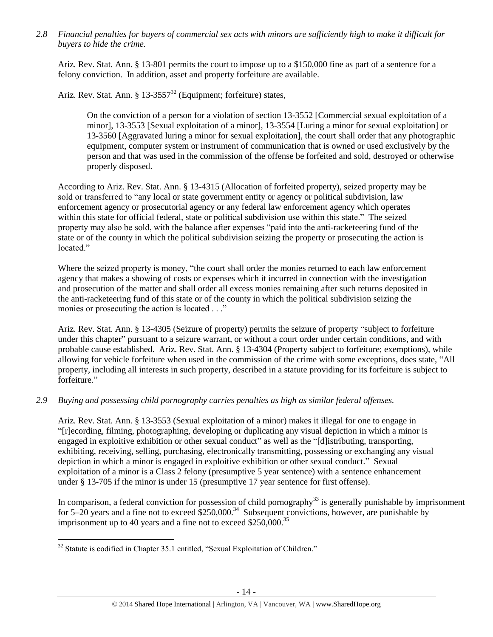*2.8 Financial penalties for buyers of commercial sex acts with minors are sufficiently high to make it difficult for buyers to hide the crime.* 

Ariz. Rev. Stat. Ann. § 13-801 permits the court to impose up to a \$150,000 fine as part of a sentence for a felony conviction. In addition, asset and property forfeiture are available.

Ariz. Rev. Stat. Ann. §  $13-3557^{32}$  (Equipment; forfeiture) states,

On the conviction of a person for a violation of section 13-3552 [Commercial sexual exploitation of a minor], 13-3553 [Sexual exploitation of a minor], 13-3554 [Luring a minor for sexual exploitation] or 13-3560 [Aggravated luring a minor for sexual exploitation], the court shall order that any photographic equipment, computer system or instrument of communication that is owned or used exclusively by the person and that was used in the commission of the offense be forfeited and sold, destroyed or otherwise properly disposed.

According to Ariz. Rev. Stat. Ann. § 13-4315 (Allocation of forfeited property), seized property may be sold or transferred to "any local or state government entity or agency or political subdivision, law enforcement agency or prosecutorial agency or any federal law enforcement agency which operates within this state for official federal, state or political subdivision use within this state." The seized property may also be sold, with the balance after expenses "paid into the anti-racketeering fund of the state or of the county in which the political subdivision seizing the property or prosecuting the action is located."

Where the seized property is money, "the court shall order the monies returned to each law enforcement agency that makes a showing of costs or expenses which it incurred in connection with the investigation and prosecution of the matter and shall order all excess monies remaining after such returns deposited in the anti-racketeering fund of this state or of the county in which the political subdivision seizing the monies or prosecuting the action is located . . ."

Ariz. Rev. Stat. Ann. § 13-4305 (Seizure of property) permits the seizure of property "subject to forfeiture under this chapter" pursuant to a seizure warrant, or without a court order under certain conditions, and with probable cause established. Ariz. Rev. Stat. Ann. § 13-4304 (Property subject to forfeiture; exemptions), while allowing for vehicle forfeiture when used in the commission of the crime with some exceptions, does state, "All property, including all interests in such property, described in a statute providing for its forfeiture is subject to forfeiture."

# *2.9 Buying and possessing child pornography carries penalties as high as similar federal offenses.*

Ariz. Rev. Stat. Ann. § 13-3553 (Sexual exploitation of a minor) makes it illegal for one to engage in "[r]ecording, filming, photographing, developing or duplicating any visual depiction in which a minor is engaged in exploitive exhibition or other sexual conduct" as well as the "[d]istributing, transporting, exhibiting, receiving, selling, purchasing, electronically transmitting, possessing or exchanging any visual depiction in which a minor is engaged in exploitive exhibition or other sexual conduct." Sexual exploitation of a minor is a Class 2 felony (presumptive 5 year sentence) with a sentence enhancement under § 13-705 if the minor is under 15 (presumptive 17 year sentence for first offense).

In comparison, a federal conviction for possession of child pornography<sup>33</sup> is generally punishable by imprisonment for 5–20 years and a fine not to exceed  $$250,000.<sup>34</sup>$  Subsequent convictions, however, are punishable by imprisonment up to 40 years and a fine not to exceed  $$250,000.<sup>35</sup>$ 

 $\overline{a}$ <sup>32</sup> Statute is codified in Chapter 35.1 entitled, "Sexual Exploitation of Children."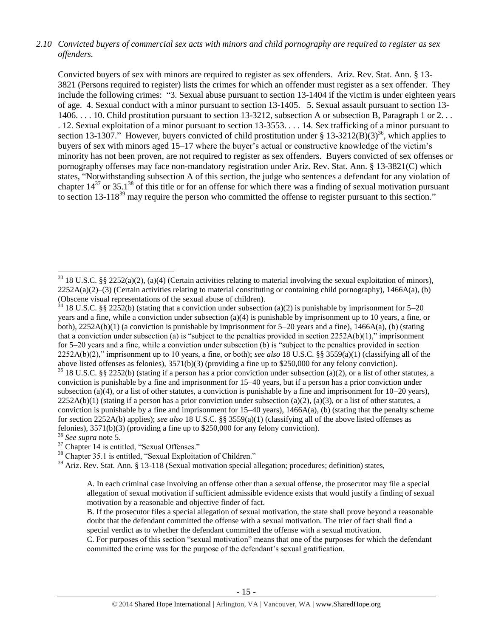# *2.10 Convicted buyers of commercial sex acts with minors and child pornography are required to register as sex offenders.*

Convicted buyers of sex with minors are required to register as sex offenders. Ariz. Rev. Stat. Ann. § 13- 3821 (Persons required to register) lists the crimes for which an offender must register as a sex offender. They include the following crimes: "3. Sexual abuse pursuant to section 13-1404 if the victim is under eighteen years of age. 4. Sexual conduct with a minor pursuant to section 13-1405. 5. Sexual assault pursuant to section 13- 1406. . . . 10. Child prostitution pursuant to section 13-3212, subsection A or subsection B, Paragraph 1 or 2. . . . 12. Sexual exploitation of a minor pursuant to section 13-3553. . . . 14. Sex trafficking of a minor pursuant to section 13-1307." However, buyers convicted of child prostitution under § 13-3212(B)(3)<sup>36</sup>, which applies to buyers of sex with minors aged 15–17 where the buyer's actual or constructive knowledge of the victim's minority has not been proven, are not required to register as sex offenders. Buyers convicted of sex offenses or pornography offenses may face non-mandatory registration under Ariz. Rev. Stat. Ann. § 13-3821(C) which states, "Notwithstanding subsection A of this section, the judge who sentences a defendant for any violation of chapter  $14^{37}$  or 35.1<sup>38</sup> of this title or for an offense for which there was a finding of sexual motivation pursuant to section 13-118<sup>39</sup> may require the person who committed the offense to register pursuant to this section."

<sup>36</sup> *See supra* note [5.](#page-1-0)

 $33$  18 U.S.C. §§ 2252(a)(2), (a)(4) (Certain activities relating to material involving the sexual exploitation of minors),  $2252A(a)(2)$ –(3) (Certain activities relating to material constituting or containing child pornography), 1466A(a), (b) (Obscene visual representations of the sexual abuse of children).

 $34$  18 U.S.C. §§ 2252(b) (stating that a conviction under subsection (a)(2) is punishable by imprisonment for 5–20 years and a fine, while a conviction under subsection (a)(4) is punishable by imprisonment up to 10 years, a fine, or both),  $2252A(b)(1)$  (a conviction is punishable by imprisonment for  $5-20$  years and a fine),  $1466A(a)$ , (b) (stating that a conviction under subsection (a) is "subject to the penalties provided in section  $2252A(b)(1)$ ," imprisonment for 5–20 years and a fine, while a conviction under subsection (b) is "subject to the penalties provided in section 2252A(b)(2)," imprisonment up to 10 years, a fine, or both); *see also* 18 U.S.C. §§ 3559(a)(1) (classifying all of the above listed offenses as felonies), 3571(b)(3) (providing a fine up to \$250,000 for any felony conviction).

 $35$  18 U.S.C. §§ 2252(b) (stating if a person has a prior conviction under subsection (a)(2), or a list of other statutes, a conviction is punishable by a fine and imprisonment for 15–40 years, but if a person has a prior conviction under subsection (a)(4), or a list of other statutes, a conviction is punishable by a fine and imprisonment for  $10-20$  years),  $2252A(b)(1)$  (stating if a person has a prior conviction under subsection (a)(2), (a)(3), or a list of other statutes, a conviction is punishable by a fine and imprisonment for  $15-40$  years),  $1466A(a)$ , (b) (stating that the penalty scheme for section 2252A(b) applies); *see also* 18 U.S.C. §§ 3559(a)(1) (classifying all of the above listed offenses as felonies), 3571(b)(3) (providing a fine up to \$250,000 for any felony conviction).

<sup>&</sup>lt;sup>37</sup> Chapter 14 is entitled, "Sexual Offenses."

<sup>&</sup>lt;sup>38</sup> Chapter 35.1 is entitled, "Sexual Exploitation of Children."

 $39$  Ariz. Rev. Stat. Ann. § 13-118 (Sexual motivation special allegation; procedures; definition) states,

A. In each criminal case involving an offense other than a sexual offense, the prosecutor may file a special allegation of sexual motivation if sufficient admissible evidence exists that would justify a finding of sexual motivation by a reasonable and objective finder of fact.

B. If the prosecutor files a special allegation of sexual motivation, the state shall prove beyond a reasonable doubt that the defendant committed the offense with a sexual motivation. The trier of fact shall find a special verdict as to whether the defendant committed the offense with a sexual motivation.

C. For purposes of this section "sexual motivation" means that one of the purposes for which the defendant committed the crime was for the purpose of the defendant's sexual gratification.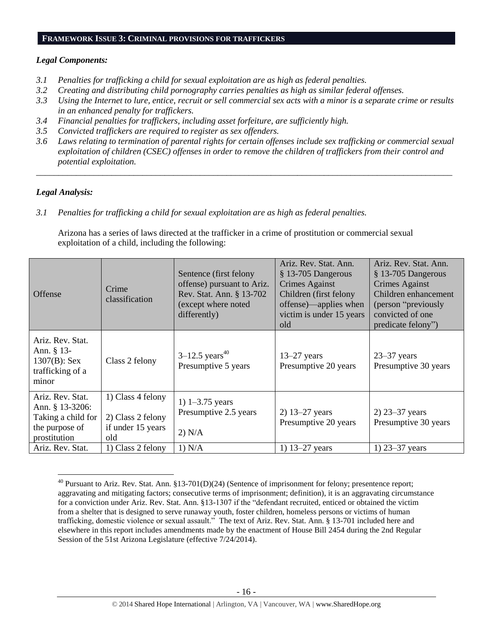#### **FRAMEWORK ISSUE 3: CRIMINAL PROVISIONS FOR TRAFFICKERS**

## *Legal Components:*

- *3.1 Penalties for trafficking a child for sexual exploitation are as high as federal penalties.*
- *3.2 Creating and distributing child pornography carries penalties as high as similar federal offenses.*
- *3.3 Using the Internet to lure, entice, recruit or sell commercial sex acts with a minor is a separate crime or results in an enhanced penalty for traffickers.*
- *3.4 Financial penalties for traffickers, including asset forfeiture, are sufficiently high.*
- *3.5 Convicted traffickers are required to register as sex offenders.*
- *3.6 Laws relating to termination of parental rights for certain offenses include sex trafficking or commercial sexual exploitation of children (CSEC) offenses in order to remove the children of traffickers from their control and potential exploitation.*

*\_\_\_\_\_\_\_\_\_\_\_\_\_\_\_\_\_\_\_\_\_\_\_\_\_\_\_\_\_\_\_\_\_\_\_\_\_\_\_\_\_\_\_\_\_\_\_\_\_\_\_\_\_\_\_\_\_\_\_\_\_\_\_\_\_\_\_\_\_\_\_\_\_\_\_\_\_\_\_\_\_\_\_\_\_\_\_\_\_\_\_\_\_\_*

# *Legal Analysis:*

 $\overline{a}$ 

*3.1 Penalties for trafficking a child for sexual exploitation are as high as federal penalties.* 

Arizona has a series of laws directed at the trafficker in a crime of prostitution or commercial sexual exploitation of a child, including the following:

| <b>Offense</b>                                                                              | Crime<br>classification                                            | Sentence (first felony<br>offense) pursuant to Ariz.<br>Rev. Stat. Ann. § 13-702<br>(except where noted<br>differently) | Ariz, Rev. Stat, Ann.<br>§ 13-705 Dangerous<br><b>Crimes Against</b><br>Children (first felony<br>offense)—applies when<br>victim is under 15 years<br>old | Ariz. Rev. Stat. Ann.<br>§ 13-705 Dangerous<br>Crimes Against<br>Children enhancement<br>(person "previously<br>convicted of one<br>predicate felony") |
|---------------------------------------------------------------------------------------------|--------------------------------------------------------------------|-------------------------------------------------------------------------------------------------------------------------|------------------------------------------------------------------------------------------------------------------------------------------------------------|--------------------------------------------------------------------------------------------------------------------------------------------------------|
| Ariz. Rev. Stat.<br>Ann. $§$ 13-<br>$1307(B)$ : Sex<br>trafficking of a<br>minor            | Class 2 felony                                                     | $3 - 12.5$ years <sup>40</sup><br>Presumptive 5 years                                                                   | $13-27$ years<br>Presumptive 20 years                                                                                                                      | $23 - 37$ years<br>Presumptive 30 years                                                                                                                |
| Ariz. Rev. Stat.<br>Ann. § 13-3206:<br>Taking a child for<br>the purpose of<br>prostitution | 1) Class 4 felony<br>2) Class 2 felony<br>if under 15 years<br>old | 1) $1 - 3.75$ years<br>Presumptive 2.5 years<br>2) N/A                                                                  | $2)$ 13–27 years<br>Presumptive 20 years                                                                                                                   | $2)$ 23–37 years<br>Presumptive 30 years                                                                                                               |
| Ariz. Rev. Stat.                                                                            | 1) Class 2 felony                                                  | 1) N/A                                                                                                                  | 1) $13-27$ years                                                                                                                                           | 1) $23 - 37$ years                                                                                                                                     |

 $^{40}$  Pursuant to Ariz. Rev. Stat. Ann. §13-701(D)(24) (Sentence of imprisonment for felony; presentence report; aggravating and mitigating factors; consecutive terms of imprisonment; definition), it is an aggravating circumstance for a conviction under Ariz. Rev. Stat. Ann. §13-1307 if the "defendant recruited, enticed or obtained the victim from a shelter that is designed to serve runaway youth, foster children, homeless persons or victims of human trafficking, domestic violence or sexual assault." The text of Ariz. Rev. Stat. Ann. § 13-701 included here and elsewhere in this report includes amendments made by the enactment of House Bill 2454 during the 2nd Regular Session of the 51st Arizona Legislature (effective 7/24/2014).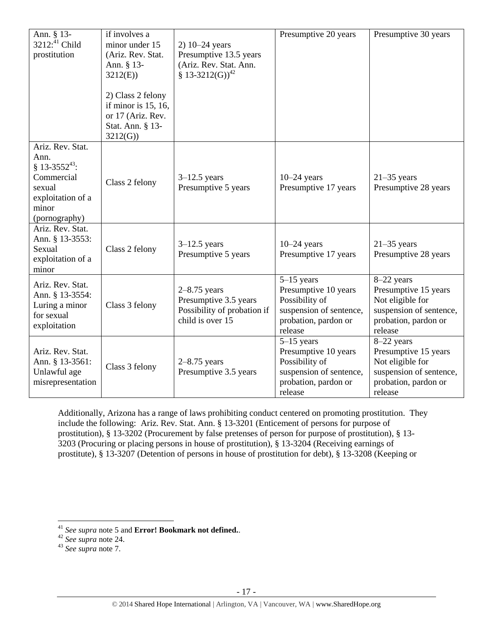| Ann. § 13-<br>$3212:^{41}$ Child<br>prostitution                                                                             | if involves a<br>minor under 15<br>(Ariz. Rev. Stat.<br>Ann. § 13-<br>3212(E)<br>2) Class 2 felony | $2) 10 - 24$ years<br>Presumptive 13.5 years<br>(Ariz. Rev. Stat. Ann.<br>§ 13-3212(G)) <sup>42</sup> | Presumptive 20 years                                                                                                 | Presumptive 30 years                                                                                                 |
|------------------------------------------------------------------------------------------------------------------------------|----------------------------------------------------------------------------------------------------|-------------------------------------------------------------------------------------------------------|----------------------------------------------------------------------------------------------------------------------|----------------------------------------------------------------------------------------------------------------------|
|                                                                                                                              | if minor is $15$ , $16$ ,<br>or 17 (Ariz. Rev.<br>Stat. Ann. § 13-<br>3212(G)                      |                                                                                                       |                                                                                                                      |                                                                                                                      |
| Ariz. Rev. Stat.<br>Ann.<br>§ 13-3552 <sup>43</sup> :<br>Commercial<br>sexual<br>exploitation of a<br>minor<br>(pornography) | Class 2 felony                                                                                     | $3-12.5$ years<br>Presumptive 5 years                                                                 | $10-24$ years<br>Presumptive 17 years                                                                                | $21-35$ years<br>Presumptive 28 years                                                                                |
| Ariz. Rev. Stat.<br>Ann. § 13-3553:<br>Sexual<br>exploitation of a<br>minor                                                  | Class 2 felony                                                                                     | $3-12.5$ years<br>Presumptive 5 years                                                                 | $10-24$ years<br>Presumptive 17 years                                                                                | $21-35$ years<br>Presumptive 28 years                                                                                |
| Ariz. Rev. Stat.<br>Ann. § 13-3554:<br>Luring a minor<br>for sexual<br>exploitation                                          | Class 3 felony                                                                                     | $2-8.75$ years<br>Presumptive 3.5 years<br>Possibility of probation if<br>child is over 15            | $5-15$ years<br>Presumptive 10 years<br>Possibility of<br>suspension of sentence,<br>probation, pardon or<br>release | 8-22 years<br>Presumptive 15 years<br>Not eligible for<br>suspension of sentence,<br>probation, pardon or<br>release |
| Ariz. Rev. Stat.<br>Ann. § 13-3561:<br>Unlawful age<br>misrepresentation                                                     | Class 3 felony                                                                                     | $2-8.75$ years<br>Presumptive 3.5 years                                                               | $5-15$ years<br>Presumptive 10 years<br>Possibility of<br>suspension of sentence,<br>probation, pardon or<br>release | 8-22 years<br>Presumptive 15 years<br>Not eligible for<br>suspension of sentence,<br>probation, pardon or<br>release |

Additionally, Arizona has a range of laws prohibiting conduct centered on promoting prostitution. They include the following: Ariz. Rev. Stat. Ann. § 13-3201 (Enticement of persons for purpose of prostitution), § 13-3202 (Procurement by false pretenses of person for purpose of prostitution), § 13- 3203 (Procuring or placing persons in house of prostitution), § 13-3204 (Receiving earnings of prostitute), § 13-3207 (Detention of persons in house of prostitution for debt), § 13-3208 (Keeping or

<sup>41</sup> *See supra* note [5](#page-1-0) and **Error! Bookmark not defined.**.

<sup>42</sup> *See supra* note [24.](#page-9-0)

<sup>43</sup> *See supra* note [7.](#page-2-0)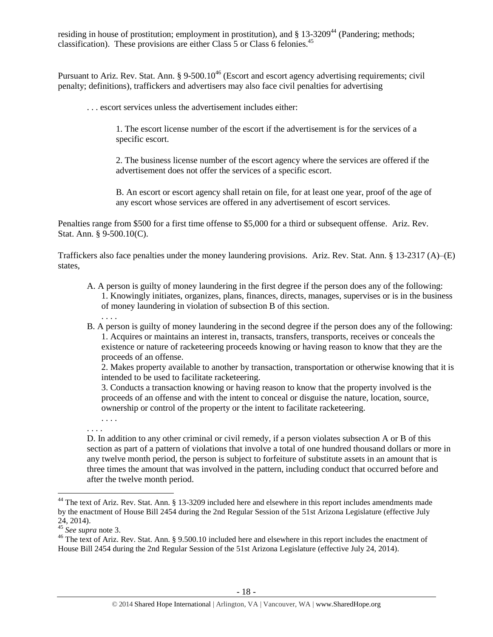residing in house of prostitution; employment in prostitution), and  $\S$  13-3209<sup>44</sup> (Pandering; methods; classification). These provisions are either Class 5 or Class 6 felonies.<sup>45</sup>

Pursuant to Ariz. Rev. Stat. Ann. § 9-500.10<sup>46</sup> (Escort and escort agency advertising requirements; civil penalty; definitions), traffickers and advertisers may also face civil penalties for advertising

. . . escort services unless the advertisement includes either:

<span id="page-17-0"></span>1. The escort license number of the escort if the advertisement is for the services of a specific escort.

2. The business license number of the escort agency where the services are offered if the advertisement does not offer the services of a specific escort.

B. An escort or escort agency shall retain on file, for at least one year, proof of the age of any escort whose services are offered in any advertisement of escort services.

Penalties range from \$500 for a first time offense to \$5,000 for a third or subsequent offense. Ariz. Rev. Stat. Ann. § 9-500.10(C).

Traffickers also face penalties under the money laundering provisions. Ariz. Rev. Stat. Ann. § 13-2317 (A)–(E) states,

- A. A person is guilty of money laundering in the first degree if the person does any of the following: 1. Knowingly initiates, organizes, plans, finances, directs, manages, supervises or is in the business of money laundering in violation of subsection B of this section.
- B. A person is guilty of money laundering in the second degree if the person does any of the following: 1. Acquires or maintains an interest in, transacts, transfers, transports, receives or conceals the existence or nature of racketeering proceeds knowing or having reason to know that they are the proceeds of an offense.

2. Makes property available to another by transaction, transportation or otherwise knowing that it is intended to be used to facilitate racketeering.

3. Conducts a transaction knowing or having reason to know that the property involved is the proceeds of an offense and with the intent to conceal or disguise the nature, location, source, ownership or control of the property or the intent to facilitate racketeering.

. . . . D. In addition to any other criminal or civil remedy, if a person violates subsection A or B of this section as part of a pattern of violations that involve a total of one hundred thousand dollars or more in any twelve month period, the person is subject to forfeiture of substitute assets in an amount that is three times the amount that was involved in the pattern, including conduct that occurred before and after the twelve month period.

 $\overline{a}$ 

. . . .

. . . .

 $44$  The text of Ariz. Rev. Stat. Ann. § 13-3209 included here and elsewhere in this report includes amendments made by the enactment of House Bill 2454 during the 2nd Regular Session of the 51st Arizona Legislature (effective July 24, 2014).

 $^{24}$ <sup>45</sup> *See supra* note [3.](#page-1-1)

<sup>&</sup>lt;sup>46</sup> The text of Ariz. Rev. Stat. Ann. § 9.500.10 included here and elsewhere in this report includes the enactment of House Bill 2454 during the 2nd Regular Session of the 51st Arizona Legislature (effective July 24, 2014).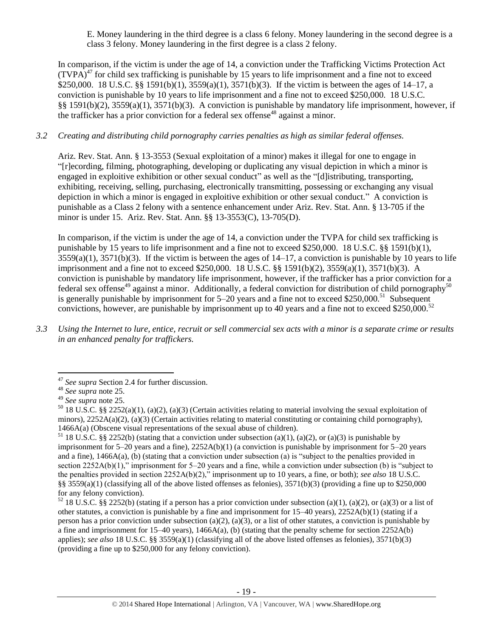E. Money laundering in the third degree is a class 6 felony. Money laundering in the second degree is a class 3 felony. Money laundering in the first degree is a class 2 felony.

In comparison, if the victim is under the age of 14, a conviction under the Trafficking Victims Protection Act  $(TVPA)<sup>47</sup>$  for child sex trafficking is punishable by 15 years to life imprisonment and a fine not to exceed \$250,000. 18 U.S.C. §§ 1591(b)(1), 3559(a)(1), 3571(b)(3). If the victim is between the ages of 14–17, a conviction is punishable by 10 years to life imprisonment and a fine not to exceed \$250,000. 18 U.S.C. §§ 1591(b)(2), 3559(a)(1), 3571(b)(3). A conviction is punishable by mandatory life imprisonment, however, if the trafficker has a prior conviction for a federal sex offense<sup>48</sup> against a minor.

## *3.2 Creating and distributing child pornography carries penalties as high as similar federal offenses.*

Ariz. Rev. Stat. Ann. § 13-3553 (Sexual exploitation of a minor) makes it illegal for one to engage in "[r]ecording, filming, photographing, developing or duplicating any visual depiction in which a minor is engaged in exploitive exhibition or other sexual conduct" as well as the "[d]istributing, transporting, exhibiting, receiving, selling, purchasing, electronically transmitting, possessing or exchanging any visual depiction in which a minor is engaged in exploitive exhibition or other sexual conduct." A conviction is punishable as a Class 2 felony with a sentence enhancement under Ariz. Rev. Stat. Ann. § 13-705 if the minor is under 15. Ariz. Rev. Stat. Ann. §§ 13-3553(C), 13-705(D).

In comparison, if the victim is under the age of 14, a conviction under the TVPA for child sex trafficking is punishable by 15 years to life imprisonment and a fine not to exceed \$250,000. 18 U.S.C. §§ 1591(b)(1),  $3559(a)(1)$ ,  $3571(b)(3)$ . If the victim is between the ages of  $14-17$ , a conviction is punishable by 10 years to life imprisonment and a fine not to exceed \$250,000. 18 U.S.C. §§ 1591(b)(2), 3559(a)(1), 3571(b)(3). A conviction is punishable by mandatory life imprisonment, however, if the trafficker has a prior conviction for a federal sex offense<sup>49</sup> against a minor. Additionally, a federal conviction for distribution of child pornography<sup>50</sup> is generally punishable by imprisonment for  $5-20$  years and a fine not to exceed \$250,000.<sup>51</sup> Subsequent convictions, however, are punishable by imprisonment up to 40 years and a fine not to exceed \$250,000.<sup>52</sup>

*3.3 Using the Internet to lure, entice, recruit or sell commercial sex acts with a minor is a separate crime or results in an enhanced penalty for traffickers.*

 $\overline{a}$ <sup>47</sup> *See supra* Section 2.4 for further discussion.

<sup>48</sup> *See supra* note [25.](#page-10-0)

<sup>49</sup> *See supra* note [25.](#page-10-0)

 $50$  18 U.S.C. §§ 2252(a)(1), (a)(2), (a)(3) (Certain activities relating to material involving the sexual exploitation of minors),  $2252A(a)(2)$ , (a)(3) (Certain activities relating to material constituting or containing child pornography), 1466A(a) (Obscene visual representations of the sexual abuse of children).

<sup>&</sup>lt;sup>51</sup> 18 U.S.C. §§ 2252(b) (stating that a conviction under subsection (a)(1), (a)(2), or (a)(3) is punishable by imprisonment for 5–20 years and a fine), 2252A(b)(1) (a conviction is punishable by imprisonment for 5–20 years and a fine), 1466A(a), (b) (stating that a conviction under subsection (a) is "subject to the penalties provided in section 2252A(b)(1)," imprisonment for 5–20 years and a fine, while a conviction under subsection (b) is "subject to the penalties provided in section 2252A(b)(2)," imprisonment up to 10 years, a fine, or both); *see also* 18 U.S.C. §§ 3559(a)(1) (classifying all of the above listed offenses as felonies),  $3571(b)(3)$  (providing a fine up to \$250,000 for any felony conviction).

 $52$  18 U.S.C. §§ 2252(b) (stating if a person has a prior conviction under subsection (a)(1), (a)(2), or (a)(3) or a list of other statutes, a conviction is punishable by a fine and imprisonment for  $15-40$  years),  $2252A(b)(1)$  (stating if a person has a prior conviction under subsection (a)(2), (a)(3), or a list of other statutes, a conviction is punishable by a fine and imprisonment for 15–40 years), 1466A(a), (b) (stating that the penalty scheme for section 2252A(b) applies); *see also* 18 U.S.C. §§ 3559(a)(1) (classifying all of the above listed offenses as felonies), 3571(b)(3) (providing a fine up to \$250,000 for any felony conviction).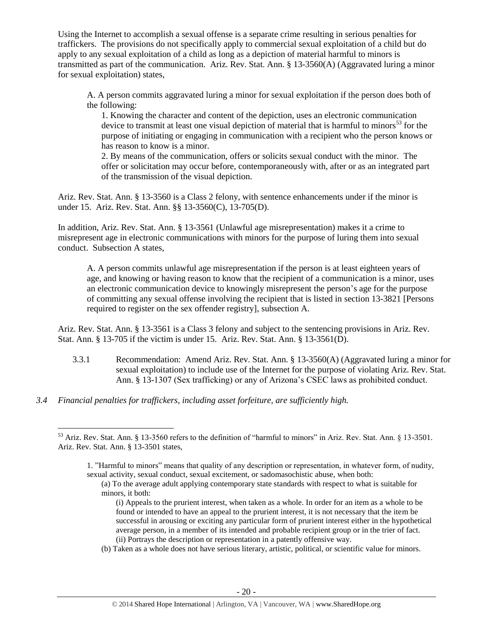Using the Internet to accomplish a sexual offense is a separate crime resulting in serious penalties for traffickers. The provisions do not specifically apply to commercial sexual exploitation of a child but do apply to any sexual exploitation of a child as long as a depiction of material harmful to minors is transmitted as part of the communication. Ariz. Rev. Stat. Ann. § 13-3560(A) (Aggravated luring a minor for sexual exploitation) states,

A. A person commits aggravated luring a minor for sexual exploitation if the person does both of the following:

1. Knowing the character and content of the depiction, uses an electronic communication device to transmit at least one visual depiction of material that is harmful to minors<sup>53</sup> for the purpose of initiating or engaging in communication with a recipient who the person knows or has reason to know is a minor.

2. By means of the communication, offers or solicits sexual conduct with the minor. The offer or solicitation may occur before, contemporaneously with, after or as an integrated part of the transmission of the visual depiction.

Ariz. Rev. Stat. Ann. § 13-3560 is a Class 2 felony, with sentence enhancements under if the minor is under 15. Ariz. Rev. Stat. Ann. §§ 13-3560(C), 13-705(D).

In addition, Ariz. Rev. Stat. Ann. § 13-3561 (Unlawful age misrepresentation) makes it a crime to misrepresent age in electronic communications with minors for the purpose of luring them into sexual conduct. Subsection A states,

A. A person commits unlawful age misrepresentation if the person is at least eighteen years of age, and knowing or having reason to know that the recipient of a communication is a minor, uses an electronic communication device to knowingly misrepresent the person's age for the purpose of committing any sexual offense involving the recipient that is listed in [section 13-3821](https://www.lexis.com/research/buttonTFLink?_m=090cb2535ee035315844633f6dc755af&_xfercite=%3ccite%20cc%3d%22USA%22%3e%3c%21%5bCDATA%5bA.R.S.%20%a7%2013-3561%5d%5d%3e%3c%2fcite%3e&_butType=4&_butStat=0&_butNum=2&_butInline=1&_butinfo=AZCODE%2013-3821&_fmtstr=FULL&docnum=1&_startdoc=1&wchp=dGLzVlz-zSkAz&_md5=79822e9548f774d4abd7be509d74901f) [Persons required to register on the sex offender registry], subsection A.

Ariz. Rev. Stat. Ann. § 13-3561 is a Class 3 felony and subject to the sentencing provisions in Ariz. Rev. Stat. Ann. § 13-705 if the victim is under 15. Ariz. Rev. Stat. Ann. § 13-3561(D).

- 3.3.1 Recommendation: Amend Ariz. Rev. Stat. Ann. § 13-3560(A) (Aggravated luring a minor for sexual exploitation) to include use of the Internet for the purpose of violating Ariz. Rev. Stat. Ann. § 13-1307 (Sex trafficking) or any of Arizona's CSEC laws as prohibited conduct.
- *3.4 Financial penalties for traffickers, including asset forfeiture, are sufficiently high.*

<sup>53</sup> Ariz. Rev. Stat. Ann. § 13-3560 refers to the definition of "harmful to minors" in Ariz. Rev. Stat. Ann. § 13-3501. Ariz. Rev. Stat. Ann. § 13-3501 states,

<sup>1.</sup> "Harmful to minors" means that quality of any description or representation, in whatever form, of nudity, sexual activity, sexual conduct, sexual excitement, or sadomasochistic abuse, when both:

<sup>(</sup>a) To the average adult applying contemporary state standards with respect to what is suitable for minors, it both:

<sup>(</sup>i) Appeals to the prurient interest, when taken as a whole. In order for an item as a whole to be found or intended to have an appeal to the prurient interest, it is not necessary that the item be successful in arousing or exciting any particular form of prurient interest either in the hypothetical average person, in a member of its intended and probable recipient group or in the trier of fact. (ii) Portrays the description or representation in a patently offensive way.

<sup>(</sup>b) Taken as a whole does not have serious literary, artistic, political, or scientific value for minors.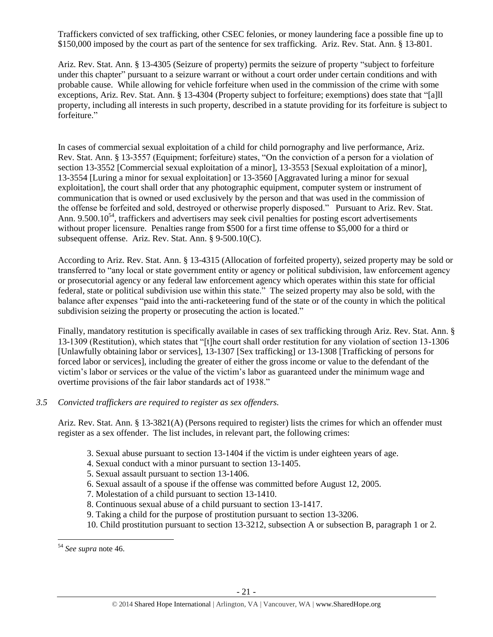Traffickers convicted of sex trafficking, other CSEC felonies, or money laundering face a possible fine up to \$150,000 imposed by the court as part of the sentence for sex trafficking. Ariz. Rev. Stat. Ann. § 13-801.

Ariz. Rev. Stat. Ann. § 13-4305 (Seizure of property) permits the seizure of property "subject to forfeiture under this chapter" pursuant to a seizure warrant or without a court order under certain conditions and with probable cause. While allowing for vehicle forfeiture when used in the commission of the crime with some exceptions, Ariz. Rev. Stat. Ann. § 13-4304 (Property subject to forfeiture; exemptions) does state that "[a]ll property, including all interests in such property, described in a statute providing for its forfeiture is subject to forfeiture."

In cases of commercial sexual exploitation of a child for child pornography and live performance, Ariz. Rev. Stat. Ann. § 13-3557 (Equipment; forfeiture) states, "On the conviction of a person for a violation of section 13-3552 [Commercial sexual exploitation of a minor], 13-3553 [Sexual exploitation of a minor], 13-3554 [Luring a minor for sexual exploitation] or 13-3560 [Aggravated luring a minor for sexual exploitation], the court shall order that any photographic equipment, computer system or instrument of communication that is owned or used exclusively by the person and that was used in the commission of the offense be forfeited and sold, destroyed or otherwise properly disposed." Pursuant to Ariz. Rev. Stat. Ann. 9.500.10<sup>54</sup>, traffickers and advertisers may seek civil penalties for posting escort advertisements without proper licensure. Penalties range from \$500 for a first time offense to \$5,000 for a third or subsequent offense. Ariz. Rev. Stat. Ann. § 9-500.10(C).

According to Ariz. Rev. Stat. Ann. § 13-4315 (Allocation of forfeited property), seized property may be sold or transferred to "any local or state government entity or agency or political subdivision, law enforcement agency or prosecutorial agency or any federal law enforcement agency which operates within this state for official federal, state or political subdivision use within this state." The seized property may also be sold, with the balance after expenses "paid into the anti-racketeering fund of the state or of the county in which the political subdivision seizing the property or prosecuting the action is located."

Finally, mandatory restitution is specifically available in cases of sex trafficking through Ariz. Rev. Stat. Ann. § 13-1309 (Restitution), which states that "[t]he court shall order restitution for any violation of section 13-1306 [Unlawfully obtaining labor or services], 13-1307 [Sex trafficking] or 13-1308 [Trafficking of persons for forced labor or services], including the greater of either the gross income or value to the defendant of the victim's labor or services or the value of the victim's labor as guaranteed under the minimum wage and overtime provisions of the fair labor standards act of 1938."

## *3.5 Convicted traffickers are required to register as sex offenders.*

Ariz. Rev. Stat. Ann. § 13-3821(A) (Persons required to register) lists the crimes for which an offender must register as a sex offender. The list includes, in relevant part, the following crimes:

- 3. Sexual abuse pursuant to section 13-1404 if the victim is under eighteen years of age.
- 4. Sexual conduct with a minor pursuant to section 13-1405.
- 5. Sexual assault pursuant to section 13-1406.
- 6. Sexual assault of a spouse if the offense was committed before August 12, 2005.
- 7. Molestation of a child pursuant to section 13-1410.
- 8. Continuous sexual abuse of a child pursuant to section 13-1417.
- 9. Taking a child for the purpose of prostitution pursuant to section 13-3206.
- 10. Child prostitution pursuant to section 13-3212, subsection A or subsection B, paragraph 1 or 2.

<sup>54</sup> *See supra* note [46.](#page-17-0)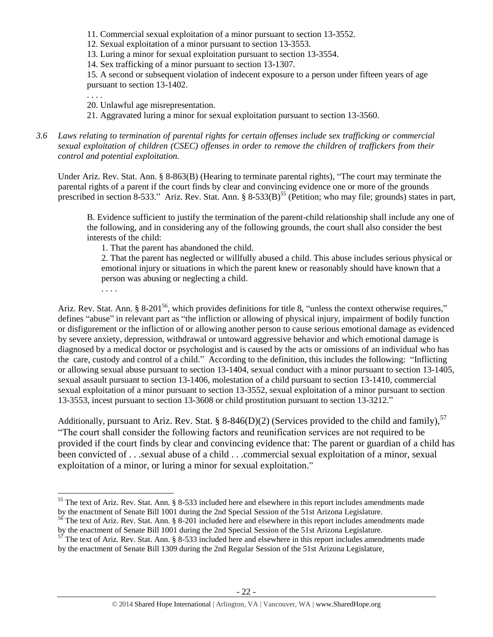- 11. Commercial sexual exploitation of a minor pursuant to section 13-3552.
- 12. Sexual exploitation of a minor pursuant to section 13-3553.
- 13. Luring a minor for sexual exploitation pursuant to section 13-3554.
- 14. Sex trafficking of a minor pursuant to section 13-1307.

15. A second or subsequent violation of indecent exposure to a person under fifteen years of age pursuant to section 13-1402.

. . . .

#### 20. Unlawful age misrepresentation.

21. Aggravated luring a minor for sexual exploitation pursuant to section 13-3560.

*3.6 Laws relating to termination of parental rights for certain offenses include sex trafficking or commercial sexual exploitation of children (CSEC) offenses in order to remove the children of traffickers from their control and potential exploitation.* 

Under Ariz. Rev. Stat. Ann. § 8-863(B) (Hearing to terminate parental rights), "The court may terminate the parental rights of a parent if the court finds by clear and convincing evidence one or more of the grounds prescribed in section 8-533." Ariz. Rev. Stat. Ann. §  $8-533(B)^{55}$  (Petition; who may file; grounds) states in part,

B. Evidence sufficient to justify the termination of the parent-child relationship shall include any one of the following, and in considering any of the following grounds, the court shall also consider the best interests of the child:

1. That the parent has abandoned the child.

2. That the parent has neglected or willfully abused a child. This abuse includes serious physical or emotional injury or situations in which the parent knew or reasonably should have known that a person was abusing or neglecting a child.

<span id="page-21-0"></span>. . . .

 $\overline{a}$ 

Ariz. Rev. Stat. Ann. § 8-201<sup>56</sup>, which provides definitions for title 8, "unless the context otherwise requires," defines "abuse" in relevant part as "the infliction or allowing of physical injury, impairment of bodily function or disfigurement or the infliction of or allowing another person to cause serious emotional damage as evidenced by severe anxiety, depression, withdrawal or untoward aggressive behavior and which emotional damage is diagnosed by a medical doctor or psychologist and is caused by the acts or omissions of an individual who has the care, custody and control of a child." According to the definition, this includes the following: "Inflicting or allowing sexual abuse pursuant to section 13-1404, sexual conduct with a minor pursuant to section 13-1405, sexual assault pursuant to section 13-1406, molestation of a child pursuant to section 13-1410, commercial sexual exploitation of a minor pursuant to section 13-3552, sexual exploitation of a minor pursuant to section 13-3553, incest pursuant to section 13-3608 or child prostitution pursuant to section 13-3212."

Additionally, pursuant to Ariz. Rev. Stat. § 8-846(D)(2) (Services provided to the child and family),  $57$ "The court shall consider the following factors and reunification services are not required to be provided if the court finds by clear and convincing evidence that: The parent or guardian of a child has been convicted of . . .sexual abuse of a child . . .commercial sexual exploitation of a minor, sexual exploitation of a minor, or luring a minor for sexual exploitation."

 $55$  The text of Ariz. Rev. Stat. Ann. § 8-533 included here and elsewhere in this report includes amendments made by the enactment of Senate Bill 1001 during the 2nd Special Session of the 51st Arizona Legislature.

<sup>&</sup>lt;sup>56</sup> The text of Ariz. Rev. Stat. Ann. § 8-201 included here and elsewhere in this report includes amendments made by the enactment of Senate Bill 1001 during the 2nd Special Session of the 51st Arizona Legislature.

 $5^7$  The text of Ariz. Rev. Stat. Ann. § 8-533 included here and elsewhere in this report includes amendments made by the enactment of Senate Bill 1309 during the 2nd Regular Session of the 51st Arizona Legislature,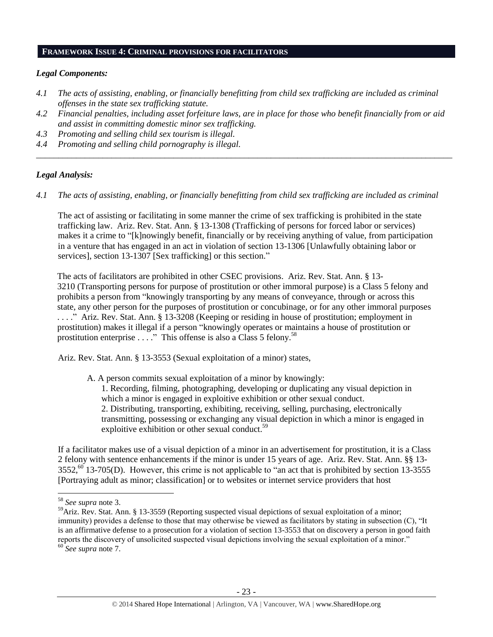#### **FRAMEWORK ISSUE 4: CRIMINAL PROVISIONS FOR FACILITATORS**

#### *Legal Components:*

- *4.1 The acts of assisting, enabling, or financially benefitting from child sex trafficking are included as criminal offenses in the state sex trafficking statute.*
- *4.2 Financial penalties, including asset forfeiture laws, are in place for those who benefit financially from or aid and assist in committing domestic minor sex trafficking.*

*\_\_\_\_\_\_\_\_\_\_\_\_\_\_\_\_\_\_\_\_\_\_\_\_\_\_\_\_\_\_\_\_\_\_\_\_\_\_\_\_\_\_\_\_\_\_\_\_\_\_\_\_\_\_\_\_\_\_\_\_\_\_\_\_\_\_\_\_\_\_\_\_\_\_\_\_\_\_\_\_\_\_\_\_\_\_\_\_\_\_\_\_\_\_*

- *4.3 Promoting and selling child sex tourism is illegal.*
- *4.4 Promoting and selling child pornography is illegal.*

## *Legal Analysis:*

*4.1 The acts of assisting, enabling, or financially benefitting from child sex trafficking are included as criminal* 

The act of assisting or facilitating in some manner the crime of sex trafficking is prohibited in the state trafficking law. Ariz. Rev. Stat. Ann. § 13-1308 (Trafficking of persons for forced labor or services) makes it a crime to "[k]nowingly benefit, financially or by receiving anything of value, from participation in a venture that has engaged in an act in violation of section 13-1306 [Unlawfully obtaining labor or services], section 13-1307 [Sex trafficking] or this section."

The acts of facilitators are prohibited in other CSEC provisions. Ariz. Rev. Stat. Ann. § 13- 3210 (Transporting persons for purpose of prostitution or other immoral purpose) is a Class 5 felony and prohibits a person from "knowingly transporting by any means of conveyance, through or across this state, any other person for the purposes of prostitution or concubinage, or for any other immoral purposes . . . ." Ariz. Rev. Stat. Ann. § 13-3208 (Keeping or residing in house of prostitution; employment in prostitution) makes it illegal if a person "knowingly operates or maintains a house of prostitution or prostitution enterprise  $\ldots$ ." This offense is also a Class 5 felony.<sup>58</sup>

Ariz. Rev. Stat. Ann. § 13-3553 (Sexual exploitation of a minor) states,

A. A person commits sexual exploitation of a minor by knowingly:

1. Recording, filming, photographing, developing or duplicating any visual depiction in which a minor is engaged in exploitive exhibition or other sexual conduct. 2. Distributing, transporting, exhibiting, receiving, selling, purchasing, electronically transmitting, possessing or exchanging any visual depiction in which a minor is engaged in exploitive exhibition or other sexual conduct.<sup>59</sup>

If a facilitator makes use of a visual depiction of a minor in an advertisement for prostitution, it is a Class 2 felony with sentence enhancements if the minor is under 15 years of age. Ariz. Rev. Stat. Ann. §§ 13-  $3552, ^{60}$  13-705(D). However, this crime is not applicable to "an act that is prohibited by section 13-3555 [Portraying adult as minor; classification] or to websites or internet service providers that host

<sup>58</sup> *See supra* note [3.](#page-1-1)

<sup>&</sup>lt;sup>59</sup>Ariz. Rev. Stat. Ann. § 13-3559 (Reporting suspected visual depictions of sexual exploitation of a minor; immunity) provides a defense to those that may otherwise be viewed as facilitators by stating in subsection (C), "It is an affirmative defense to a prosecution for a violation of section 13-3553 that on discovery a person in good faith reports the discovery of unsolicited suspected visual depictions involving the sexual exploitation of a minor." <sup>60</sup> *See supra* note [7.](#page-2-0)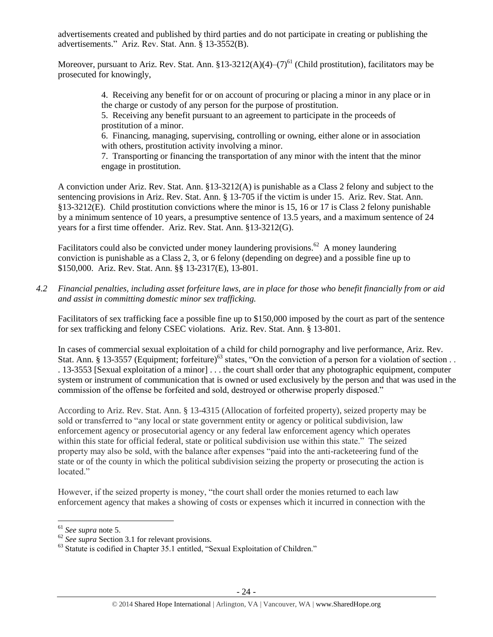advertisements created and published by third parties and do not participate in creating or publishing the advertisements." Ariz. Rev. Stat. Ann. § 13-3552(B).

Moreover, pursuant to Ariz. Rev. Stat. Ann. §13-3212(A)(4)–(7)<sup>61</sup> (Child prostitution), facilitators may be prosecuted for knowingly,

> 4. Receiving any benefit for or on account of procuring or placing a minor in any place or in the charge or custody of any person for the purpose of prostitution.

5. Receiving any benefit pursuant to an agreement to participate in the proceeds of prostitution of a minor.

6. Financing, managing, supervising, controlling or owning, either alone or in association with others, prostitution activity involving a minor.

7. Transporting or financing the transportation of any minor with the intent that the minor engage in prostitution.

A conviction under Ariz. Rev. Stat. Ann. §13-3212(A) is punishable as a Class 2 felony and subject to the sentencing provisions in Ariz. Rev. Stat. Ann. § 13-705 if the victim is under 15. Ariz. Rev. Stat. Ann. §13-3212(E). Child prostitution convictions where the minor is 15, 16 or 17 is Class 2 felony punishable by a minimum sentence of 10 years, a presumptive sentence of 13.5 years, and a maximum sentence of 24 years for a first time offender. Ariz. Rev. Stat. Ann. §13-3212(G).

Facilitators could also be convicted under money laundering provisions. $^{62}$  A money laundering conviction is punishable as a Class 2, 3, or 6 felony (depending on degree) and a possible fine up to \$150,000. Ariz. Rev. Stat. Ann. §§ 13-2317(E), 13-801.

*4.2 Financial penalties, including asset forfeiture laws, are in place for those who benefit financially from or aid and assist in committing domestic minor sex trafficking.*

Facilitators of sex trafficking face a possible fine up to \$150,000 imposed by the court as part of the sentence for sex trafficking and felony CSEC violations. Ariz. Rev. Stat. Ann. § 13-801.

In cases of commercial sexual exploitation of a child for child pornography and live performance, Ariz. Rev. Stat. Ann. § 13-3557 (Equipment; forfeiture)<sup>63</sup> states, "On the conviction of a person for a violation of section . . . 13-3553 [Sexual exploitation of a minor] . . . the court shall order that any photographic equipment, computer system or instrument of communication that is owned or used exclusively by the person and that was used in the commission of the offense be forfeited and sold, destroyed or otherwise properly disposed."

According to Ariz. Rev. Stat. Ann. § 13-4315 (Allocation of forfeited property), seized property may be sold or transferred to "any local or state government entity or agency or political subdivision, law enforcement agency or prosecutorial agency or any federal law enforcement agency which operates within this state for official federal, state or political subdivision use within this state." The seized property may also be sold, with the balance after expenses "paid into the anti-racketeering fund of the state or of the county in which the political subdivision seizing the property or prosecuting the action is located."

However, if the seized property is money, "the court shall order the monies returned to each law enforcement agency that makes a showing of costs or expenses which it incurred in connection with the

<sup>61</sup> *See supra* note [5.](#page-1-0)

<sup>&</sup>lt;sup>62</sup> *See supra* Section 3.1 for relevant provisions.

<sup>&</sup>lt;sup>63</sup> Statute is codified in Chapter 35.1 entitled, "Sexual Exploitation of Children."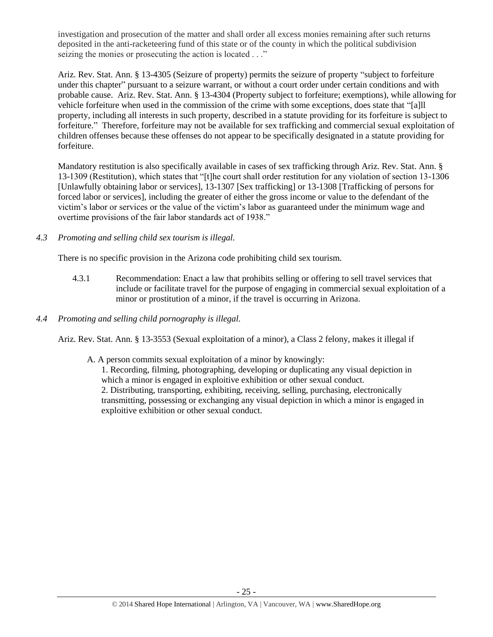investigation and prosecution of the matter and shall order all excess monies remaining after such returns deposited in the anti-racketeering fund of this state or of the county in which the political subdivision seizing the monies or prosecuting the action is located . . ."

Ariz. Rev. Stat. Ann. § 13-4305 (Seizure of property) permits the seizure of property "subject to forfeiture under this chapter" pursuant to a seizure warrant, or without a court order under certain conditions and with probable cause. Ariz. Rev. Stat. Ann. § 13-4304 (Property subject to forfeiture; exemptions), while allowing for vehicle forfeiture when used in the commission of the crime with some exceptions, does state that "[a]ll property, including all interests in such property, described in a statute providing for its forfeiture is subject to forfeiture." Therefore, forfeiture may not be available for sex trafficking and commercial sexual exploitation of children offenses because these offenses do not appear to be specifically designated in a statute providing for forfeiture.

Mandatory restitution is also specifically available in cases of sex trafficking through Ariz. Rev. Stat. Ann. § 13-1309 (Restitution), which states that "[t]he court shall order restitution for any violation of section 13-1306 [Unlawfully obtaining labor or services], 13-1307 [Sex trafficking] or 13-1308 [Trafficking of persons for forced labor or services], including the greater of either the gross income or value to the defendant of the victim's labor or services or the value of the victim's labor as guaranteed under the minimum wage and overtime provisions of the fair labor standards act of 1938."

## *4.3 Promoting and selling child sex tourism is illegal.*

There is no specific provision in the Arizona code prohibiting child sex tourism.

4.3.1 Recommendation: Enact a law that prohibits selling or offering to sell travel services that include or facilitate travel for the purpose of engaging in commercial sexual exploitation of a minor or prostitution of a minor, if the travel is occurring in Arizona.

# *4.4 Promoting and selling child pornography is illegal.*

Ariz. Rev. Stat. Ann. § 13-3553 (Sexual exploitation of a minor), a Class 2 felony, makes it illegal if

A. A person commits sexual exploitation of a minor by knowingly:

1. Recording, filming, photographing, developing or duplicating any visual depiction in which a minor is engaged in exploitive exhibition or other sexual conduct. 2. Distributing, transporting, exhibiting, receiving, selling, purchasing, electronically transmitting, possessing or exchanging any visual depiction in which a minor is engaged in exploitive exhibition or other sexual conduct.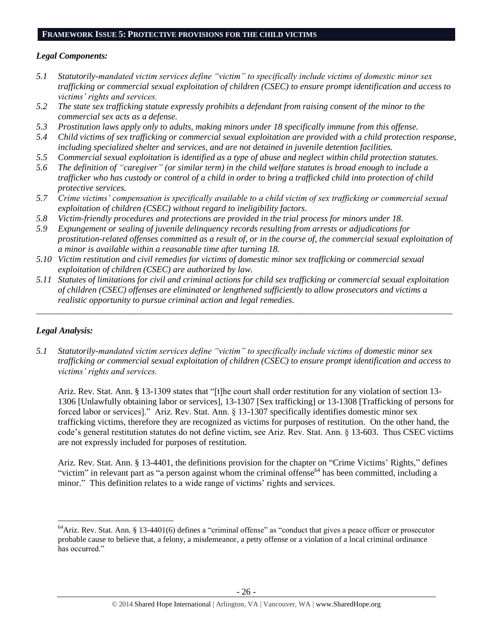#### **FRAMEWORK ISSUE 5: PROTECTIVE PROVISIONS FOR THE CHILD VICTIMS**

## *Legal Components:*

- *5.1 Statutorily-mandated victim services define "victim" to specifically include victims of domestic minor sex trafficking or commercial sexual exploitation of children (CSEC) to ensure prompt identification and access to victims' rights and services.*
- *5.2 The state sex trafficking statute expressly prohibits a defendant from raising consent of the minor to the commercial sex acts as a defense.*
- *5.3 Prostitution laws apply only to adults, making minors under 18 specifically immune from this offense.*
- *5.4 Child victims of sex trafficking or commercial sexual exploitation are provided with a child protection response, including specialized shelter and services, and are not detained in juvenile detention facilities.*
- *5.5 Commercial sexual exploitation is identified as a type of abuse and neglect within child protection statutes.*
- *5.6 The definition of "caregiver" (or similar term) in the child welfare statutes is broad enough to include a trafficker who has custody or control of a child in order to bring a trafficked child into protection of child protective services.*
- *5.7 Crime victims' compensation is specifically available to a child victim of sex trafficking or commercial sexual exploitation of children (CSEC) without regard to ineligibility factors.*
- *5.8 Victim-friendly procedures and protections are provided in the trial process for minors under 18.*
- *5.9 Expungement or sealing of juvenile delinquency records resulting from arrests or adjudications for prostitution-related offenses committed as a result of, or in the course of, the commercial sexual exploitation of a minor is available within a reasonable time after turning 18.*
- *5.10 Victim restitution and civil remedies for victims of domestic minor sex trafficking or commercial sexual exploitation of children (CSEC) are authorized by law.*
- *5.11 Statutes of limitations for civil and criminal actions for child sex trafficking or commercial sexual exploitation of children (CSEC) offenses are eliminated or lengthened sufficiently to allow prosecutors and victims a realistic opportunity to pursue criminal action and legal remedies.*

*\_\_\_\_\_\_\_\_\_\_\_\_\_\_\_\_\_\_\_\_\_\_\_\_\_\_\_\_\_\_\_\_\_\_\_\_\_\_\_\_\_\_\_\_\_\_\_\_\_\_\_\_\_\_\_\_\_\_\_\_\_\_\_\_\_\_\_\_\_\_\_\_\_\_\_\_\_\_\_\_\_\_\_\_\_\_\_\_\_\_\_\_\_\_*

# *Legal Analysis:*

 $\overline{a}$ 

*5.1 Statutorily-mandated victim services define "victim" to specifically include victims of domestic minor sex trafficking or commercial sexual exploitation of children (CSEC) to ensure prompt identification and access to victims' rights and services.* 

Ariz. Rev. Stat. Ann. § 13-1309 states that "[t]he court shall order restitution for any violation of section 13- 1306 [Unlawfully obtaining labor or services], 13-1307 [Sex trafficking] or 13-1308 [Trafficking of persons for forced labor or services]." Ariz. Rev. Stat. Ann. § 13-1307 specifically identifies domestic minor sex trafficking victims, therefore they are recognized as victims for purposes of restitution. On the other hand, the code's general restitution statutes do not define victim, see Ariz. Rev. Stat. Ann. § 13-603. Thus CSEC victims are not expressly included for purposes of restitution.

Ariz. Rev. Stat. Ann. § 13-4401, the definitions provision for the chapter on "Crime Victims' Rights," defines "victim" in relevant part as "a person against whom the criminal offense<sup>64</sup> has been committed, including a minor." This definition relates to a wide range of victims' rights and services.

 $64$ Ariz. Rev. Stat. Ann. § 13-4401(6) defines a "criminal offense" as "conduct that gives a peace officer or prosecutor probable cause to believe that, a felony, a misdemeanor, a petty offense or a violation of a local criminal ordinance has occurred."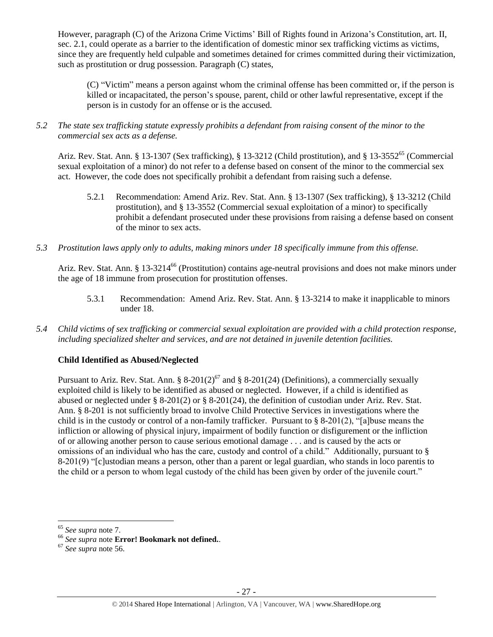However, paragraph (C) of the Arizona Crime Victims' Bill of Rights found in Arizona's Constitution, art. II, sec. 2.1, could operate as a barrier to the identification of domestic minor sex trafficking victims as victims, since they are frequently held culpable and sometimes detained for crimes committed during their victimization, such as prostitution or drug possession. Paragraph (C) states,

(C) "Victim" means a person against whom the criminal offense has been committed or, if the person is killed or incapacitated, the person's spouse, parent, child or other lawful representative, except if the person is in custody for an offense or is the accused.

*5.2 The state sex trafficking statute expressly prohibits a defendant from raising consent of the minor to the commercial sex acts as a defense.*

Ariz. Rev. Stat. Ann. § 13-1307 (Sex trafficking), § 13-3212 (Child prostitution), and § 13-3552<sup>65</sup> (Commercial sexual exploitation of a minor) do not refer to a defense based on consent of the minor to the commercial sex act. However, the code does not specifically prohibit a defendant from raising such a defense.

- 5.2.1 Recommendation: Amend Ariz. Rev. Stat. Ann. § 13-1307 (Sex trafficking), § 13-3212 (Child prostitution), and § 13-3552 (Commercial sexual exploitation of a minor) to specifically prohibit a defendant prosecuted under these provisions from raising a defense based on consent of the minor to sex acts.
- *5.3 Prostitution laws apply only to adults, making minors under 18 specifically immune from this offense.*

Ariz. Rev. Stat. Ann. § 13-3214<sup>66</sup> (Prostitution) contains age-neutral provisions and does not make minors under the age of 18 immune from prosecution for prostitution offenses.

- 5.3.1 Recommendation: Amend Ariz. Rev. Stat. Ann. § 13-3214 to make it inapplicable to minors under 18.
- *5.4 Child victims of sex trafficking or commercial sexual exploitation are provided with a child protection response, including specialized shelter and services, and are not detained in juvenile detention facilities.*

## **Child Identified as Abused/Neglected**

Pursuant to Ariz. Rev. Stat. Ann. § 8-201(2)<sup>67</sup> and § 8-201(24) (Definitions), a commercially sexually exploited child is likely to be identified as abused or neglected. However, if a child is identified as abused or neglected under § 8-201(2) or § 8-201(24), the definition of custodian under Ariz. Rev. Stat. Ann. § 8-201 is not sufficiently broad to involve Child Protective Services in investigations where the child is in the custody or control of a non-family trafficker. Pursuant to § 8-201(2), "[a]buse means the infliction or allowing of physical injury, impairment of bodily function or disfigurement or the infliction of or allowing another person to cause serious emotional damage . . . and is caused by the acts or omissions of an individual who has the care, custody and control of a child." Additionally, pursuant to § 8-201(9) "[c]ustodian means a person, other than a parent or legal guardian, who stands in loco parentis to the child or a person to whom legal custody of the child has been given by order of the juvenile court."

<sup>65</sup> *See supra* note [7.](#page-2-0)

<sup>66</sup> *See supra* note **Error! Bookmark not defined.**.

<sup>67</sup> *See supra* note [56.](#page-21-0)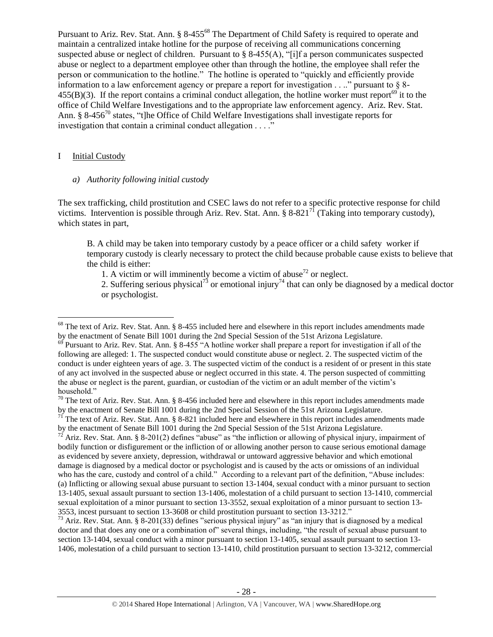Pursuant to Ariz. Rev. Stat. Ann. § 8-455<sup>68</sup> The Department of Child Safety is required to operate and maintain a centralized intake hotline for the purpose of receiving all communications concerning suspected abuse or neglect of children. Pursuant to  $\S 8-455(A)$ , "[i]f a person communicates suspected abuse or neglect to a department employee other than through the hotline, the employee shall refer the person or communication to the hotline." The hotline is operated to "quickly and efficiently provide information to a law enforcement agency or prepare a report for investigation . . .." pursuant to § 8- 455(B)(3). If the report contains a criminal conduct allegation, the hotline worker must report<sup>69</sup> it to the office of Child Welfare Investigations and to the appropriate law enforcement agency. Ariz. Rev. Stat. Ann. § 8-456<sup>70</sup> states, "t]he Office of Child Welfare Investigations shall investigate reports for investigation that contain a criminal conduct allegation . . . ."

## I Initial Custody

 $\overline{a}$ 

## *a) Authority following initial custody*

The sex trafficking, child prostitution and CSEC laws do not refer to a specific protective response for child victims. Intervention is possible through Ariz. Rev. Stat. Ann.  $\S 8-821^{7}$  (Taking into temporary custody), which states in part,

B. A child may be taken into temporary custody by a peace officer or a child safety worker if temporary custody is clearly necessary to protect the child because probable cause exists to believe that the child is either:

1. A victim or will imminently become a victim of abuse<sup>72</sup> or neglect.

2. Suffering serious physical<sup>73</sup> or emotional injury<sup>74</sup> that can only be diagnosed by a medical doctor or psychologist.

 $68$  The text of Ariz. Rev. Stat. Ann. § 8-455 included here and elsewhere in this report includes amendments made by the enactment of Senate Bill 1001 during the 2nd Special Session of the 51st Arizona Legislature.

 $69$  Pursuant to Ariz. Rev. Stat. Ann. § 8-455 "A hotline worker shall prepare a report for investigation if all of the following are alleged: 1. The suspected conduct would constitute abuse or neglect. 2. The suspected victim of the conduct is under eighteen years of age. 3. The suspected victim of the conduct is a resident of or present in this state of any act involved in the suspected abuse or neglect occurred in this state. 4. The person suspected of committing the abuse or neglect is the parent, guardian, or custodian of the victim or an adult member of the victim's household."

 $70$  The text of Ariz. Rev. Stat. Ann. § 8-456 included here and elsewhere in this report includes amendments made by the enactment of Senate Bill 1001 during the 2nd Special Session of the 51st Arizona Legislature.

 $71$ <sup>T</sup> The text of Ariz. Rev. Stat. Ann. § 8-821 included here and elsewhere in this report includes amendments made by the enactment of Senate Bill 1001 during the 2nd Special Session of the 51st Arizona Legislature.

 $7^{2}$  Ariz. Rev. Stat. Ann. § 8-201(2) defines "abuse" as "the infliction or allowing of physical injury, impairment of bodily function or disfigurement or the infliction of or allowing another person to cause serious emotional damage as evidenced by severe anxiety, depression, withdrawal or untoward aggressive behavior and which emotional damage is diagnosed by a medical doctor or psychologist and is caused by the acts or omissions of an individual who has the care, custody and control of a child." According to a relevant part of the definition, "Abuse includes: (a) Inflicting or allowing sexual abuse pursuant to section 13-1404, sexual conduct with a minor pursuant to section 13-1405, sexual assault pursuant to section 13-1406, molestation of a child pursuant to section 13-1410, commercial sexual exploitation of a minor pursuant to section 13-3552, sexual exploitation of a minor pursuant to section 13- 3553, incest pursuant to section 13-3608 or child prostitution pursuant to section 13-3212."

 $^{73}$  Ariz. Rev. Stat. Ann. § 8-201(33) defines "serious physical injury" as "an injury that is diagnosed by a medical doctor and that does any one or a combination of" several things, including, "the result of sexual abuse pursuant to section 13-1404, sexual conduct with a minor pursuant to section 13-1405, sexual assault pursuant to section 13- 1406, molestation of a child pursuant to section 13-1410, child prostitution pursuant to section 13-3212, commercial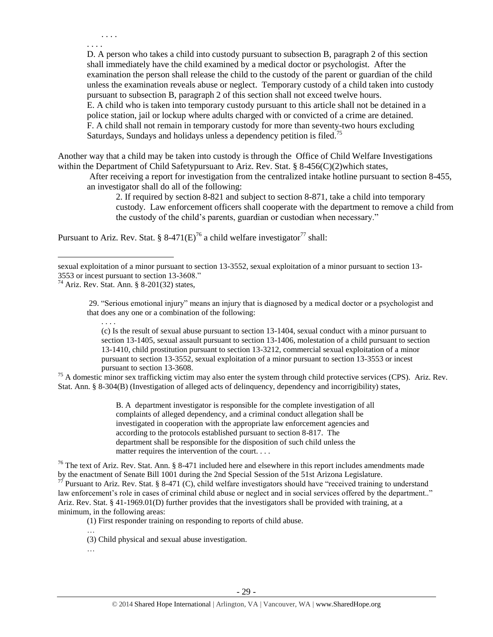. . . . . . . .

D. A person who takes a child into custody pursuant to subsection B, paragraph 2 of this section shall immediately have the child examined by a medical doctor or psychologist. After the examination the person shall release the child to the custody of the parent or guardian of the child unless the examination reveals abuse or neglect. Temporary custody of a child taken into custody pursuant to subsection B, paragraph 2 of this section shall not exceed twelve hours. E. A child who is taken into temporary custody pursuant to this article shall not be detained in a police station, jail or lockup where adults charged with or convicted of a crime are detained. F. A child shall not remain in temporary custody for more than seventy-two hours excluding Saturdays, Sundays and holidays unless a dependency petition is filed.<sup>75</sup>

Another way that a child may be taken into custody is through the Office of Child Welfare Investigations within the Department of Child Safetypursuant to Ariz. Rev. Stat. § 8-456(C)(2)which states,

After receiving a report for investigation from the centralized intake hotline pursuant to section 8-455, an investigator shall do all of the following:

2. If required by section 8-821 and subject to section 8-871, take a child into temporary custody. Law enforcement officers shall cooperate with the department to remove a child from the custody of the child's parents, guardian or custodian when necessary."

Pursuant to Ariz. Rev. Stat. § 8-471(E)<sup>76</sup> a child welfare investigator<sup>77</sup> shall:

 $\overline{a}$ 

29. "Serious emotional injury" means an injury that is diagnosed by a medical doctor or a psychologist and that does any one or a combination of the following:

. . . . (c) Is the result of sexual abuse pursuant to section 13-1404, sexual conduct with a minor pursuant to section 13-1405, sexual assault pursuant to section 13-1406, molestation of a child pursuant to section 13-1410, child prostitution pursuant to section 13-3212, commercial sexual exploitation of a minor pursuant to section 13-3552, sexual exploitation of a minor pursuant to section 13-3553 or incest pursuant to section 13-3608.

 $^{75}$  A domestic minor sex trafficking victim may also enter the system through child protective services (CPS). Ariz. Rev. Stat. Ann. § 8-304(B) (Investigation of alleged acts of delinquency, dependency and incorrigibility) states,

> B. A department investigator is responsible for the complete investigation of all complaints of alleged dependency, and a criminal conduct allegation shall be investigated in cooperation with the appropriate law enforcement agencies and according to the protocols established pursuant to section 8-817. The department shall be responsible for the disposition of such child unless the matter requires the intervention of the court. . . .

<sup>76</sup> The text of Ariz. Rev. Stat. Ann. § 8-471 included here and elsewhere in this report includes amendments made by the enactment of Senate Bill 1001 during the 2nd Special Session of the 51st Arizona Legislature.

Pursuant to Ariz. Rev. Stat. § 8-471 (C), child welfare investigators should have "received training to understand law enforcement's role in cases of criminal child abuse or neglect and in social services offered by the department.." Ariz. Rev. Stat. § 41-1969.01(D) further provides that the investigators shall be provided with training, at a minimum, in the following areas:

(1) First responder training on responding to reports of child abuse.

… (3) Child physical and sexual abuse investigation.

…

sexual exploitation of a minor pursuant to section 13-3552, sexual exploitation of a minor pursuant to section 13- 3553 or incest pursuant to section 13-3608."

 $74$  Ariz. Rev. Stat. Ann. § 8-201(32) states,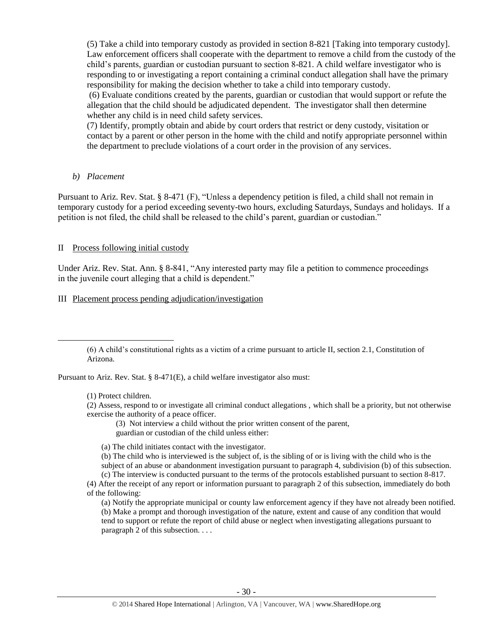(5) Take a child into temporary custody as provided in section 8-821 [Taking into temporary custody]. Law enforcement officers shall cooperate with the department to remove a child from the custody of the child's parents, guardian or custodian pursuant to section 8-821. A child welfare investigator who is responding to or investigating a report containing a criminal conduct allegation shall have the primary responsibility for making the decision whether to take a child into temporary custody. (6) Evaluate conditions created by the parents, guardian or custodian that would support or refute the

allegation that the child should be adjudicated dependent. The investigator shall then determine whether any child is in need child safety services.

(7) Identify, promptly obtain and abide by court orders that restrict or deny custody, visitation or contact by a parent or other person in the home with the child and notify appropriate personnel within the department to preclude violations of a court order in the provision of any services.

#### *b) Placement*

 $\overline{a}$ 

Pursuant to Ariz. Rev. Stat. § 8-471 (F), "Unless a dependency petition is filed, a child shall not remain in temporary custody for a period exceeding seventy-two hours, excluding Saturdays, Sundays and holidays. If a petition is not filed, the child shall be released to the child's parent, guardian or custodian."

## II Process following initial custody

Under Ariz. Rev. Stat. Ann. § 8-841, "Any interested party may file a petition to commence proceedings in the juvenile court alleging that a child is dependent."

## III Placement process pending adjudication/investigation

Pursuant to Ariz. Rev. Stat. § 8-471(E), a child welfare investigator also must:

(1) Protect children.

(2) Assess, respond to or investigate all criminal conduct allegations , which shall be a priority, but not otherwise exercise the authority of a peace officer.

(3) Not interview a child without the prior written consent of the parent, guardian or custodian of the child unless either:

- (a) The child initiates contact with the investigator.
- (b) The child who is interviewed is the subject of, is the sibling of or is living with the child who is the

subject of an abuse or abandonment investigation pursuant to paragraph 4, subdivision (b) of this subsection.

(c) The interview is conducted pursuant to the terms of the protocols established pursuant to section 8-817. (4) After the receipt of any report or information pursuant to paragraph 2 of this subsection, immediately do both of the following:

(a) Notify the appropriate municipal or county law enforcement agency if they have not already been notified. (b) Make a prompt and thorough investigation of the nature, extent and cause of any condition that would tend to support or refute the report of child abuse or neglect when investigating allegations pursuant to paragraph 2 of this subsection. . . .

<sup>(6)</sup> A child's constitutional rights as a victim of a crime pursuant to article II, section 2.1, Constitution of Arizona.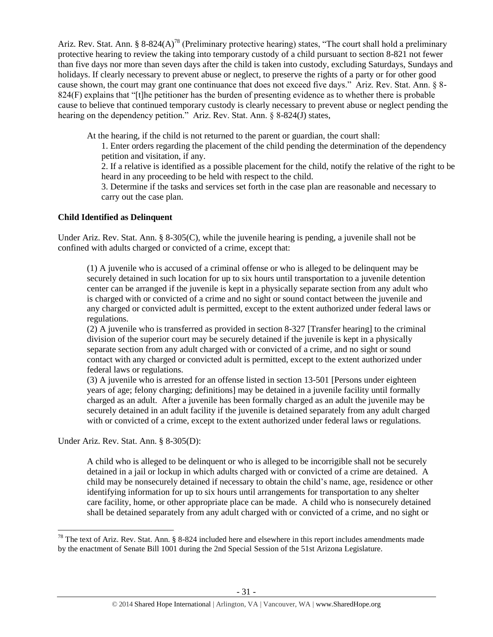Ariz. Rev. Stat. Ann. § 8-824(A)<sup>78</sup> (Preliminary protective hearing) states, "The court shall hold a preliminary protective hearing to review the taking into temporary custody of a child pursuant to section 8-821 not fewer than five days nor more than seven days after the child is taken into custody, excluding Saturdays, Sundays and holidays. If clearly necessary to prevent abuse or neglect, to preserve the rights of a party or for other good cause shown, the court may grant one continuance that does not exceed five days." Ariz. Rev. Stat. Ann. § 8- 824(F) explains that "[t]he petitioner has the burden of presenting evidence as to whether there is probable cause to believe that continued temporary custody is clearly necessary to prevent abuse or neglect pending the hearing on the dependency petition." Ariz. Rev. Stat. Ann. § 8-824(J) states,

At the hearing, if the child is not returned to the parent or guardian, the court shall:

1. Enter orders regarding the placement of the child pending the determination of the dependency petition and visitation, if any.

2. If a relative is identified as a possible placement for the child, notify the relative of the right to be heard in any proceeding to be held with respect to the child.

3. Determine if the tasks and services set forth in the case plan are reasonable and necessary to carry out the case plan.

## **Child Identified as Delinquent**

Under Ariz. Rev. Stat. Ann. § 8-305(C), while the juvenile hearing is pending, a juvenile shall not be confined with adults charged or convicted of a crime, except that:

(1) A juvenile who is accused of a criminal offense or who is alleged to be delinquent may be securely detained in such location for up to six hours until transportation to a juvenile detention center can be arranged if the juvenile is kept in a physically separate section from any adult who is charged with or convicted of a crime and no sight or sound contact between the juvenile and any charged or convicted adult is permitted, except to the extent authorized under federal laws or regulations.

(2) A juvenile who is transferred as provided in section 8-327 [Transfer hearing] to the criminal division of the superior court may be securely detained if the juvenile is kept in a physically separate section from any adult charged with or convicted of a crime, and no sight or sound contact with any charged or convicted adult is permitted, except to the extent authorized under federal laws or regulations.

(3) A juvenile who is arrested for an offense listed in section 13-501 [Persons under eighteen years of age; felony charging; definitions] may be detained in a juvenile facility until formally charged as an adult. After a juvenile has been formally charged as an adult the juvenile may be securely detained in an adult facility if the juvenile is detained separately from any adult charged with or convicted of a crime, except to the extent authorized under federal laws or regulations.

Under Ariz. Rev. Stat. Ann. § 8-305(D):

 $\overline{a}$ 

A child who is alleged to be delinquent or who is alleged to be incorrigible shall not be securely detained in a jail or lockup in which adults charged with or convicted of a crime are detained. A child may be nonsecurely detained if necessary to obtain the child's name, age, residence or other identifying information for up to six hours until arrangements for transportation to any shelter care facility, home, or other appropriate place can be made. A child who is nonsecurely detained shall be detained separately from any adult charged with or convicted of a crime, and no sight or

 $78$  The text of Ariz. Rev. Stat. Ann. § 8-824 included here and elsewhere in this report includes amendments made by the enactment of Senate Bill 1001 during the 2nd Special Session of the 51st Arizona Legislature.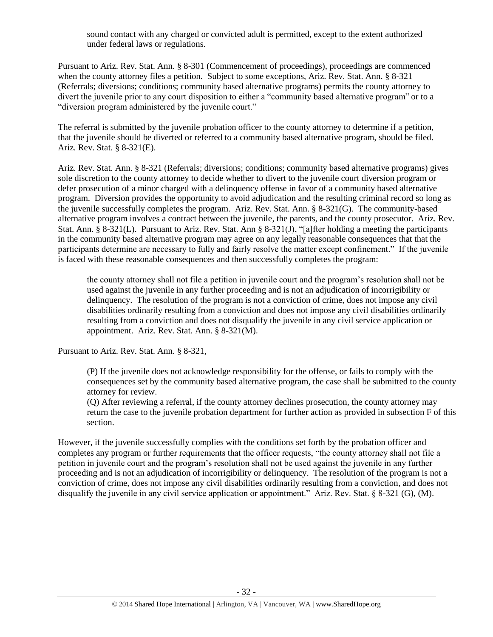sound contact with any charged or convicted adult is permitted, except to the extent authorized under federal laws or regulations.

Pursuant to Ariz. Rev. Stat. Ann. § 8-301 (Commencement of proceedings), proceedings are commenced when the county attorney files a petition. Subject to some exceptions, Ariz. Rev. Stat. Ann. § 8-321 (Referrals; diversions; conditions; community based alternative programs) permits the county attorney to divert the juvenile prior to any court disposition to either a "community based alternative program" or to a "diversion program administered by the juvenile court."

The referral is submitted by the juvenile probation officer to the county attorney to determine if a petition, that the juvenile should be diverted or referred to a community based alternative program, should be filed. Ariz. Rev. Stat. § 8-321(E).

Ariz. Rev. Stat. Ann. § 8-321 (Referrals; diversions; conditions; community based alternative programs) gives sole discretion to the county attorney to decide whether to divert to the juvenile court diversion program or defer prosecution of a minor charged with a delinquency offense in favor of a community based alternative program. Diversion provides the opportunity to avoid adjudication and the resulting criminal record so long as the juvenile successfully completes the program. Ariz. Rev. Stat. Ann. § 8-321(G). The community-based alternative program involves a contract between the juvenile, the parents, and the county prosecutor. Ariz. Rev. Stat. Ann. § 8-321(L). Pursuant to Ariz. Rev. Stat. Ann § 8-321(J), "[a]fter holding a meeting the participants in the community based alternative program may agree on any legally reasonable consequences that that the participants determine are necessary to fully and fairly resolve the matter except confinement." If the juvenile is faced with these reasonable consequences and then successfully completes the program:

the county attorney shall not file a petition in juvenile court and the program's resolution shall not be used against the juvenile in any further proceeding and is not an adjudication of incorrigibility or delinquency. The resolution of the program is not a conviction of crime, does not impose any civil disabilities ordinarily resulting from a conviction and does not impose any civil disabilities ordinarily resulting from a conviction and does not disqualify the juvenile in any civil service application or appointment. Ariz. Rev. Stat. Ann. § 8-321(M).

Pursuant to Ariz. Rev. Stat. Ann. § 8-321,

(P) If the juvenile does not acknowledge responsibility for the offense, or fails to comply with the consequences set by the community based alternative program, the case shall be submitted to the county attorney for review.

(Q) After reviewing a referral, if the county attorney declines prosecution, the county attorney may return the case to the juvenile probation department for further action as provided in subsection F of this section.

However, if the juvenile successfully complies with the conditions set forth by the probation officer and completes any program or further requirements that the officer requests, "the county attorney shall not file a petition in juvenile court and the program's resolution shall not be used against the juvenile in any further proceeding and is not an adjudication of incorrigibility or delinquency. The resolution of the program is not a conviction of crime, does not impose any civil disabilities ordinarily resulting from a conviction, and does not disqualify the juvenile in any civil service application or appointment." Ariz. Rev. Stat. § 8-321 (G), (M).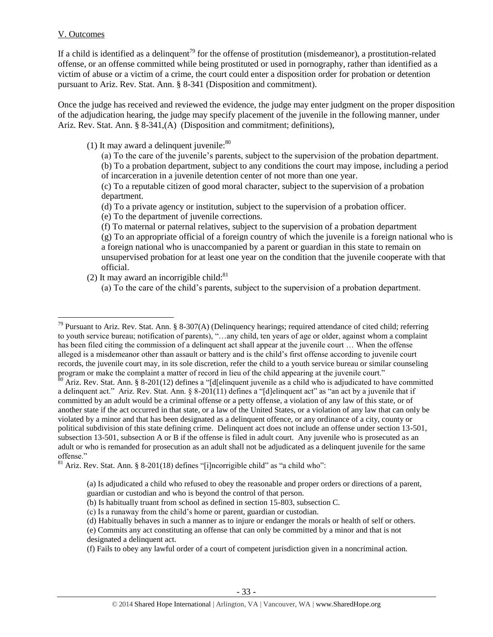$\overline{a}$ 

If a child is identified as a delinquent<sup>79</sup> for the offense of prostitution (misdemeanor), a prostitution-related offense, or an offense committed while being prostituted or used in pornography, rather than identified as a victim of abuse or a victim of a crime, the court could enter a disposition order for probation or detention pursuant to Ariz. Rev. Stat. Ann. § 8-341 (Disposition and commitment).

Once the judge has received and reviewed the evidence, the judge may enter judgment on the proper disposition of the adjudication hearing, the judge may specify placement of the juvenile in the following manner, under Ariz. Rev. Stat. Ann. § 8-341,(A) (Disposition and commitment; definitions),

- (1) It may award a delinquent juvenile: $80$ 
	- (a) To the care of the juvenile's parents, subject to the supervision of the probation department.

(b) To a probation department, subject to any conditions the court may impose, including a period of incarceration in a juvenile detention center of not more than one year.

(c) To a reputable citizen of good moral character, subject to the supervision of a probation department.

(d) To a private agency or institution, subject to the supervision of a probation officer.

(e) To the department of juvenile corrections.

(f) To maternal or paternal relatives, subject to the supervision of a probation department

(g) To an appropriate official of a foreign country of which the juvenile is a foreign national who is a foreign national who is unaccompanied by a parent or guardian in this state to remain on unsupervised probation for at least one year on the condition that the juvenile cooperate with that official.

(2) It may award an incorrigible child: $81$ 

(a) To the care of the child's parents, subject to the supervision of a probation department.

 $79$  Pursuant to Ariz. Rev. Stat. Ann. § 8-307(A) (Delinquency hearings; required attendance of cited child; referring to youth service bureau; notification of parents), "…any child, ten years of age or older, against whom a complaint has been filed citing the commission of a delinquent act shall appear at the juvenile court … When the offense alleged is a misdemeanor other than assault or battery and is the child's first offense according to juvenile court records, the juvenile court may, in its sole discretion, refer the child to a youth service bureau or similar counseling program or make the complaint a matter of record in lieu of the child appearing at the juvenile court."

 $80$  Ariz. Rev. Stat. Ann. § 8-201(12) defines a "[d[elinquent juvenile as a child who is adjudicated to have committed a delinquent act." Ariz. Rev. Stat. Ann. § 8-201(11) defines a "[d]elinquent act" as "an act by a juvenile that if committed by an adult would be a criminal offense or a petty offense, a violation of any law of this state, or of another state if the act occurred in that state, or a law of the United States, or a violation of any law that can only be violated by a minor and that has been designated as a delinquent offence, or any ordinance of a city, county or political subdivision of this state defining crime. Delinquent act does not include an offense under section 13-501, subsection 13-501, subsection A or B if the offense is filed in adult court. Any juvenile who is prosecuted as an adult or who is remanded for prosecution as an adult shall not be adjudicated as a delinquent juvenile for the same offense."

 $81$  Ariz. Rev. Stat. Ann. § 8-201(18) defines "[i]ncorrigible child" as "a child who":

<sup>(</sup>a) Is adjudicated a child who refused to obey the reasonable and proper orders or directions of a parent, guardian or custodian and who is beyond the control of that person.

<sup>(</sup>b) Is habitually truant from school as defined in section 15-803, subsection C.

<sup>(</sup>c) Is a runaway from the child's home or parent, guardian or custodian.

<sup>(</sup>d) Habitually behaves in such a manner as to injure or endanger the morals or health of self or others.

<sup>(</sup>e) Commits any act constituting an offense that can only be committed by a minor and that is not designated a delinquent act.

<sup>(</sup>f) Fails to obey any lawful order of a court of competent jurisdiction given in a noncriminal action.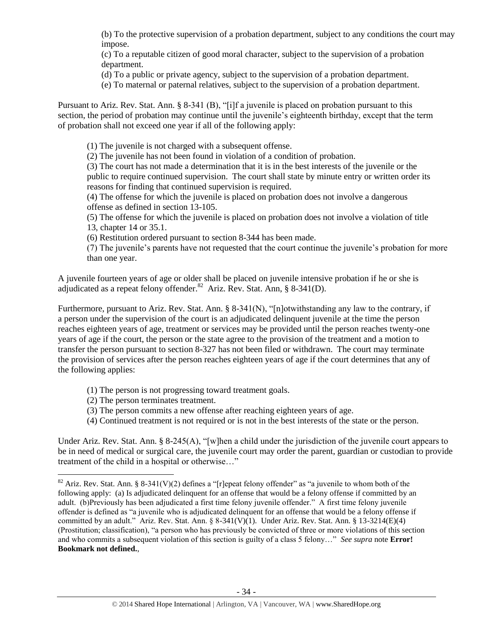(b) To the protective supervision of a probation department, subject to any conditions the court may impose.

(c) To a reputable citizen of good moral character, subject to the supervision of a probation department.

(d) To a public or private agency, subject to the supervision of a probation department.

(e) To maternal or paternal relatives, subject to the supervision of a probation department.

Pursuant to Ariz. Rev. Stat. Ann. § 8-341 (B), "[i]f a juvenile is placed on probation pursuant to this section, the period of probation may continue until the juvenile's eighteenth birthday, except that the term of probation shall not exceed one year if all of the following apply:

(1) The juvenile is not charged with a subsequent offense.

(2) The juvenile has not been found in violation of a condition of probation.

(3) The court has not made a determination that it is in the best interests of the juvenile or the public to require continued supervision. The court shall state by minute entry or written order its reasons for finding that continued supervision is required.

(4) The offense for which the juvenile is placed on probation does not involve a dangerous offense as defined in section 13-105.

(5) The offense for which the juvenile is placed on probation does not involve a violation of title 13, chapter 14 or 35.1.

(6) Restitution ordered pursuant to section 8-344 has been made.

(7) The juvenile's parents have not requested that the court continue the juvenile's probation for more than one year.

A juvenile fourteen years of age or older shall be placed on juvenile intensive probation if he or she is adjudicated as a repeat felony offender.<sup>82</sup> Ariz. Rev. Stat. Ann, § 8-341(D).

Furthermore, pursuant to Ariz. Rev. Stat. Ann. § 8-341(N), "[n]otwithstanding any law to the contrary, if a person under the supervision of the court is an adjudicated delinquent juvenile at the time the person reaches eighteen years of age, treatment or services may be provided until the person reaches twenty-one years of age if the court, the person or the state agree to the provision of the treatment and a motion to transfer the person pursuant to section 8-327 has not been filed or withdrawn. The court may terminate the provision of services after the person reaches eighteen years of age if the court determines that any of the following applies:

- (1) The person is not progressing toward treatment goals.
- (2) The person terminates treatment.

 $\overline{a}$ 

- (3) The person commits a new offense after reaching eighteen years of age.
- (4) Continued treatment is not required or is not in the best interests of the state or the person.

Under Ariz. Rev. Stat. Ann. § 8-245(A), "[w]hen a child under the jurisdiction of the juvenile court appears to be in need of medical or surgical care, the juvenile court may order the parent, guardian or custodian to provide treatment of the child in a hospital or otherwise…"

 $82$  Ariz. Rev. Stat. Ann. § 8-341(V)(2) defines a "[r]epeat felony offender" as "a juvenile to whom both of the following apply: (a) Is adjudicated delinquent for an offense that would be a felony offense if committed by an adult. (b)Previously has been adjudicated a first time felony juvenile offender." A first time felony juvenile offender is defined as "a juvenile who is adjudicated delinquent for an offense that would be a felony offense if committed by an adult." Ariz. Rev. Stat. Ann. § 8-341(V)(1). Under Ariz. Rev. Stat. Ann. § 13-3214(E)(4) (Prostitution; classification), "a person who has previously be convicted of three or more violations of this section and who commits a subsequent violation of this section is guilty of a class 5 felony…" *See supra* note **Error! Bookmark not defined.**,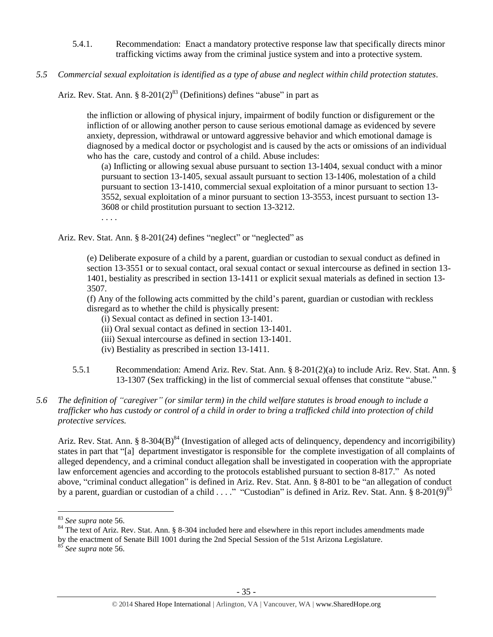- 5.4.1. Recommendation: Enact a mandatory protective response law that specifically directs minor trafficking victims away from the criminal justice system and into a protective system.
- *5.5 Commercial sexual exploitation is identified as a type of abuse and neglect within child protection statutes.*

Ariz. Rev. Stat. Ann. §  $8-201(2)^{83}$  (Definitions) defines "abuse" in part as

the infliction or allowing of physical injury, impairment of bodily function or disfigurement or the infliction of or allowing another person to cause serious emotional damage as evidenced by severe anxiety, depression, withdrawal or untoward aggressive behavior and which emotional damage is diagnosed by a medical doctor or psychologist and is caused by the acts or omissions of an individual who has the care, custody and control of a child. Abuse includes:

(a) Inflicting or allowing sexual abuse pursuant to section 13-1404, sexual conduct with a minor pursuant to section 13-1405, sexual assault pursuant to section 13-1406, molestation of a child pursuant to section 13-1410, commercial sexual exploitation of a minor pursuant to section 13- 3552, sexual exploitation of a minor pursuant to section 13-3553, incest pursuant to section 13- 3608 or child prostitution pursuant to section 13-3212.

. . . .

Ariz. Rev. Stat. Ann. § 8-201(24) defines "neglect" or "neglected" as

(e) Deliberate exposure of a child by a parent, guardian or custodian to sexual conduct as defined in section 13-3551 or to sexual contact, oral sexual contact or sexual intercourse as defined in section 13- 1401, bestiality as prescribed in section 13-1411 or explicit sexual materials as defined in section 13- 3507.

(f) Any of the following acts committed by the child's parent, guardian or custodian with reckless disregard as to whether the child is physically present:

(i) Sexual contact as defined in section 13-1401.

- (ii) Oral sexual contact as defined in section 13-1401.
- (iii) Sexual intercourse as defined in section 13-1401.
- (iv) Bestiality as prescribed in section 13-1411.
- 5.5.1 Recommendation: Amend Ariz. Rev. Stat. Ann. § 8-201(2)(a) to include Ariz. Rev. Stat. Ann. § 13-1307 (Sex trafficking) in the list of commercial sexual offenses that constitute "abuse."
- *5.6 The definition of "caregiver" (or similar term) in the child welfare statutes is broad enough to include a trafficker who has custody or control of a child in order to bring a trafficked child into protection of child protective services.*

Ariz. Rev. Stat. Ann. § 8-304(B)<sup>84</sup> (Investigation of alleged acts of delinquency, dependency and incorrigibility) states in part that "[a] department investigator is responsible for the complete investigation of all complaints of alleged dependency, and a criminal conduct allegation shall be investigated in cooperation with the appropriate law enforcement agencies and according to the protocols established pursuant to section 8-817." As noted above, "criminal conduct allegation" is defined in Ariz. Rev. Stat. Ann. § 8-801 to be "an allegation of conduct by a parent, guardian or custodian of a child  $\ldots$ ." "Custodian" is defined in Ariz. Rev. Stat. Ann. § 8-201(9)<sup>85</sup>

<sup>83</sup> *See supra* note [56.](#page-21-0) 

<sup>&</sup>lt;sup>84</sup> The text of Ariz. Rev. Stat. Ann. § 8-304 included here and elsewhere in this report includes amendments made

by the enactment of Senate Bill 1001 during the 2nd Special Session of the 51st Arizona Legislature.

<sup>85</sup> *See supra* note [56.](#page-21-0)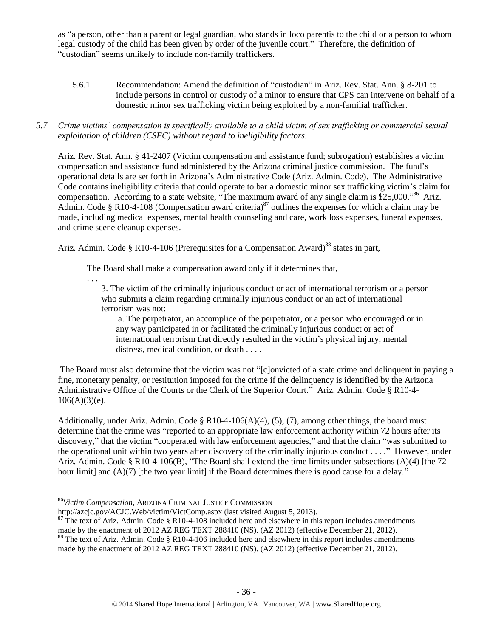as "a person, other than a parent or legal guardian, who stands in loco parentis to the child or a person to whom legal custody of the child has been given by order of the juvenile court." Therefore, the definition of "custodian" seems unlikely to include non-family traffickers.

5.6.1 Recommendation: Amend the definition of "custodian" in Ariz. Rev. Stat. Ann. § 8-201 to include persons in control or custody of a minor to ensure that CPS can intervene on behalf of a domestic minor sex trafficking victim being exploited by a non-familial trafficker.

## *5.7 Crime victims' compensation is specifically available to a child victim of sex trafficking or commercial sexual exploitation of children (CSEC) without regard to ineligibility factors.*

Ariz. Rev. Stat. Ann. § 41-2407 (Victim compensation and assistance fund; subrogation) establishes a victim compensation and assistance fund administered by the Arizona criminal justice commission. The fund's operational details are set forth in Arizona's Administrative Code (Ariz. Admin. Code). The Administrative Code contains ineligibility criteria that could operate to bar a domestic minor sex trafficking victim's claim for compensation. According to a state website, "The maximum award of any single claim is  $$25,000.^{86}$  Ariz. Admin. Code § R10-4-108 (Compensation award criteria)<sup>87</sup> outlines the expenses for which a claim may be made, including medical expenses, mental health counseling and care, work loss expenses, funeral expenses, and crime scene cleanup expenses.

Ariz. Admin. Code § R10-4-106 (Prerequisites for a Compensation Award)<sup>88</sup> states in part,

The Board shall make a compensation award only if it determines that,

. . .

3. The victim of the criminally injurious conduct or act of international terrorism or a person who submits a claim regarding criminally injurious conduct or an act of international terrorism was not:

a. The perpetrator, an accomplice of the perpetrator, or a person who encouraged or in any way participated in or facilitated the criminally injurious conduct or act of international terrorism that directly resulted in the victim's physical injury, mental distress, medical condition, or death . . . .

The Board must also determine that the victim was not "[c]onvicted of a state crime and delinquent in paying a fine, monetary penalty, or restitution imposed for the crime if the delinquency is identified by the Arizona Administrative Office of the Courts or the Clerk of the Superior Court." Ariz. Admin. Code § R10-4-  $106(A)(3)(e)$ .

Additionally, under Ariz. Admin. Code § R10-4-106(A)(4), (5), (7), among other things, the board must determine that the crime was "reported to an appropriate law enforcement authority within 72 hours after its discovery," that the victim "cooperated with law enforcement agencies," and that the claim "was submitted to the operational unit within two years after discovery of the criminally injurious conduct . . . ." However, under Ariz. Admin. Code § R10-4-106(B), "The Board shall extend the time limits under subsections (A)(4) [the 72 hour limit] and  $(A)(7)$  [the two year limit] if the Board determines there is good cause for a delay."

http://azcjc.gov/ACJC.Web/victim/VictComp.aspx (last visited August 5, 2013).

 $\overline{a}$ <sup>86</sup>*Victim Compensation*, ARIZONA CRIMINAL JUSTICE COMMISSION

 $87$  The text of Ariz. Admin. Code § R10-4-108 included here and elsewhere in this report includes amendments made by the enactment of 2012 AZ REG TEXT 288410 (NS). (AZ 2012) (effective December 21, 2012). 88 The text of Ariz. Admin. Code § R10-4-106 included here and elsewhere in this report includes amendments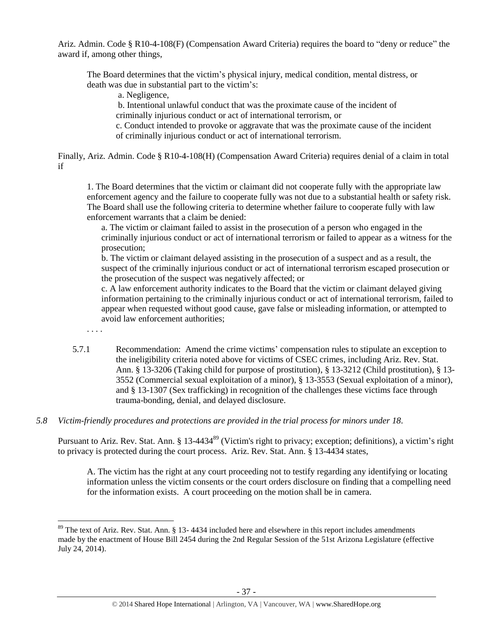Ariz. Admin. Code § R10-4-108(F) (Compensation Award Criteria) requires the board to "deny or reduce" the award if, among other things,

The Board determines that the victim's physical injury, medical condition, mental distress, or death was due in substantial part to the victim's:

a. Negligence,

. . . .

 $\overline{a}$ 

b. Intentional unlawful conduct that was the proximate cause of the incident of criminally injurious conduct or act of international terrorism, or

c. Conduct intended to provoke or aggravate that was the proximate cause of the incident of criminally injurious conduct or act of international terrorism.

Finally, Ariz. Admin. Code § R10-4-108(H) (Compensation Award Criteria) requires denial of a claim in total if

1. The Board determines that the victim or claimant did not cooperate fully with the appropriate law enforcement agency and the failure to cooperate fully was not due to a substantial health or safety risk. The Board shall use the following criteria to determine whether failure to cooperate fully with law enforcement warrants that a claim be denied:

a. The victim or claimant failed to assist in the prosecution of a person who engaged in the criminally injurious conduct or act of international terrorism or failed to appear as a witness for the prosecution;

b. The victim or claimant delayed assisting in the prosecution of a suspect and as a result, the suspect of the criminally injurious conduct or act of international terrorism escaped prosecution or the prosecution of the suspect was negatively affected; or

c. A law enforcement authority indicates to the Board that the victim or claimant delayed giving information pertaining to the criminally injurious conduct or act of international terrorism, failed to appear when requested without good cause, gave false or misleading information, or attempted to avoid law enforcement authorities;

5.7.1 Recommendation: Amend the crime victims' compensation rules to stipulate an exception to the ineligibility criteria noted above for victims of CSEC crimes, including Ariz. Rev. Stat. Ann. § 13-3206 (Taking child for purpose of prostitution), § 13-3212 (Child prostitution), § 13- 3552 (Commercial sexual exploitation of a minor), § 13-3553 (Sexual exploitation of a minor), and § 13-1307 (Sex trafficking) in recognition of the challenges these victims face through trauma-bonding, denial, and delayed disclosure.

# *5.8 Victim-friendly procedures and protections are provided in the trial process for minors under 18.*

Pursuant to Ariz. Rev. Stat. Ann. § 13-4434<sup>89</sup> (Victim's right to privacy; exception; definitions), a victim's right to privacy is protected during the court process. Ariz. Rev. Stat. Ann. § 13-4434 states,

A. The victim has the right at any court proceeding not to testify regarding any identifying or locating information unless the victim consents or the court orders disclosure on finding that a compelling need for the information exists. A court proceeding on the motion shall be in camera.

<sup>&</sup>lt;sup>89</sup> The text of Ariz. Rev. Stat. Ann. § 13-4434 included here and elsewhere in this report includes amendments made by the enactment of House Bill 2454 during the 2nd Regular Session of the 51st Arizona Legislature (effective July 24, 2014).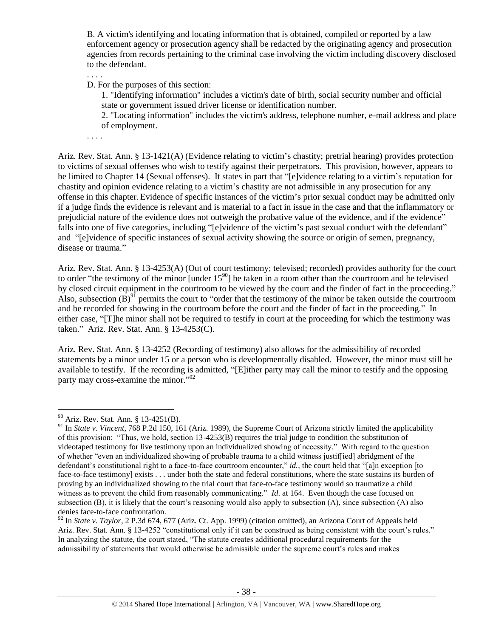B. A victim's identifying and locating information that is obtained, compiled or reported by a law enforcement agency or prosecution agency shall be redacted by the originating agency and prosecution agencies from records pertaining to the criminal case involving the victim including discovery disclosed to the defendant.

D. For the purposes of this section:

- 1. "Identifying information" includes a victim's date of birth, social security number and official state or government issued driver license or identification number.
- 2. "Locating information" includes the victim's address, telephone number, e-mail address and place of employment.

. . . .

. . . .

Ariz. Rev. Stat. Ann. § 13-1421(A) (Evidence relating to victim's chastity; pretrial hearing) provides protection to victims of sexual offenses who wish to testify against their perpetrators. This provision, however, appears to be limited to Chapter 14 (Sexual offenses). It states in part that "[e]vidence relating to a victim's reputation for chastity and opinion evidence relating to a victim's chastity are not admissible in any prosecution for any offense in this chapter. Evidence of specific instances of the victim's prior sexual conduct may be admitted only if a judge finds the evidence is relevant and is material to a fact in issue in the case and that the inflammatory or prejudicial nature of the evidence does not outweigh the probative value of the evidence, and if the evidence" falls into one of five categories, including "[e]vidence of the victim's past sexual conduct with the defendant" and "[e]vidence of specific instances of sexual activity showing the source or origin of semen, pregnancy, disease or trauma."

Ariz. Rev. Stat. Ann. § 13-4253(A) (Out of court testimony; televised; recorded) provides authority for the court to order "the testimony of the minor  $[under 15<sup>90</sup>]$  be taken in a room other than the courtroom and be televised by closed circuit equipment in the courtroom to be viewed by the court and the finder of fact in the proceeding." Also, subsection  $(B)^{91}$  permits the court to "order that the testimony of the minor be taken outside the courtroom and be recorded for showing in the courtroom before the court and the finder of fact in the proceeding." In either case, "[T]he minor shall not be required to testify in court at the proceeding for which the testimony was taken." Ariz. Rev. Stat. Ann. § 13-4253(C).

Ariz. Rev. Stat. Ann. § 13-4252 (Recording of testimony) also allows for the admissibility of recorded statements by a minor under 15 or a person who is developmentally disabled. However, the minor must still be available to testify. If the recording is admitted, "[E]ither party may call the minor to testify and the opposing party may cross-examine the minor."<sup>92</sup>

 $\overline{a}$ <sup>90</sup> Ariz. Rev. Stat. Ann. § 13-4251(B).

<sup>&</sup>lt;sup>91</sup> In *State v. Vincent*, 768 P.2d 150, 161 (Ariz. 1989), the Supreme Court of Arizona strictly limited the applicability of this provision: "Thus, we hold, section 13-4253(B) requires the trial judge to condition the substitution of videotaped testimony for live testimony upon an individualized showing of necessity." With regard to the question of whether "even an individualized showing of probable trauma to a child witness justif[ied] abridgment of the defendant's constitutional right to a face-to-face courtroom encounter," *id.*, the court held that "[a]n exception [to face-to-face testimony] exists . . . under both the state and federal constitutions, where the state sustains its burden of proving by an individualized showing to the trial court that face-to-face testimony would so traumatize a child witness as to prevent the child from reasonably communicating." *Id.* at 164. Even though the case focused on subsection (B), it is likely that the court's reasoning would also apply to subsection (A), since subsection (A) also denies face-to-face confrontation.

<sup>92</sup> In *State v. Taylor*, 2 P.3d 674, 677 (Ariz. Ct. App. 1999) (citation omitted), an Arizona Court of Appeals held Ariz. Rev. Stat. Ann. § 13-4252 "constitutional only if it can be construed as being consistent with the court's rules." In analyzing the statute, the court stated, "The statute creates additional procedural requirements for the admissibility of statements that would otherwise be admissible under the supreme court's rules and makes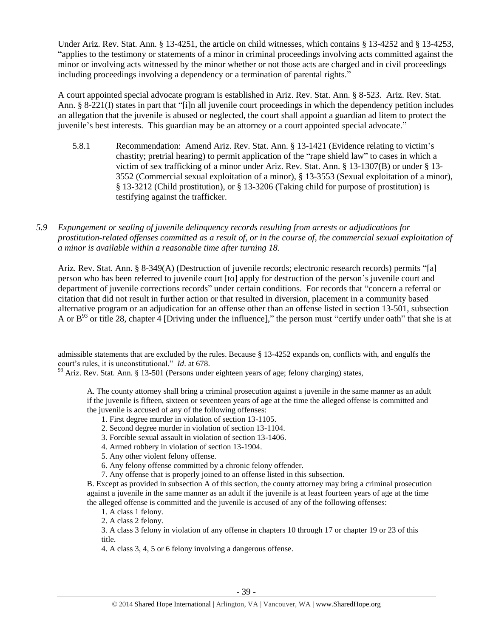Under Ariz. Rev. Stat. Ann. § 13-4251, the article on child witnesses, which contains § 13-4252 and § 13-4253, "applies to the testimony or statements of a minor in criminal proceedings involving acts committed against the minor or involving acts witnessed by the minor whether or not those acts are charged and in civil proceedings including proceedings involving a dependency or a termination of parental rights."

A court appointed special advocate program is established in Ariz. Rev. Stat. Ann. § 8-523. Ariz. Rev. Stat. Ann. § 8-221(I) states in part that "[i]n all juvenile court proceedings in which the dependency petition includes an allegation that the juvenile is abused or neglected, the court shall appoint a guardian ad litem to protect the juvenile's best interests. This guardian may be an attorney or a court appointed special advocate."

- 5.8.1 Recommendation: Amend Ariz. Rev. Stat. Ann. § 13-1421 (Evidence relating to victim's chastity; pretrial hearing) to permit application of the "rape shield law" to cases in which a victim of sex trafficking of a minor under Ariz. Rev. Stat. Ann. § 13-1307(B) or under § 13- 3552 (Commercial sexual exploitation of a minor), § 13-3553 (Sexual exploitation of a minor), § 13-3212 (Child prostitution), or § 13-3206 (Taking child for purpose of prostitution) is testifying against the trafficker.
- *5.9 Expungement or sealing of juvenile delinquency records resulting from arrests or adjudications for prostitution-related offenses committed as a result of, or in the course of, the commercial sexual exploitation of a minor is available within a reasonable time after turning 18.*

Ariz. Rev. Stat. Ann. § 8-349(A) (Destruction of juvenile records; electronic research records) permits "[a] person who has been referred to juvenile court [to] apply for destruction of the person's juvenile court and department of juvenile corrections records" under certain conditions. For records that "concern a referral or citation that did not result in further action or that resulted in diversion, placement in a community based alternative program or an adjudication for an offense other than an offense listed in section 13-501, subsection A or  $B^{93}$  or title 28, chapter 4 [Driving under the influence]," the person must "certify under oath" that she is at

admissible statements that are excluded by the rules. Because § 13-4252 expands on, conflicts with, and engulfs the court's rules, it is unconstitutional." *Id*. at 678.

 $93$  Ariz. Rev. Stat. Ann. § 13-501 (Persons under eighteen years of age; felony charging) states,

A. The county attorney shall bring a criminal prosecution against a juvenile in the same manner as an adult if the juvenile is fifteen, sixteen or seventeen years of age at the time the alleged offense is committed and the juvenile is accused of any of the following offenses:

<sup>1.</sup> First degree murder in violation of section 13-1105.

<sup>2.</sup> Second degree murder in violation of section 13-1104.

<sup>3.</sup> Forcible sexual assault in violation of section 13-1406.

<sup>4.</sup> Armed robbery in violation of section 13-1904.

<sup>5.</sup> Any other violent felony offense.

<sup>6.</sup> Any felony offense committed by a chronic felony offender.

<sup>7.</sup> Any offense that is properly joined to an offense listed in this subsection.

B. Except as provided in subsection A of this section, the county attorney may bring a criminal prosecution against a juvenile in the same manner as an adult if the juvenile is at least fourteen years of age at the time the alleged offense is committed and the juvenile is accused of any of the following offenses:

<sup>1.</sup> A class 1 felony.

<sup>2.</sup> A class 2 felony.

<sup>3.</sup> A class 3 felony in violation of any offense in chapters 10 through 17 or chapter 19 or 23 of this title.

<sup>4.</sup> A class 3, 4, 5 or 6 felony involving a dangerous offense.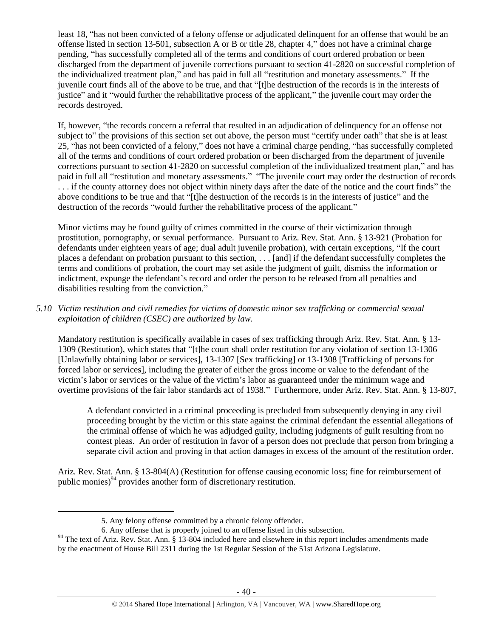least 18, "has not been convicted of a felony offense or adjudicated delinquent for an offense that would be an offense listed in section 13-501, subsection A or B or title 28, chapter 4," does not have a criminal charge pending, "has successfully completed all of the terms and conditions of court ordered probation or been discharged from the department of juvenile corrections pursuant to section 41-2820 on successful completion of the individualized treatment plan," and has paid in full all "restitution and monetary assessments." If the juvenile court finds all of the above to be true, and that "[t]he destruction of the records is in the interests of justice" and it "would further the rehabilitative process of the applicant," the juvenile court may order the records destroyed.

If, however, "the records concern a referral that resulted in an adjudication of delinquency for an offense not subject to" the provisions of this section set out above, the person must "certify under oath" that she is at least 25, "has not been convicted of a felony," does not have a criminal charge pending, "has successfully completed all of the terms and conditions of court ordered probation or been discharged from the department of juvenile corrections pursuant to section 41-2820 on successful completion of the individualized treatment plan," and has paid in full all "restitution and monetary assessments." "The juvenile court may order the destruction of records . . . if the county attorney does not object within ninety days after the date of the notice and the court finds" the above conditions to be true and that "[t]he destruction of the records is in the interests of justice" and the destruction of the records "would further the rehabilitative process of the applicant."

Minor victims may be found guilty of crimes committed in the course of their victimization through prostitution, pornography, or sexual performance. Pursuant to Ariz. Rev. Stat. Ann. § 13-921 (Probation for defendants under eighteen years of age; dual adult juvenile probation), with certain exceptions, "If the court places a defendant on probation pursuant to this section, . . . [and] if the defendant successfully completes the terms and conditions of probation, the court may set aside the judgment of guilt, dismiss the information or indictment, expunge the defendant's record and order the person to be released from all penalties and disabilities resulting from the conviction."

# *5.10 Victim restitution and civil remedies for victims of domestic minor sex trafficking or commercial sexual exploitation of children (CSEC) are authorized by law.*

Mandatory restitution is specifically available in cases of sex trafficking through Ariz. Rev. Stat. Ann. § 13- 1309 (Restitution), which states that "[t]he court shall order restitution for any violation of section 13-1306 [Unlawfully obtaining labor or services], 13-1307 [Sex trafficking] or 13-1308 [Trafficking of persons for forced labor or services], including the greater of either the gross income or value to the defendant of the victim's labor or services or the value of the victim's labor as guaranteed under the minimum wage and overtime provisions of the fair labor standards act of 1938." Furthermore, under Ariz. Rev. Stat. Ann. § 13-807,

A defendant convicted in a criminal proceeding is precluded from subsequently denying in any civil proceeding brought by the victim or this state against the criminal defendant the essential allegations of the criminal offense of which he was adjudged guilty, including judgments of guilt resulting from no contest pleas. An order of restitution in favor of a person does not preclude that person from bringing a separate civil action and proving in that action damages in excess of the amount of the restitution order.

Ariz. Rev. Stat. Ann. § 13-804(A) (Restitution for offense causing economic loss; fine for reimbursement of public monies) $94$  provides another form of discretionary restitution.

<sup>5.</sup> Any felony offense committed by a chronic felony offender.

<sup>6.</sup> Any offense that is properly joined to an offense listed in this subsection.

 $94$  The text of Ariz. Rev. Stat. Ann. § 13-804 included here and elsewhere in this report includes amendments made by the enactment of House Bill 2311 during the 1st Regular Session of the 51st Arizona Legislature.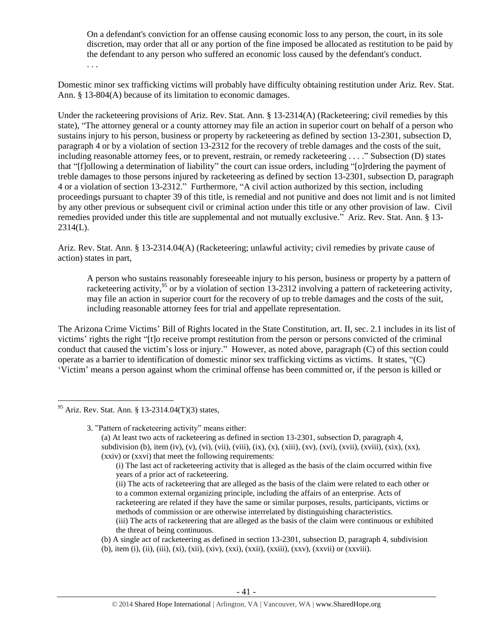On a defendant's conviction for an offense causing economic loss to any person, the court, in its sole discretion, may order that all or any portion of the fine imposed be allocated as restitution to be paid by the defendant to any person who suffered an economic loss caused by the defendant's conduct. . . .

Domestic minor sex trafficking victims will probably have difficulty obtaining restitution under Ariz. Rev. Stat. Ann. § 13-804(A) because of its limitation to economic damages.

Under the racketeering provisions of Ariz. Rev. Stat. Ann. § 13-2314(A) (Racketeering; civil remedies by this state), "The attorney general or a county attorney may file an action in superior court on behalf of a person who sustains injury to his person, business or property by racketeering as defined by section 13-2301, subsection D, paragraph 4 or by a violation of section 13-2312 for the recovery of treble damages and the costs of the suit, including reasonable attorney fees, or to prevent, restrain, or remedy racketeering . . . ." Subsection (D) states that "[f]ollowing a determination of liability" the court can issue orders, including "[o]rdering the payment of treble damages to those persons injured by racketeering as defined by section 13-2301, subsection D, paragraph 4 or a violation of section 13-2312." Furthermore, "A civil action authorized by this section, including proceedings pursuant to chapter 39 of this title, is remedial and not punitive and does not limit and is not limited by any other previous or subsequent civil or criminal action under this title or any other provision of law. Civil remedies provided under this title are supplemental and not mutually exclusive." Ariz. Rev. Stat. Ann. § 13- 2314(L).

Ariz. Rev. Stat. Ann. § 13-2314.04(A) (Racketeering; unlawful activity; civil remedies by private cause of action) states in part,

A person who sustains reasonably foreseeable injury to his person, business or property by a pattern of racketeering activity,  $95$  or by a violation of section 13-2312 involving a pattern of racketeering activity, may file an action in superior court for the recovery of up to treble damages and the costs of the suit, including reasonable attorney fees for trial and appellate representation.

The Arizona Crime Victims' Bill of Rights located in the State Constitution, art. II, sec. 2.1 includes in its list of victims' rights the right "[t]o receive prompt restitution from the person or persons convicted of the criminal conduct that caused the victim's loss or injury." However, as noted above, paragraph (C) of this section could operate as a barrier to identification of domestic minor sex trafficking victims as victims. It states, "(C) 'Victim' means a person against whom the criminal offense has been committed or, if the person is killed or

<sup>95</sup> Ariz. Rev. Stat. Ann. § 13-2314.04 $(T)(3)$  states,

 $\overline{a}$ 

3. "Pattern of racketeering activity" means either:

(a) At least two acts of racketeering as defined in section 13-2301, subsection D, paragraph 4, subdivision (b), item (iv), (v), (vi), (viii), (ix), (x), (xiii), (xv), (xvi), (xvii), (xviii), (xix), (xx), (xxiv) or (xxvi) that meet the following requirements:

- (ii) The acts of racketeering that are alleged as the basis of the claim were related to each other or to a common external organizing principle, including the affairs of an enterprise. Acts of racketeering are related if they have the same or similar purposes, results, participants, victims or methods of commission or are otherwise interrelated by distinguishing characteristics. (iii) The acts of racketeering that are alleged as the basis of the claim were continuous or exhibited the threat of being continuous.
- (b) A single act of racketeering as defined in section 13-2301, subsection D, paragraph 4, subdivision
- (b), item (i), (ii), (iii), (xi), (xii), (xiv), (xxi), (xxii), (xxiii), (xxv), (xxvii) or (xxviii).

<sup>(</sup>i) The last act of racketeering activity that is alleged as the basis of the claim occurred within five years of a prior act of racketeering.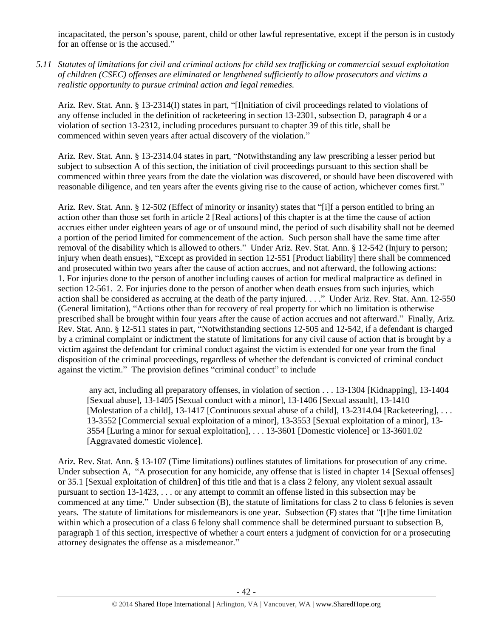incapacitated, the person's spouse, parent, child or other lawful representative, except if the person is in custody for an offense or is the accused."

*5.11 Statutes of limitations for civil and criminal actions for child sex trafficking or commercial sexual exploitation of children (CSEC) offenses are eliminated or lengthened sufficiently to allow prosecutors and victims a realistic opportunity to pursue criminal action and legal remedies.*

Ariz. Rev. Stat. Ann. § 13-2314(I) states in part, "[I]nitiation of civil proceedings related to violations of any offense included in the definition of racketeering in section 13-2301, subsection D, paragraph 4 or a violation of section 13-2312, including procedures pursuant to chapter 39 of this title, shall be commenced within seven years after actual discovery of the violation."

Ariz. Rev. Stat. Ann. § 13-2314.04 states in part, "Notwithstanding any law prescribing a lesser period but subject to subsection A of this section, the initiation of civil proceedings pursuant to this section shall be commenced within three years from the date the violation was discovered, or should have been discovered with reasonable diligence, and ten years after the events giving rise to the cause of action, whichever comes first."

Ariz. Rev. Stat. Ann. § 12-502 (Effect of minority or insanity) states that "[i]f a person entitled to bring an action other than those set forth in article 2 [Real actions] of this chapter is at the time the cause of action accrues either under eighteen years of age or of unsound mind, the period of such disability shall not be deemed a portion of the period limited for commencement of the action. Such person shall have the same time after removal of the disability which is allowed to others." Under Ariz. Rev. Stat. Ann. § 12-542 (Injury to person; injury when death ensues), "Except as provided in [section 12-551](https://www.lexis.com/research/buttonTFLink?_m=3850ce49001f84acbff8d5994c1b54a8&_xfercite=%3ccite%20cc%3d%22USA%22%3e%3c%21%5bCDATA%5bA.R.S.%20%a7%2012-542%5d%5d%3e%3c%2fcite%3e&_butType=4&_butStat=0&_butNum=2&_butInline=1&_butinfo=AZCODE%2012-551&_fmtstr=FULL&docnum=1&_startdoc=1&wchp=dGLzVtz-zSkAl&_md5=5a988684de5eb43898e3ea5c05f332b5) [Product liability] there shall be commenced and prosecuted within two years after the cause of action accrues, and not afterward, the following actions: 1. For injuries done to the person of another including causes of action for medical malpractice as defined in [section 12-561.](https://www.lexis.com/research/buttonTFLink?_m=3850ce49001f84acbff8d5994c1b54a8&_xfercite=%3ccite%20cc%3d%22USA%22%3e%3c%21%5bCDATA%5bA.R.S.%20%a7%2012-542%5d%5d%3e%3c%2fcite%3e&_butType=4&_butStat=0&_butNum=3&_butInline=1&_butinfo=AZCODE%2012-561&_fmtstr=FULL&docnum=1&_startdoc=1&wchp=dGLzVtz-zSkAl&_md5=cf55beb52a68b5852cb6837706118de9) 2. For injuries done to the person of another when death ensues from such injuries, which action shall be considered as accruing at the death of the party injured. . . ." Under Ariz. Rev. Stat. Ann. 12-550 (General limitation), "Actions other than for recovery of real property for which no limitation is otherwise prescribed shall be brought within four years after the cause of action accrues and not afterward." Finally, Ariz. Rev. Stat. Ann. § 12-511 states in part, "Notwithstanding [sections 12-505](https://www.lexis.com/research/buttonTFLink?_m=648458cdffb0e5e94f9be30d2fa43d52&_xfercite=%3ccite%20cc%3d%22USA%22%3e%3c%21%5bCDATA%5bA.R.S.%20%a7%2012-511%5d%5d%3e%3c%2fcite%3e&_butType=4&_butStat=0&_butNum=2&_butInline=1&_butinfo=AZCODE%2012-505&_fmtstr=FULL&docnum=1&_startdoc=1&wchp=dGLzVtz-zSkAl&_md5=ffa275be36922dc82ec072f8c76ed452) and [12-542,](https://www.lexis.com/research/buttonTFLink?_m=648458cdffb0e5e94f9be30d2fa43d52&_xfercite=%3ccite%20cc%3d%22USA%22%3e%3c%21%5bCDATA%5bA.R.S.%20%a7%2012-511%5d%5d%3e%3c%2fcite%3e&_butType=4&_butStat=0&_butNum=3&_butInline=1&_butinfo=AZCODE%2012-542&_fmtstr=FULL&docnum=1&_startdoc=1&wchp=dGLzVtz-zSkAl&_md5=616988ce61c3f4890008f3dbf172e956) if a defendant is charged by a criminal complaint or indictment the statute of limitations for any civil cause of action that is brought by a victim against the defendant for criminal conduct against the victim is extended for one year from the final disposition of the criminal proceedings, regardless of whether the defendant is convicted of criminal conduct against the victim." The provision defines "criminal conduct" to include

any act, including all preparatory offenses, in violation of section . . . 13-1304 [Kidnapping], 13-1404 [Sexual abuse], [13-1405](https://www.lexis.com/research/buttonTFLink?_m=648458cdffb0e5e94f9be30d2fa43d52&_xfercite=%3ccite%20cc%3d%22USA%22%3e%3c%21%5bCDATA%5bA.R.S.%20%a7%2012-511%5d%5d%3e%3c%2fcite%3e&_butType=4&_butStat=0&_butNum=13&_butInline=1&_butinfo=AZCODE%2013-1405&_fmtstr=FULL&docnum=1&_startdoc=1&wchp=dGLzVtz-zSkAl&_md5=86f6ff4f84d089090703b334fd908fe7) [Sexual conduct with a minor], [13-1406](https://www.lexis.com/research/buttonTFLink?_m=648458cdffb0e5e94f9be30d2fa43d52&_xfercite=%3ccite%20cc%3d%22USA%22%3e%3c%21%5bCDATA%5bA.R.S.%20%a7%2012-511%5d%5d%3e%3c%2fcite%3e&_butType=4&_butStat=0&_butNum=14&_butInline=1&_butinfo=AZCODE%2013-1406&_fmtstr=FULL&docnum=1&_startdoc=1&wchp=dGLzVtz-zSkAl&_md5=8930b42b74160f3a33f835415f69c5f9) [Sexual assault], [13-1410](https://www.lexis.com/research/buttonTFLink?_m=648458cdffb0e5e94f9be30d2fa43d52&_xfercite=%3ccite%20cc%3d%22USA%22%3e%3c%21%5bCDATA%5bA.R.S.%20%a7%2012-511%5d%5d%3e%3c%2fcite%3e&_butType=4&_butStat=0&_butNum=15&_butInline=1&_butinfo=AZCODE%2013-1410&_fmtstr=FULL&docnum=1&_startdoc=1&wchp=dGLzVtz-zSkAl&_md5=d8ddf0caf98423ad6e77d336a353d669) [Molestation of a child][, 13-1417](https://www.lexis.com/research/buttonTFLink?_m=648458cdffb0e5e94f9be30d2fa43d52&_xfercite=%3ccite%20cc%3d%22USA%22%3e%3c%21%5bCDATA%5bA.R.S.%20%a7%2012-511%5d%5d%3e%3c%2fcite%3e&_butType=4&_butStat=0&_butNum=16&_butInline=1&_butinfo=AZCODE%2013-1417&_fmtstr=FULL&docnum=1&_startdoc=1&wchp=dGLzVtz-zSkAl&_md5=b46b123baab2c9a35c00418fd097f1e2) [Continuous sexual abuse of a child][, 13-2314.04](https://www.lexis.com/research/buttonTFLink?_m=648458cdffb0e5e94f9be30d2fa43d52&_xfercite=%3ccite%20cc%3d%22USA%22%3e%3c%21%5bCDATA%5bA.R.S.%20%a7%2012-511%5d%5d%3e%3c%2fcite%3e&_butType=4&_butStat=0&_butNum=17&_butInline=1&_butinfo=AZCODE%2013-2314.04&_fmtstr=FULL&docnum=1&_startdoc=1&wchp=dGLzVtz-zSkAl&_md5=cbb802a51819057aa3017cae57c46b03) [Racketeering], ... [13-3552](https://www.lexis.com/research/buttonTFLink?_m=648458cdffb0e5e94f9be30d2fa43d52&_xfercite=%3ccite%20cc%3d%22USA%22%3e%3c%21%5bCDATA%5bA.R.S.%20%a7%2012-511%5d%5d%3e%3c%2fcite%3e&_butType=4&_butStat=0&_butNum=23&_butInline=1&_butinfo=AZCODE%2013-3552&_fmtstr=FULL&docnum=1&_startdoc=1&wchp=dGLzVtz-zSkAl&_md5=23bf5ab5ae03efbab9b520703402f7e0) [Commercial sexual exploitation of a minor], [13-3553](https://www.lexis.com/research/buttonTFLink?_m=648458cdffb0e5e94f9be30d2fa43d52&_xfercite=%3ccite%20cc%3d%22USA%22%3e%3c%21%5bCDATA%5bA.R.S.%20%a7%2012-511%5d%5d%3e%3c%2fcite%3e&_butType=4&_butStat=0&_butNum=24&_butInline=1&_butinfo=AZCODE%2013-3553&_fmtstr=FULL&docnum=1&_startdoc=1&wchp=dGLzVtz-zSkAl&_md5=2a2d072894ade1cb3044af40adaf308b) [Sexual exploitation of a minor], [13-](https://www.lexis.com/research/buttonTFLink?_m=648458cdffb0e5e94f9be30d2fa43d52&_xfercite=%3ccite%20cc%3d%22USA%22%3e%3c%21%5bCDATA%5bA.R.S.%20%a7%2012-511%5d%5d%3e%3c%2fcite%3e&_butType=4&_butStat=0&_butNum=25&_butInline=1&_butinfo=AZCODE%2013-3554&_fmtstr=FULL&docnum=1&_startdoc=1&wchp=dGLzVtz-zSkAl&_md5=8a8963fbd347969d652e4359cec368b9) [3554](https://www.lexis.com/research/buttonTFLink?_m=648458cdffb0e5e94f9be30d2fa43d52&_xfercite=%3ccite%20cc%3d%22USA%22%3e%3c%21%5bCDATA%5bA.R.S.%20%a7%2012-511%5d%5d%3e%3c%2fcite%3e&_butType=4&_butStat=0&_butNum=25&_butInline=1&_butinfo=AZCODE%2013-3554&_fmtstr=FULL&docnum=1&_startdoc=1&wchp=dGLzVtz-zSkAl&_md5=8a8963fbd347969d652e4359cec368b9) [Luring a minor for sexual exploitation], . . . 13-3601 [Domestic violence] or 13-3601.02 [Aggravated domestic violence].

Ariz. Rev. Stat. Ann. § 13-107 (Time limitations) outlines statutes of limitations for prosecution of any crime. Under subsection A, "A prosecution for any homicide, any offense that is listed in chapter 14 [Sexual offenses] or 35.1 [Sexual exploitation of children] of this title and that is a class 2 felony, any violent sexual assault pursuant to section 13-1423, . . . or any attempt to commit an offense listed in this subsection may be commenced at any time." Under subsection (B), the statute of limitations for class 2 to class 6 felonies is seven years. The statute of limitations for misdemeanors is one year. Subsection (F) states that "[t]he time limitation within which a prosecution of a class 6 felony shall commence shall be determined pursuant to subsection B, paragraph 1 of this section, irrespective of whether a court enters a judgment of conviction for or a prosecuting attorney designates the offense as a misdemeanor."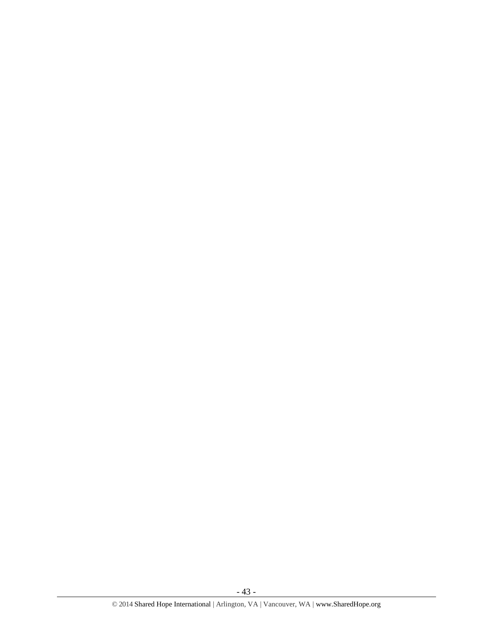# © 2014 Shared Hope International | Arlington, VA | Vancouver, WA | www.SharedHope.org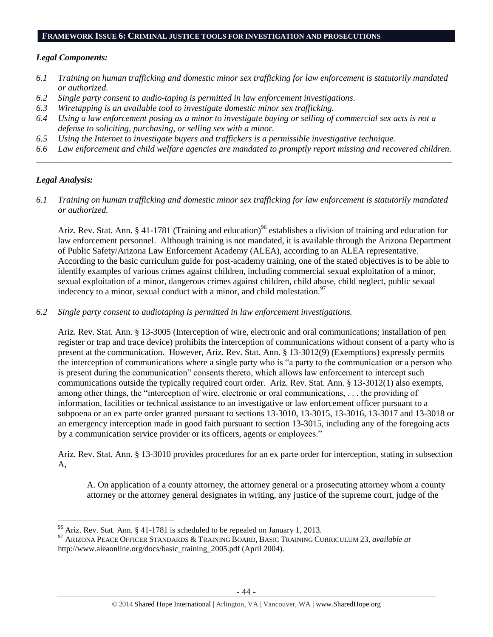#### **FRAMEWORK ISSUE 6: CRIMINAL JUSTICE TOOLS FOR INVESTIGATION AND PROSECUTIONS**

## *Legal Components:*

- *6.1 Training on human trafficking and domestic minor sex trafficking for law enforcement is statutorily mandated or authorized.*
- *6.2 Single party consent to audio-taping is permitted in law enforcement investigations.*
- *6.3 Wiretapping is an available tool to investigate domestic minor sex trafficking.*
- *6.4 Using a law enforcement posing as a minor to investigate buying or selling of commercial sex acts is not a defense to soliciting, purchasing, or selling sex with a minor.*
- *6.5 Using the Internet to investigate buyers and traffickers is a permissible investigative technique.*
- *6.6 Law enforcement and child welfare agencies are mandated to promptly report missing and recovered children. \_\_\_\_\_\_\_\_\_\_\_\_\_\_\_\_\_\_\_\_\_\_\_\_\_\_\_\_\_\_\_\_\_\_\_\_\_\_\_\_\_\_\_\_\_\_\_\_\_\_\_\_\_\_\_\_\_\_\_\_\_\_\_\_\_\_\_\_\_\_\_\_\_\_\_\_\_\_\_\_\_\_\_\_\_\_\_\_\_\_\_\_\_\_*

## *Legal Analysis:*

 $\overline{a}$ 

*6.1 Training on human trafficking and domestic minor sex trafficking for law enforcement is statutorily mandated or authorized.*

Ariz. Rev. Stat. Ann. § 41-1781 (Training and education)<sup>96</sup> establishes a division of training and education for law enforcement personnel. Although training is not mandated, it is available through the Arizona Department of Public Safety/Arizona Law Enforcement Academy (ALEA), according to an ALEA representative. According to the basic curriculum guide for post-academy training, one of the stated objectives is to be able to identify examples of various crimes against children, including commercial sexual exploitation of a minor, sexual exploitation of a minor, dangerous crimes against children, child abuse, child neglect, public sexual indecency to a minor, sexual conduct with a minor, and child molestation.<sup>97</sup>

*6.2 Single party consent to audiotaping is permitted in law enforcement investigations.*

Ariz. Rev. Stat. Ann. § 13-3005 (Interception of wire, electronic and oral communications; installation of pen register or trap and trace device) prohibits the interception of communications without consent of a party who is present at the communication. However, Ariz. Rev. Stat. Ann. § 13-3012(9) (Exemptions) expressly permits the interception of communications where a single party who is "a party to the communication or a person who is present during the communication" consents thereto, which allows law enforcement to intercept such communications outside the typically required court order. Ariz. Rev. Stat. Ann. § 13-3012(1) also exempts, among other things, the "interception of wire, electronic or oral communications, . . . the providing of information, facilities or technical assistance to an investigative or law enforcement officer pursuant to a subpoena or an ex parte order granted pursuant to sections 13-3010, 13-3015, 13-3016, 13-3017 and 13-3018 or an emergency interception made in good faith pursuant to section 13-3015, including any of the foregoing acts by a communication service provider or its officers, agents or employees."

Ariz. Rev. Stat. Ann. § 13-3010 provides procedures for an ex parte order for interception, stating in subsection A,

A. On application of a county attorney, the attorney general or a prosecuting attorney whom a county attorney or the attorney general designates in writing, any justice of the supreme court, judge of the

 $96$  Ariz. Rev. Stat. Ann. § 41-1781 is scheduled to be repealed on January 1, 2013.

<sup>97</sup> ARIZONA PEACE OFFICER STANDARDS & TRAINING BOARD, BASIC TRAINING CURRICULUM 23, *available at* http://www.aleaonline.org/docs/basic\_training\_2005.pdf (April 2004).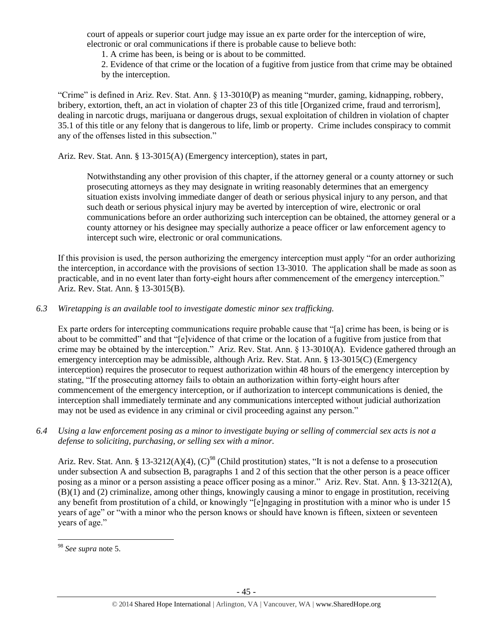court of appeals or superior court judge may issue an ex parte order for the interception of wire, electronic or oral communications if there is probable cause to believe both:

1. A crime has been, is being or is about to be committed.

2. Evidence of that crime or the location of a fugitive from justice from that crime may be obtained by the interception.

"Crime" is defined in Ariz. Rev. Stat. Ann. § 13-3010(P) as meaning "murder, gaming, kidnapping, robbery, bribery, extortion, theft, an act in violation of chapter 23 of this title [Organized crime, fraud and terrorism], dealing in narcotic drugs, marijuana or dangerous drugs, sexual exploitation of children in violation of chapter 35.1 of this title or any felony that is dangerous to life, limb or property. Crime includes conspiracy to commit any of the offenses listed in this subsection."

Ariz. Rev. Stat. Ann. § 13-3015(A) (Emergency interception), states in part,

Notwithstanding any other provision of this chapter, if the attorney general or a county attorney or such prosecuting attorneys as they may designate in writing reasonably determines that an emergency situation exists involving immediate danger of death or serious physical injury to any person, and that such death or serious physical injury may be averted by interception of wire, electronic or oral communications before an order authorizing such interception can be obtained, the attorney general or a county attorney or his designee may specially authorize a peace officer or law enforcement agency to intercept such wire, electronic or oral communications.

If this provision is used, the person authorizing the emergency interception must apply "for an order authorizing the interception, in accordance with the provisions of section 13-3010. The application shall be made as soon as practicable, and in no event later than forty-eight hours after commencement of the emergency interception." Ariz. Rev. Stat. Ann. § 13-3015(B).

## *6.3 Wiretapping is an available tool to investigate domestic minor sex trafficking.*

Ex parte orders for intercepting communications require probable cause that "[a] crime has been, is being or is about to be committed" and that "[e]vidence of that crime or the location of a fugitive from justice from that crime may be obtained by the interception." Ariz. Rev. Stat. Ann. § 13-3010(A). Evidence gathered through an emergency interception may be admissible, although Ariz. Rev. Stat. Ann. § 13-3015(C) (Emergency interception) requires the prosecutor to request authorization within 48 hours of the emergency interception by stating, "If the prosecuting attorney fails to obtain an authorization within forty-eight hours after commencement of the emergency interception, or if authorization to intercept communications is denied, the interception shall immediately terminate and any communications intercepted without judicial authorization may not be used as evidence in any criminal or civil proceeding against any person."

*6.4 Using a law enforcement posing as a minor to investigate buying or selling of commercial sex acts is not a defense to soliciting, purchasing, or selling sex with a minor.*

Ariz. Rev. Stat. Ann. § 13-3212(A)(4), (C)<sup>98</sup> (Child prostitution) states, "It is not a defense to a prosecution under subsection A and subsection B, paragraphs 1 and 2 of this section that the other person is a peace officer posing as a minor or a person assisting a peace officer posing as a minor." Ariz. Rev. Stat. Ann. § 13-3212(A), (B)(1) and (2) criminalize, among other things, knowingly causing a minor to engage in prostitution, receiving any benefit from prostitution of a child, or knowingly "[e]ngaging in prostitution with a minor who is under 15 years of age" or "with a minor who the person knows or should have known is fifteen, sixteen or seventeen years of age."

<sup>98</sup> *See supra* note [5.](#page-1-0)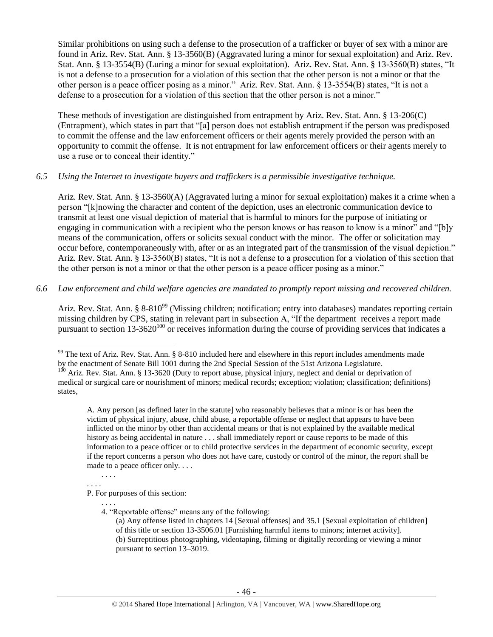Similar prohibitions on using such a defense to the prosecution of a trafficker or buyer of sex with a minor are found in Ariz. Rev. Stat. Ann. § 13-3560(B) (Aggravated luring a minor for sexual exploitation) and Ariz. Rev. Stat. Ann. § 13-3554(B) (Luring a minor for sexual exploitation). Ariz. Rev. Stat. Ann. § 13-3560(B) states, "It is not a defense to a prosecution for a violation of this section that the other person is not a minor or that the other person is a peace officer posing as a minor." Ariz. Rev. Stat. Ann. § 13-3554(B) states, "It is not a defense to a prosecution for a violation of this section that the other person is not a minor."

These methods of investigation are distinguished from entrapment by Ariz. Rev. Stat. Ann. § 13-206(C) (Entrapment), which states in part that "[a] person does not establish entrapment if the person was predisposed to commit the offense and the law enforcement officers or their agents merely provided the person with an opportunity to commit the offense. It is not entrapment for law enforcement officers or their agents merely to use a ruse or to conceal their identity."

## *6.5 Using the Internet to investigate buyers and traffickers is a permissible investigative technique.*

Ariz. Rev. Stat. Ann. § 13-3560(A) (Aggravated luring a minor for sexual exploitation) makes it a crime when a person "[k]nowing the character and content of the depiction, uses an electronic communication device to transmit at least one visual depiction of material that is harmful to minors for the purpose of initiating or engaging in communication with a recipient who the person knows or has reason to know is a minor" and "[b]y means of the communication, offers or solicits sexual conduct with the minor. The offer or solicitation may occur before, contemporaneously with, after or as an integrated part of the transmission of the visual depiction." Ariz. Rev. Stat. Ann. § 13-3560(B) states, "It is not a defense to a prosecution for a violation of this section that the other person is not a minor or that the other person is a peace officer posing as a minor."

## *6.6 Law enforcement and child welfare agencies are mandated to promptly report missing and recovered children.*

Ariz. Rev. Stat. Ann. § 8-810<sup>99</sup> (Missing children; notification; entry into databases) mandates reporting certain missing children by CPS, stating in relevant part in subsection A, "If the department receives a report made pursuant to section  $13-3620^{100}$  or receives information during the course of providing services that indicates a

A. Any person [as defined later in the statute] who reasonably believes that a minor is or has been the victim of physical injury, abuse, child abuse, a reportable offense or neglect that appears to have been inflicted on the minor by other than accidental means or that is not explained by the available medical history as being accidental in nature . . . shall immediately report or cause reports to be made of this information to a peace officer or to child protective services in the department of economic security, except if the report concerns a person who does not have care, custody or control of the minor, the report shall be made to a peace officer only. . . .

 $\overline{a}$ 

. . . .

. . . .

 $99$  The text of Ariz. Rev. Stat. Ann. § 8-810 included here and elsewhere in this report includes amendments made by the enactment of Senate Bill 1001 during the 2nd Special Session of the 51st Arizona Legislature.

 $100$  Ariz. Rev. Stat. Ann. § 13-3620 (Duty to report abuse, physical injury, neglect and denial or deprivation of medical or surgical care or nourishment of minors; medical records; exception; violation; classification; definitions) states,

P. For purposes of this section:

<sup>4.</sup> "Reportable offense" means any of the following:

<sup>(</sup>a) Any offense listed in chapters 14 [Sexual offenses] and 35.1 [Sexual exploitation of children] of this title or section 13-3506.01 [Furnishing harmful items to minors; internet activity]. (b) Surreptitious photographing, videotaping, filming or digitally recording or viewing a minor pursuant to section 13–3019.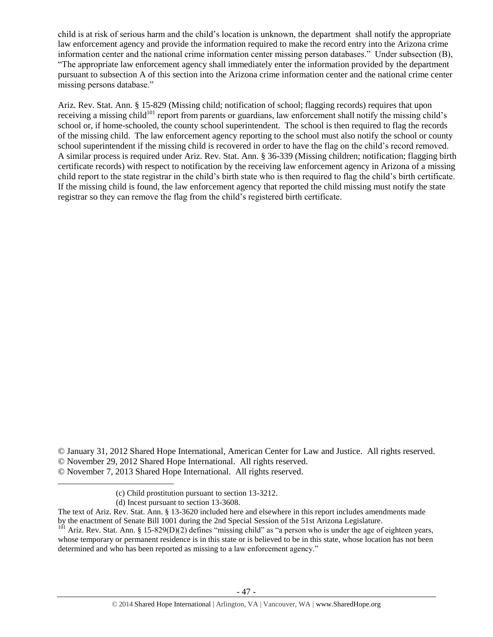child is at risk of serious harm and the child's location is unknown, the department shall notify the appropriate law enforcement agency and provide the information required to make the record entry into the Arizona crime information center and the national crime information center missing person databases." Under subsection (B), "The appropriate law enforcement agency shall immediately enter the information provided by the department pursuant to subsection A of this section into the Arizona crime information center and the national crime center missing persons database."

Ariz. Rev. Stat. Ann. § 15-829 (Missing child; notification of school; flagging records) requires that upon receiving a missing child<sup>101</sup> report from parents or guardians, law enforcement shall notify the missing child's school or, if home-schooled, the county school superintendent. The school is then required to flag the records of the missing child. The law enforcement agency reporting to the school must also notify the school or county school superintendent if the missing child is recovered in order to have the flag on the child's record removed. A similar process is required under Ariz. Rev. Stat. Ann. § 36-339 (Missing children; notification; flagging birth certificate records) with respect to notification by the receiving law enforcement agency in Arizona of a missing child report to the state registrar in the child's birth state who is then required to flag the child's birth certificate. If the missing child is found, the law enforcement agency that reported the child missing must notify the state registrar so they can remove the flag from the child's registered birth certificate.

(d) Incest pursuant to section 13-3608.

<sup>©</sup> January 31, 2012 Shared Hope International, American Center for Law and Justice. All rights reserved. © November 29, 2012 Shared Hope International. All rights reserved. © November 7, 2013 Shared Hope International. All rights reserved.

<sup>(</sup>c) Child prostitution pursuant to section 13-3212.

The text of Ariz. Rev. Stat. Ann. § 13-3620 included here and elsewhere in this report includes amendments made by the enactment of Senate Bill 1001 during the 2nd Special Session of the 51st Arizona Legislature.

 $10^{10}$  Ariz. Rev. Stat. Ann. § 15-829(D)(2) defines "missing child" as "a person who is under the age of eighteen years, whose temporary or permanent residence is in this state or is believed to be in this state, whose location has not been determined and who has been reported as missing to a law enforcement agency."